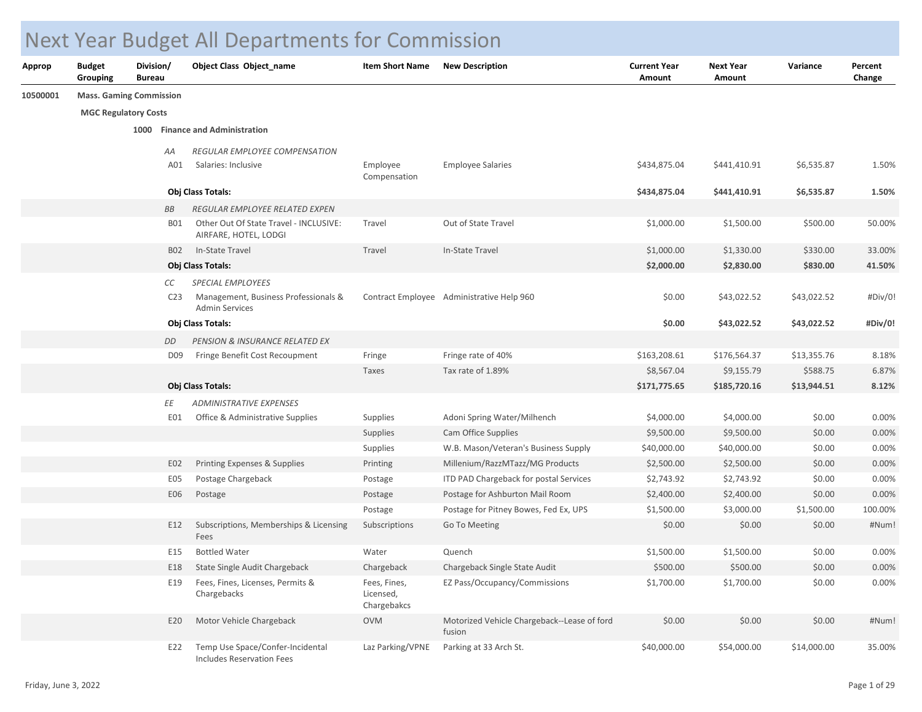## Next Year Budget All Departments for Commission

| Approp   | <b>Budget</b><br>Grouping      | Division/<br><b>Bureau</b> |                 | Object Class Object name                                        | <b>Item Short Name</b>                   | <b>New Description</b>                                | <b>Current Year</b><br>Amount | <b>Next Year</b><br>Amount | Variance    | Percent<br>Change |
|----------|--------------------------------|----------------------------|-----------------|-----------------------------------------------------------------|------------------------------------------|-------------------------------------------------------|-------------------------------|----------------------------|-------------|-------------------|
| 10500001 | <b>Mass. Gaming Commission</b> |                            |                 |                                                                 |                                          |                                                       |                               |                            |             |                   |
|          | <b>MGC Regulatory Costs</b>    |                            |                 |                                                                 |                                          |                                                       |                               |                            |             |                   |
|          |                                |                            |                 | 1000 Finance and Administration                                 |                                          |                                                       |                               |                            |             |                   |
|          |                                |                            | АA              | REGULAR EMPLOYEE COMPENSATION                                   |                                          |                                                       |                               |                            |             |                   |
|          |                                |                            | A01             | Salaries: Inclusive                                             | Employee<br>Compensation                 | <b>Employee Salaries</b>                              | \$434,875.04                  | \$441,410.91               | \$6,535.87  | 1.50%             |
|          |                                |                            |                 | Obj Class Totals:                                               |                                          |                                                       | \$434,875.04                  | \$441,410.91               | \$6,535.87  | 1.50%             |
|          |                                |                            | BB              | REGULAR EMPLOYEE RELATED EXPEN                                  |                                          |                                                       |                               |                            |             |                   |
|          |                                |                            | <b>B01</b>      | Other Out Of State Travel - INCLUSIVE:<br>AIRFARE, HOTEL, LODGI | Travel                                   | Out of State Travel                                   | \$1,000.00                    | \$1,500.00                 | \$500.00    | 50.00%            |
|          |                                |                            | <b>B02</b>      | In-State Travel                                                 | Travel                                   | In-State Travel                                       | \$1,000.00                    | \$1,330.00                 | \$330.00    | 33.00%            |
|          |                                |                            |                 | Obj Class Totals:                                               |                                          |                                                       | \$2,000.00                    | \$2,830.00                 | \$830.00    | 41.50%            |
|          |                                |                            | СC              | SPECIAL EMPLOYEES                                               |                                          |                                                       |                               |                            |             |                   |
|          |                                |                            | C <sub>23</sub> | Management, Business Professionals &<br><b>Admin Services</b>   |                                          | Contract Employee Administrative Help 960             | \$0.00                        | \$43,022.52                | \$43,022.52 | #Div/0!           |
|          |                                |                            |                 | Obj Class Totals:                                               |                                          |                                                       | \$0.00                        | \$43,022.52                | \$43,022.52 | #Div/0!           |
|          |                                |                            | DD              | PENSION & INSURANCE RELATED EX                                  |                                          |                                                       |                               |                            |             |                   |
|          |                                |                            | D <sub>09</sub> | Fringe Benefit Cost Recoupment                                  | Fringe                                   | Fringe rate of 40%                                    | \$163,208.61                  | \$176,564.37               | \$13,355.76 | 8.18%             |
|          |                                |                            |                 |                                                                 | Taxes                                    | Tax rate of 1.89%                                     | \$8,567.04                    | \$9,155.79                 | \$588.75    | 6.87%             |
|          |                                |                            |                 | Obj Class Totals:                                               |                                          |                                                       | \$171,775.65                  | \$185,720.16               | \$13,944.51 | 8.12%             |
|          |                                |                            | ΕE              | <b>ADMINISTRATIVE EXPENSES</b>                                  |                                          |                                                       |                               |                            |             |                   |
|          |                                |                            | E01             | Office & Administrative Supplies                                | Supplies                                 | Adoni Spring Water/Milhench                           | \$4,000.00                    | \$4,000.00                 | \$0.00      | 0.00%             |
|          |                                |                            |                 |                                                                 | Supplies                                 | Cam Office Supplies                                   | \$9,500.00                    | \$9,500.00                 | \$0.00      | 0.00%             |
|          |                                |                            |                 |                                                                 | Supplies                                 | W.B. Mason/Veteran's Business Supply                  | \$40,000.00                   | \$40,000.00                | \$0.00      | 0.00%             |
|          |                                |                            | E02             | Printing Expenses & Supplies                                    | Printing                                 | Millenium/RazzMTazz/MG Products                       | \$2,500.00                    | \$2,500.00                 | \$0.00      | 0.00%             |
|          |                                |                            | E05             | Postage Chargeback                                              | Postage                                  | ITD PAD Chargeback for postal Services                | \$2,743.92                    | \$2,743.92                 | \$0.00      | 0.00%             |
|          |                                |                            | E06             | Postage                                                         | Postage                                  | Postage for Ashburton Mail Room                       | \$2,400.00                    | \$2,400.00                 | \$0.00      | 0.00%             |
|          |                                |                            |                 |                                                                 | Postage                                  | Postage for Pitney Bowes, Fed Ex, UPS                 | \$1,500.00                    | \$3,000.00                 | \$1,500.00  | 100.00%           |
|          |                                |                            | E12             | Subscriptions, Memberships & Licensing<br>Fees                  | Subscriptions                            | Go To Meeting                                         | \$0.00                        | \$0.00                     | \$0.00      | #Num!             |
|          |                                |                            | E15             | <b>Bottled Water</b>                                            | Water                                    | Quench                                                | \$1,500.00                    | \$1,500.00                 | \$0.00      | 0.00%             |
|          |                                |                            | E18             | State Single Audit Chargeback                                   | Chargeback                               | Chargeback Single State Audit                         | \$500.00                      | \$500.00                   | \$0.00      | 0.00%             |
|          |                                |                            | E19             | Fees, Fines, Licenses, Permits &<br>Chargebacks                 | Fees, Fines,<br>Licensed,<br>Chargebakcs | EZ Pass/Occupancy/Commissions                         | \$1,700.00                    | \$1,700.00                 | \$0.00      | 0.00%             |
|          |                                |                            | E20             | Motor Vehicle Chargeback                                        | <b>OVM</b>                               | Motorized Vehicle Chargeback--Lease of ford<br>fusion | \$0.00                        | \$0.00                     | \$0.00      | #Num!             |
|          |                                |                            | E22             | Temp Use Space/Confer-Incidental<br>Includes Reservation Fees   | Laz Parking/VPNE                         | Parking at 33 Arch St.                                | \$40,000.00                   | \$54,000.00                | \$14,000.00 | 35.00%            |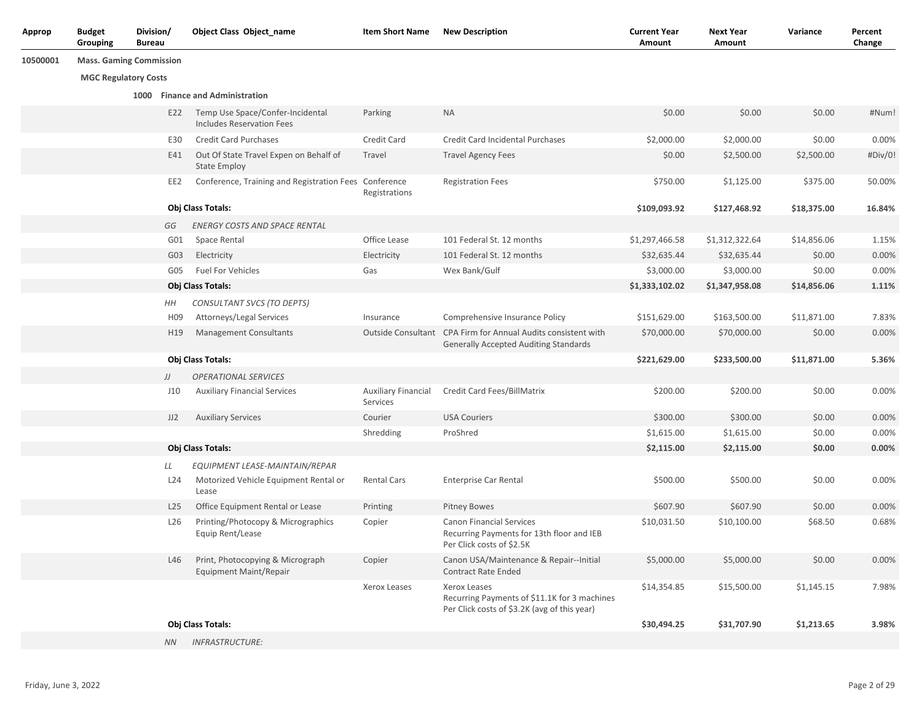| Approp   | <b>Budget</b><br>Grouping   | Division/<br><b>Bureau</b>     | Object Class Object name                                                         | <b>Item Short Name</b>                 | <b>New Description</b>                                                                                        | <b>Current Year</b><br>Amount | <b>Next Year</b><br>Amount | Variance    | Percent<br>Change |
|----------|-----------------------------|--------------------------------|----------------------------------------------------------------------------------|----------------------------------------|---------------------------------------------------------------------------------------------------------------|-------------------------------|----------------------------|-------------|-------------------|
| 10500001 |                             | <b>Mass. Gaming Commission</b> |                                                                                  |                                        |                                                                                                               |                               |                            |             |                   |
|          | <b>MGC Regulatory Costs</b> |                                |                                                                                  |                                        |                                                                                                               |                               |                            |             |                   |
|          |                             |                                | 1000 Finance and Administration                                                  |                                        |                                                                                                               |                               |                            |             |                   |
|          |                             | E22                            | Temp Use Space/Confer-Incidental<br>Includes Reservation Fees                    | Parking                                | <b>NA</b>                                                                                                     | \$0.00                        | \$0.00                     | \$0.00      | #Num!             |
|          |                             | E30                            | <b>Credit Card Purchases</b>                                                     | Credit Card                            | <b>Credit Card Incidental Purchases</b>                                                                       | \$2,000.00                    | \$2,000.00                 | \$0.00      | 0.00%             |
|          |                             | E41                            | Out Of State Travel Expen on Behalf of<br><b>State Employ</b>                    | Travel                                 | <b>Travel Agency Fees</b>                                                                                     | \$0.00                        | \$2,500.00                 | \$2,500.00  | #Div/0!           |
|          |                             | EE2                            | Conference, Training and Registration Fees Conference                            | Registrations                          | <b>Registration Fees</b>                                                                                      | \$750.00                      | \$1,125.00                 | \$375.00    | 50.00%            |
|          |                             |                                | Obj Class Totals:                                                                |                                        |                                                                                                               | \$109,093.92                  | \$127,468.92               | \$18,375.00 | 16.84%            |
|          |                             | GG                             | <b>ENERGY COSTS AND SPACE RENTAL</b>                                             |                                        |                                                                                                               |                               |                            |             |                   |
|          |                             | G01                            | Space Rental                                                                     | Office Lease                           | 101 Federal St. 12 months                                                                                     | \$1,297,466.58                | \$1,312,322.64             | \$14,856.06 | 1.15%             |
|          |                             | G03                            | Electricity                                                                      | Electricity                            | 101 Federal St. 12 months                                                                                     | \$32,635.44                   | \$32,635.44                | \$0.00      | 0.00%             |
|          |                             | G05                            | <b>Fuel For Vehicles</b>                                                         | Gas                                    | Wex Bank/Gulf                                                                                                 | \$3,000.00                    | \$3,000.00                 | \$0.00      | 0.00%             |
|          |                             |                                | Obj Class Totals:                                                                |                                        |                                                                                                               | \$1,333,102.02                | \$1,347,958.08             | \$14,856.06 | 1.11%             |
|          |                             | HН                             | CONSULTANT SVCS (TO DEPTS)                                                       |                                        |                                                                                                               |                               |                            |             |                   |
|          |                             | H <sub>09</sub>                | Attorneys/Legal Services                                                         | Insurance                              | Comprehensive Insurance Policy                                                                                | \$151,629.00                  | \$163,500.00               | \$11,871.00 | 7.83%             |
|          |                             | H <sub>19</sub>                | <b>Management Consultants</b>                                                    |                                        | Outside Consultant CPA Firm for Annual Audits consistent with<br><b>Generally Accepted Auditing Standards</b> | \$70,000.00                   | \$70,000.00                | \$0.00      | 0.00%             |
|          |                             |                                | Obj Class Totals:                                                                |                                        |                                                                                                               | \$221,629.00                  | \$233,500.00               | \$11,871.00 | 5.36%             |
|          |                             | JJ                             | <b>OPERATIONAL SERVICES</b>                                                      |                                        |                                                                                                               |                               |                            |             |                   |
|          |                             | J10                            | <b>Auxiliary Financial Services</b>                                              | <b>Auxiliary Financial</b><br>Services | Credit Card Fees/BillMatrix                                                                                   | \$200.00                      | \$200.00                   | \$0.00      | 0.00%             |
|          |                             | JJ2                            | <b>Auxiliary Services</b>                                                        | Courier                                | <b>USA Couriers</b>                                                                                           | \$300.00                      | \$300.00                   | \$0.00      | 0.00%             |
|          |                             |                                |                                                                                  | Shredding                              | ProShred                                                                                                      | \$1,615.00                    | \$1,615.00                 | \$0.00      | 0.00%             |
|          |                             |                                | Obj Class Totals:                                                                |                                        |                                                                                                               | \$2,115.00                    | \$2,115.00                 | \$0.00      | 0.00%             |
|          |                             | LL<br>L <sub>24</sub>          | EQUIPMENT LEASE-MAINTAIN/REPAR<br>Motorized Vehicle Equipment Rental or<br>Lease | Rental Cars                            | <b>Enterprise Car Rental</b>                                                                                  | \$500.00                      | \$500.00                   | \$0.00      | 0.00%             |
|          |                             | L25                            | Office Equipment Rental or Lease                                                 | Printing                               | <b>Pitney Bowes</b>                                                                                           | \$607.90                      | \$607.90                   | \$0.00      | 0.00%             |
|          |                             | L <sub>26</sub>                | Printing/Photocopy & Micrographics<br>Equip Rent/Lease                           | Copier                                 | <b>Canon Financial Services</b><br>Recurring Payments for 13th floor and IEB<br>Per Click costs of \$2.5K     | \$10,031.50                   | \$10,100.00                | \$68.50     | 0.68%             |
|          |                             | L46                            | Print, Photocopying & Micrograph<br><b>Equipment Maint/Repair</b>                | Copier                                 | Canon USA/Maintenance & Repair--Initial<br><b>Contract Rate Ended</b>                                         | \$5,000.00                    | \$5,000.00                 | \$0.00      | 0.00%             |
|          |                             |                                |                                                                                  | Xerox Leases                           | Xerox Leases<br>Recurring Payments of \$11.1K for 3 machines<br>Per Click costs of \$3.2K (avg of this year)  | \$14,354.85                   | \$15,500.00                | \$1,145.15  | 7.98%             |
|          |                             |                                | Obj Class Totals:                                                                |                                        |                                                                                                               | \$30,494.25                   | \$31,707.90                | \$1,213.65  | 3.98%             |
|          |                             | NN -                           | <b>INFRASTRUCTURE:</b>                                                           |                                        |                                                                                                               |                               |                            |             |                   |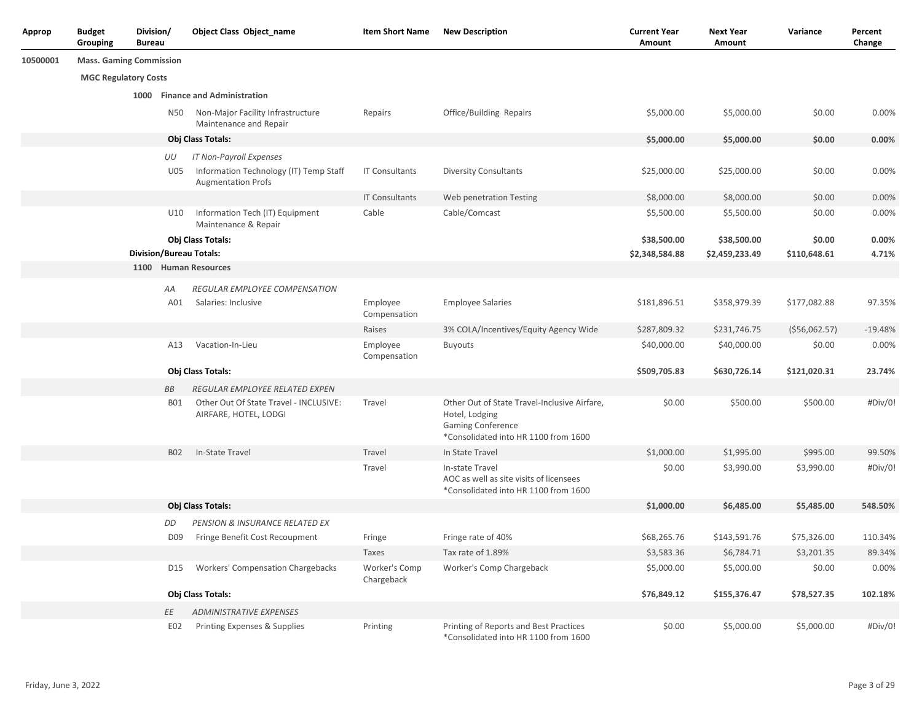| Approp   | <b>Budget</b><br>Grouping      | Division/<br><b>Bureau</b> |                 | <b>Object Class Object_name</b>                                                                | <b>Item Short Name</b>      | <b>New Description</b>                                                                                                             | <b>Current Year</b><br>Amount | <b>Next Year</b><br>Amount    | Variance               | Percent<br>Change |
|----------|--------------------------------|----------------------------|-----------------|------------------------------------------------------------------------------------------------|-----------------------------|------------------------------------------------------------------------------------------------------------------------------------|-------------------------------|-------------------------------|------------------------|-------------------|
| 10500001 | <b>Mass. Gaming Commission</b> |                            |                 |                                                                                                |                             |                                                                                                                                    |                               |                               |                        |                   |
|          | <b>MGC Regulatory Costs</b>    |                            |                 |                                                                                                |                             |                                                                                                                                    |                               |                               |                        |                   |
|          |                                |                            |                 | 1000 Finance and Administration                                                                |                             |                                                                                                                                    |                               |                               |                        |                   |
|          |                                |                            | N50             | Non-Major Facility Infrastructure<br>Maintenance and Repair                                    | Repairs                     | Office/Building Repairs                                                                                                            | \$5,000.00                    | \$5,000.00                    | \$0.00                 | 0.00%             |
|          |                                |                            |                 | Obj Class Totals:                                                                              |                             |                                                                                                                                    | \$5,000.00                    | \$5,000.00                    | \$0.00                 | 0.00%             |
|          |                                |                            | UU<br>U05       | IT Non-Payroll Expenses<br>Information Technology (IT) Temp Staff<br><b>Augmentation Profs</b> | <b>IT Consultants</b>       | <b>Diversity Consultants</b>                                                                                                       | \$25,000.00                   | \$25,000.00                   | \$0.00                 | 0.00%             |
|          |                                |                            |                 |                                                                                                | <b>IT Consultants</b>       | Web penetration Testing                                                                                                            | \$8,000.00                    | \$8,000.00                    | \$0.00                 | 0.00%             |
|          |                                |                            | U10             | Information Tech (IT) Equipment<br>Maintenance & Repair                                        | Cable                       | Cable/Comcast                                                                                                                      | \$5,500.00                    | \$5,500.00                    | \$0.00                 | 0.00%             |
|          |                                |                            |                 | Obj Class Totals:<br><b>Division/Bureau Totals:</b>                                            |                             |                                                                                                                                    | \$38,500.00<br>\$2,348,584.88 | \$38,500.00<br>\$2,459,233.49 | \$0.00<br>\$110,648.61 | 0.00%<br>4.71%    |
|          |                                |                            |                 | 1100 Human Resources                                                                           |                             |                                                                                                                                    |                               |                               |                        |                   |
|          |                                |                            | АA<br>A01       | REGULAR EMPLOYEE COMPENSATION<br>Salaries: Inclusive                                           | Employee<br>Compensation    | <b>Employee Salaries</b>                                                                                                           | \$181,896.51                  | \$358,979.39                  | \$177,082.88           | 97.35%            |
|          |                                |                            |                 |                                                                                                | Raises                      | 3% COLA/Incentives/Equity Agency Wide                                                                                              | \$287,809.32                  | \$231,746.75                  | ( \$56,062.57)         | $-19.48%$         |
|          |                                |                            | A13             | Vacation-In-Lieu                                                                               | Employee<br>Compensation    | <b>Buyouts</b>                                                                                                                     | \$40,000.00                   | \$40,000.00                   | \$0.00                 | 0.00%             |
|          |                                |                            |                 | Obj Class Totals:                                                                              |                             |                                                                                                                                    | \$509,705.83                  | \$630,726.14                  | \$121,020.31           | 23.74%            |
|          |                                |                            | BB              | REGULAR EMPLOYEE RELATED EXPEN                                                                 |                             |                                                                                                                                    |                               |                               |                        |                   |
|          |                                |                            | <b>B01</b>      | Other Out Of State Travel - INCLUSIVE:<br>AIRFARE, HOTEL, LODGI                                | Travel                      | Other Out of State Travel-Inclusive Airfare,<br>Hotel, Lodging<br><b>Gaming Conference</b><br>*Consolidated into HR 1100 from 1600 | \$0.00                        | \$500.00                      | \$500.00               | #Div/0!           |
|          |                                |                            | <b>B02</b>      | In-State Travel                                                                                | Travel                      | In State Travel                                                                                                                    | \$1,000.00                    | \$1,995.00                    | \$995.00               | 99.50%            |
|          |                                |                            |                 |                                                                                                | Travel                      | In-state Travel<br>AOC as well as site visits of licensees<br>*Consolidated into HR 1100 from 1600                                 | \$0.00                        | \$3,990.00                    | \$3,990.00             | #Div/0!           |
|          |                                |                            |                 | Obj Class Totals:                                                                              |                             |                                                                                                                                    | \$1,000.00                    | \$6,485.00                    | \$5,485.00             | 548.50%           |
|          |                                |                            | DD              | PENSION & INSURANCE RELATED EX                                                                 |                             |                                                                                                                                    |                               |                               |                        |                   |
|          |                                |                            | D <sub>09</sub> | Fringe Benefit Cost Recoupment                                                                 | Fringe                      | Fringe rate of 40%                                                                                                                 | \$68,265.76                   | \$143,591.76                  | \$75,326.00            | 110.34%           |
|          |                                |                            |                 |                                                                                                | Taxes                       | Tax rate of 1.89%                                                                                                                  | \$3,583.36                    | \$6,784.71                    | \$3,201.35             | 89.34%            |
|          |                                |                            | D15             | Workers' Compensation Chargebacks                                                              | Worker's Comp<br>Chargeback | Worker's Comp Chargeback                                                                                                           | \$5,000.00                    | \$5,000.00                    | \$0.00                 | 0.00%             |
|          |                                |                            |                 | Obj Class Totals:                                                                              |                             |                                                                                                                                    | \$76,849.12                   | \$155,376.47                  | \$78,527.35            | 102.18%           |
|          |                                |                            | ΕE              | <b>ADMINISTRATIVE EXPENSES</b>                                                                 |                             |                                                                                                                                    |                               |                               |                        |                   |
|          |                                |                            | E02             | Printing Expenses & Supplies                                                                   | Printing                    | Printing of Reports and Best Practices<br>*Consolidated into HR 1100 from 1600                                                     | \$0.00                        | \$5,000.00                    | \$5,000.00             | #Div/0!           |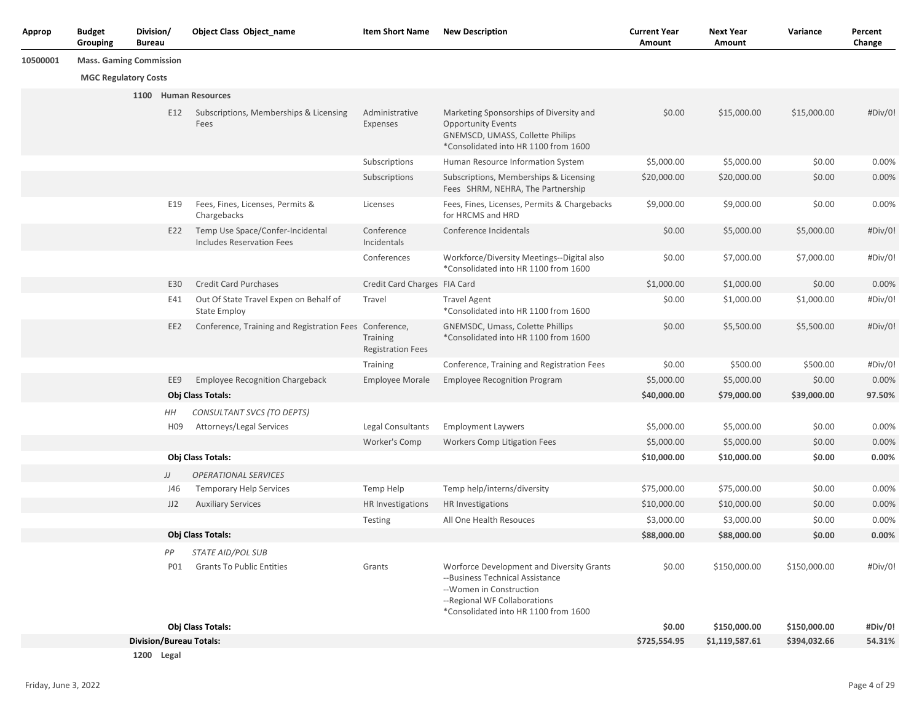| Approp   | <b>Budget</b><br>Grouping      | Division/<br><b>Bureau</b> |                 | Object Class Object name                                             | <b>Item Short Name</b>               | <b>New Description</b>                                                                                                                                                           | <b>Current Year</b><br>Amount | <b>Next Year</b><br>Amount | Variance     | Percent<br>Change |
|----------|--------------------------------|----------------------------|-----------------|----------------------------------------------------------------------|--------------------------------------|----------------------------------------------------------------------------------------------------------------------------------------------------------------------------------|-------------------------------|----------------------------|--------------|-------------------|
| 10500001 | <b>Mass. Gaming Commission</b> |                            |                 |                                                                      |                                      |                                                                                                                                                                                  |                               |                            |              |                   |
|          | <b>MGC Regulatory Costs</b>    |                            |                 |                                                                      |                                      |                                                                                                                                                                                  |                               |                            |              |                   |
|          |                                |                            |                 | 1100 Human Resources                                                 |                                      |                                                                                                                                                                                  |                               |                            |              |                   |
|          |                                |                            | E12             | Subscriptions, Memberships & Licensing<br>Fees                       | Administrative<br>Expenses           | Marketing Sponsorships of Diversity and<br><b>Opportunity Events</b><br><b>GNEMSCD, UMASS, Collette Philips</b><br>*Consolidated into HR 1100 from 1600                          | \$0.00                        | \$15,000.00                | \$15,000.00  | #Div/0!           |
|          |                                |                            |                 |                                                                      | Subscriptions                        | Human Resource Information System                                                                                                                                                | \$5,000.00                    | \$5,000.00                 | \$0.00       | 0.00%             |
|          |                                |                            |                 |                                                                      | Subscriptions                        | Subscriptions, Memberships & Licensing<br>Fees SHRM, NEHRA, The Partnership                                                                                                      | \$20,000.00                   | \$20,000.00                | \$0.00       | 0.00%             |
|          |                                |                            | E19             | Fees, Fines, Licenses, Permits &<br>Chargebacks                      | Licenses                             | Fees, Fines, Licenses, Permits & Chargebacks<br>for HRCMS and HRD                                                                                                                | \$9,000.00                    | \$9,000.00                 | \$0.00       | 0.00%             |
|          |                                |                            | E22             | Temp Use Space/Confer-Incidental<br><b>Includes Reservation Fees</b> | Conference<br>Incidentals            | Conference Incidentals                                                                                                                                                           | \$0.00                        | \$5,000.00                 | \$5,000.00   | #Div/0!           |
|          |                                |                            |                 |                                                                      | Conferences                          | Workforce/Diversity Meetings--Digital also<br>*Consolidated into HR 1100 from 1600                                                                                               | \$0.00                        | \$7,000.00                 | \$7,000.00   | #Div/0!           |
|          |                                |                            | E30             | <b>Credit Card Purchases</b>                                         | Credit Card Charges FIA Card         |                                                                                                                                                                                  | \$1,000.00                    | \$1,000.00                 | \$0.00       | 0.00%             |
|          |                                |                            | E41             | Out Of State Travel Expen on Behalf of<br><b>State Employ</b>        | Travel                               | <b>Travel Agent</b><br>*Consolidated into HR 1100 from 1600                                                                                                                      | \$0.00                        | \$1,000.00                 | \$1,000.00   | #Div/0!           |
|          |                                |                            | EE <sub>2</sub> | Conference, Training and Registration Fees Conference,               | Training<br><b>Registration Fees</b> | GNEMSDC, Umass, Colette Phillips<br>*Consolidated into HR 1100 from 1600                                                                                                         | \$0.00                        | \$5,500.00                 | \$5,500.00   | #Div/0!           |
|          |                                |                            |                 |                                                                      | Training                             | Conference, Training and Registration Fees                                                                                                                                       | \$0.00                        | \$500.00                   | \$500.00     | #Div/0!           |
|          |                                |                            | EE9             | <b>Employee Recognition Chargeback</b>                               | <b>Employee Morale</b>               | <b>Employee Recognition Program</b>                                                                                                                                              | \$5,000.00                    | \$5,000.00                 | \$0.00       | 0.00%             |
|          |                                |                            |                 | Obj Class Totals:                                                    |                                      |                                                                                                                                                                                  | \$40,000.00                   | \$79,000.00                | \$39,000.00  | 97.50%            |
|          |                                |                            | HН              | CONSULTANT SVCS (TO DEPTS)                                           |                                      |                                                                                                                                                                                  |                               |                            |              |                   |
|          |                                |                            | H09             | Attorneys/Legal Services                                             | Legal Consultants                    | <b>Employment Laywers</b>                                                                                                                                                        | \$5,000.00                    | \$5,000.00                 | \$0.00       | 0.00%             |
|          |                                |                            |                 |                                                                      | Worker's Comp                        | <b>Workers Comp Litigation Fees</b>                                                                                                                                              | \$5,000.00                    | \$5,000.00                 | \$0.00       | 0.00%             |
|          |                                |                            |                 | Obj Class Totals:                                                    |                                      |                                                                                                                                                                                  | \$10,000.00                   | \$10,000.00                | \$0.00       | 0.00%             |
|          |                                |                            | JJ              | <b>OPERATIONAL SERVICES</b>                                          |                                      |                                                                                                                                                                                  |                               |                            |              |                   |
|          |                                |                            | J46             | <b>Temporary Help Services</b>                                       | Temp Help                            | Temp help/interns/diversity                                                                                                                                                      | \$75,000.00                   | \$75,000.00                | \$0.00       | 0.00%             |
|          |                                |                            | JJ2             | <b>Auxiliary Services</b>                                            | HR Investigations                    | HR Investigations                                                                                                                                                                | \$10,000.00                   | \$10,000.00                | \$0.00       | 0.00%             |
|          |                                |                            |                 |                                                                      | Testing                              | All One Health Resouces                                                                                                                                                          | \$3,000.00                    | \$3,000.00                 | \$0.00       | 0.00%             |
|          |                                |                            |                 | <b>Obj Class Totals:</b>                                             |                                      |                                                                                                                                                                                  | \$88,000.00                   | \$88,000.00                | \$0.00       | 0.00%             |
|          |                                |                            | PP              | <b>STATE AID/POL SUB</b>                                             |                                      |                                                                                                                                                                                  |                               |                            |              |                   |
|          |                                |                            | <b>P01</b>      | <b>Grants To Public Entities</b>                                     | Grants                               | Worforce Development and Diversity Grants<br>--Business Technical Assistance<br>--Women in Construction<br>-- Regional WF Collaborations<br>*Consolidated into HR 1100 from 1600 | \$0.00                        | \$150,000.00               | \$150,000.00 | #Div/0!           |
|          |                                |                            |                 | Obj Class Totals:                                                    |                                      |                                                                                                                                                                                  | \$0.00                        | \$150,000.00               | \$150,000.00 | #Div/0!           |
|          |                                |                            |                 | <b>Division/Bureau Totals:</b>                                       |                                      |                                                                                                                                                                                  | \$725,554.95                  | \$1,119,587.61             | \$394,032.66 | 54.31%            |
|          |                                |                            | 1200 Legal      |                                                                      |                                      |                                                                                                                                                                                  |                               |                            |              |                   |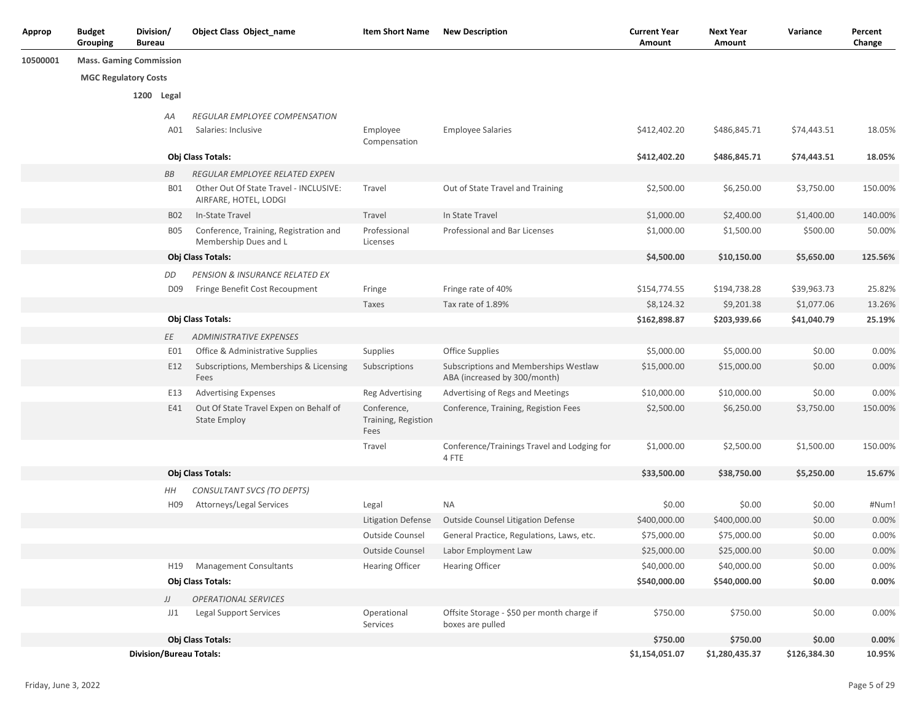| Approp   | <b>Budget</b><br>Grouping      | Division/<br><b>Bureau</b> |                 | <b>Object Class Object_name</b>                                 | <b>Item Short Name</b>                     | <b>New Description</b>                                                | <b>Current Year</b><br>Amount | <b>Next Year</b><br>Amount | Variance     | Percent<br>Change |
|----------|--------------------------------|----------------------------|-----------------|-----------------------------------------------------------------|--------------------------------------------|-----------------------------------------------------------------------|-------------------------------|----------------------------|--------------|-------------------|
| 10500001 | <b>Mass. Gaming Commission</b> |                            |                 |                                                                 |                                            |                                                                       |                               |                            |              |                   |
|          | <b>MGC Regulatory Costs</b>    |                            |                 |                                                                 |                                            |                                                                       |                               |                            |              |                   |
|          |                                |                            | 1200 Legal      |                                                                 |                                            |                                                                       |                               |                            |              |                   |
|          |                                |                            | АA              | REGULAR EMPLOYEE COMPENSATION                                   |                                            |                                                                       |                               |                            |              |                   |
|          |                                |                            | A01             | Salaries: Inclusive                                             | Employee<br>Compensation                   | <b>Employee Salaries</b>                                              | \$412,402.20                  | \$486,845.71               | \$74,443.51  | 18.05%            |
|          |                                |                            |                 | Obj Class Totals:                                               |                                            |                                                                       | \$412,402.20                  | \$486,845.71               | \$74,443.51  | 18.05%            |
|          |                                |                            | ВB              | REGULAR EMPLOYEE RELATED EXPEN                                  |                                            |                                                                       |                               |                            |              |                   |
|          |                                |                            | B01             | Other Out Of State Travel - INCLUSIVE:<br>AIRFARE, HOTEL, LODGI | Travel                                     | Out of State Travel and Training                                      | \$2,500.00                    | \$6,250.00                 | \$3,750.00   | 150.00%           |
|          |                                |                            | <b>B02</b>      | In-State Travel                                                 | Travel                                     | In State Travel                                                       | \$1,000.00                    | \$2,400.00                 | \$1,400.00   | 140.00%           |
|          |                                |                            | <b>B05</b>      | Conference, Training, Registration and<br>Membership Dues and L | Professional<br>Licenses                   | Professional and Bar Licenses                                         | \$1,000.00                    | \$1,500.00                 | \$500.00     | 50.00%            |
|          |                                |                            |                 | Obj Class Totals:                                               |                                            |                                                                       | \$4,500.00                    | \$10,150.00                | \$5,650.00   | 125.56%           |
|          |                                |                            | DD              | PENSION & INSURANCE RELATED EX                                  |                                            |                                                                       |                               |                            |              |                   |
|          |                                |                            | D <sub>09</sub> | Fringe Benefit Cost Recoupment                                  | Fringe                                     | Fringe rate of 40%                                                    | \$154,774.55                  | \$194,738.28               | \$39,963.73  | 25.82%            |
|          |                                |                            |                 |                                                                 | Taxes                                      | Tax rate of 1.89%                                                     | \$8,124.32                    | \$9,201.38                 | \$1,077.06   | 13.26%            |
|          |                                |                            |                 | Obj Class Totals:                                               |                                            |                                                                       | \$162,898.87                  | \$203,939.66               | \$41,040.79  | 25.19%            |
|          |                                |                            | ΕE              | <b>ADMINISTRATIVE EXPENSES</b>                                  |                                            |                                                                       |                               |                            |              |                   |
|          |                                |                            | E01             | Office & Administrative Supplies                                | Supplies                                   | Office Supplies                                                       | \$5,000.00                    | \$5,000.00                 | \$0.00       | 0.00%             |
|          |                                |                            | E12             | Subscriptions, Memberships & Licensing<br>Fees                  | Subscriptions                              | Subscriptions and Memberships Westlaw<br>ABA (increased by 300/month) | \$15,000.00                   | \$15,000.00                | \$0.00       | 0.00%             |
|          |                                |                            | E13             | <b>Advertising Expenses</b>                                     | <b>Reg Advertising</b>                     | Advertising of Regs and Meetings                                      | \$10,000.00                   | \$10,000.00                | \$0.00       | 0.00%             |
|          |                                |                            | E41             | Out Of State Travel Expen on Behalf of<br><b>State Employ</b>   | Conference,<br>Training, Registion<br>Fees | Conference, Training, Registion Fees                                  | \$2,500.00                    | \$6,250.00                 | \$3,750.00   | 150.00%           |
|          |                                |                            |                 |                                                                 | Travel                                     | Conference/Trainings Travel and Lodging for<br>4 FTE                  | \$1,000.00                    | \$2,500.00                 | \$1,500.00   | 150.00%           |
|          |                                |                            |                 | Obj Class Totals:                                               |                                            |                                                                       | \$33,500.00                   | \$38,750.00                | \$5,250.00   | 15.67%            |
|          |                                |                            | HΗ              | CONSULTANT SVCS (TO DEPTS)                                      |                                            |                                                                       |                               |                            |              |                   |
|          |                                |                            | H <sub>09</sub> | Attorneys/Legal Services                                        | Legal                                      | <b>NA</b>                                                             | \$0.00                        | \$0.00                     | \$0.00       | #Num!             |
|          |                                |                            |                 |                                                                 | <b>Litigation Defense</b>                  | Outside Counsel Litigation Defense                                    | \$400,000.00                  | \$400,000.00               | \$0.00       | 0.00%             |
|          |                                |                            |                 |                                                                 | Outside Counsel                            | General Practice, Regulations, Laws, etc.                             | \$75,000.00                   | \$75,000.00                | \$0.00       | 0.00%             |
|          |                                |                            |                 |                                                                 | Outside Counsel                            | Labor Employment Law                                                  | \$25,000.00                   | \$25,000.00                | \$0.00       | 0.00%             |
|          |                                |                            | H19             | <b>Management Consultants</b>                                   | <b>Hearing Officer</b>                     | <b>Hearing Officer</b>                                                | \$40,000.00                   | \$40,000.00                | \$0.00       | 0.00%             |
|          |                                |                            |                 | Obj Class Totals:                                               |                                            |                                                                       | \$540,000.00                  | \$540,000.00               | \$0.00       | $0.00\%$          |
|          |                                |                            | JJ              | <b>OPERATIONAL SERVICES</b>                                     |                                            |                                                                       |                               |                            |              |                   |
|          |                                |                            | JJ1             | <b>Legal Support Services</b>                                   | Operational<br>Services                    | Offsite Storage - \$50 per month charge if<br>boxes are pulled        | \$750.00                      | \$750.00                   | \$0.00       | 0.00%             |
|          |                                |                            |                 | Obj Class Totals:                                               |                                            |                                                                       | \$750.00                      | \$750.00                   | \$0.00       | 0.00%             |
|          |                                |                            |                 | <b>Division/Bureau Totals:</b>                                  |                                            |                                                                       | \$1,154,051.07                | \$1,280,435.37             | \$126,384.30 | 10.95%            |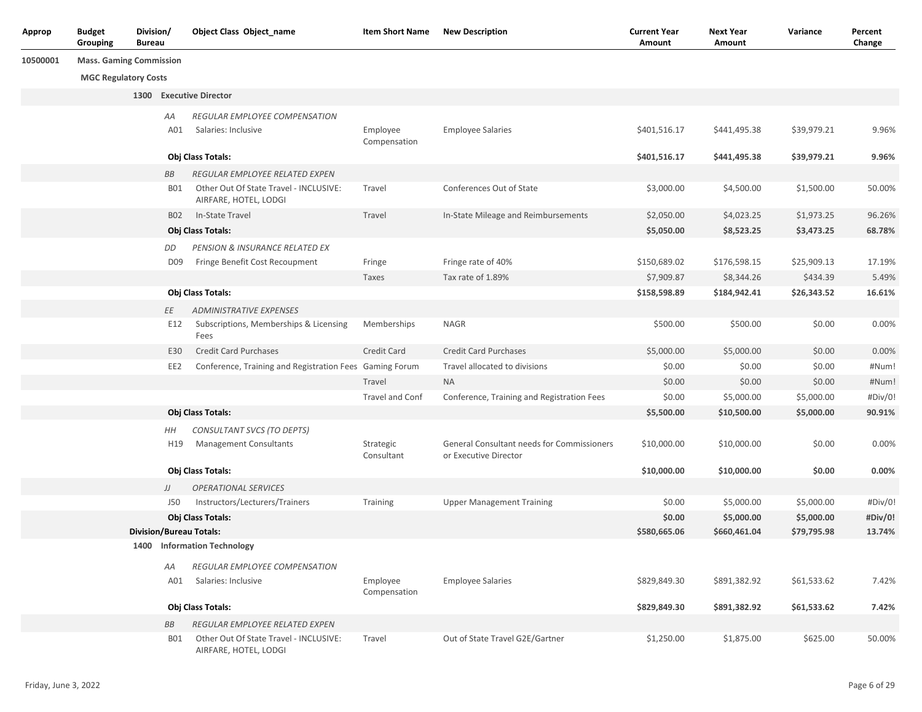| Approp   | <b>Budget</b><br>Grouping      | Division/<br>Bureau |                 | Object Class Object_name                                        | <b>Item Short Name</b>   | <b>New Description</b>                                              | <b>Current Year</b><br>Amount | <b>Next Year</b><br>Amount | Variance    | Percent<br>Change |
|----------|--------------------------------|---------------------|-----------------|-----------------------------------------------------------------|--------------------------|---------------------------------------------------------------------|-------------------------------|----------------------------|-------------|-------------------|
| 10500001 | <b>Mass. Gaming Commission</b> |                     |                 |                                                                 |                          |                                                                     |                               |                            |             |                   |
|          | <b>MGC Regulatory Costs</b>    |                     |                 |                                                                 |                          |                                                                     |                               |                            |             |                   |
|          |                                |                     |                 | 1300 Executive Director                                         |                          |                                                                     |                               |                            |             |                   |
|          |                                |                     | АA              | REGULAR EMPLOYEE COMPENSATION                                   |                          |                                                                     |                               |                            |             |                   |
|          |                                |                     | A01             | Salaries: Inclusive                                             | Employee                 | <b>Employee Salaries</b>                                            | \$401,516.17                  | \$441,495.38               | \$39,979.21 | 9.96%             |
|          |                                |                     |                 |                                                                 | Compensation             |                                                                     |                               |                            |             |                   |
|          |                                |                     |                 | Obj Class Totals:                                               |                          |                                                                     | \$401,516.17                  | \$441,495.38               | \$39,979.21 | 9.96%             |
|          |                                |                     | ВB              | REGULAR EMPLOYEE RELATED EXPEN                                  |                          |                                                                     |                               |                            |             |                   |
|          |                                |                     | <b>B01</b>      | Other Out Of State Travel - INCLUSIVE:<br>AIRFARE, HOTEL, LODGI | Travel                   | Conferences Out of State                                            | \$3,000.00                    | \$4,500.00                 | \$1,500.00  | 50.00%            |
|          |                                |                     | <b>B02</b>      | In-State Travel                                                 | Travel                   | In-State Mileage and Reimbursements                                 | \$2,050.00                    | \$4,023.25                 | \$1,973.25  | 96.26%            |
|          |                                |                     |                 | Obj Class Totals:                                               |                          |                                                                     | \$5,050.00                    | \$8,523.25                 | \$3,473.25  | 68.78%            |
|          |                                |                     | DD              | PENSION & INSURANCE RELATED EX                                  |                          |                                                                     |                               |                            |             |                   |
|          |                                |                     | D <sub>09</sub> | Fringe Benefit Cost Recoupment                                  | Fringe                   | Fringe rate of 40%                                                  | \$150,689.02                  | \$176,598.15               | \$25,909.13 | 17.19%            |
|          |                                |                     |                 |                                                                 | Taxes                    | Tax rate of 1.89%                                                   | \$7,909.87                    | \$8,344.26                 | \$434.39    | 5.49%             |
|          |                                |                     |                 | Obj Class Totals:                                               |                          |                                                                     | \$158,598.89                  | \$184,942.41               | \$26,343.52 | 16.61%            |
|          |                                |                     | ЕE              | <b>ADMINISTRATIVE EXPENSES</b>                                  |                          |                                                                     |                               |                            |             |                   |
|          |                                |                     | E12             | Subscriptions, Memberships & Licensing<br>Fees                  | Memberships              | <b>NAGR</b>                                                         | \$500.00                      | \$500.00                   | \$0.00      | 0.00%             |
|          |                                |                     | E30             | <b>Credit Card Purchases</b>                                    | Credit Card              | <b>Credit Card Purchases</b>                                        | \$5,000.00                    | \$5,000.00                 | \$0.00      | 0.00%             |
|          |                                |                     | EE2             | Conference, Training and Registration Fees Gaming Forum         |                          | Travel allocated to divisions                                       | \$0.00                        | \$0.00                     | \$0.00      | #Num!             |
|          |                                |                     |                 |                                                                 | Travel                   | <b>NA</b>                                                           | \$0.00                        | \$0.00                     | \$0.00      | #Num!             |
|          |                                |                     |                 |                                                                 | Travel and Conf          | Conference, Training and Registration Fees                          | \$0.00                        | \$5,000.00                 | \$5,000.00  | #Div/0!           |
|          |                                |                     |                 | Obj Class Totals:                                               |                          |                                                                     | \$5,500.00                    | \$10,500.00                | \$5,000.00  | 90.91%            |
|          |                                |                     | HН              | CONSULTANT SVCS (TO DEPTS)                                      |                          |                                                                     |                               |                            |             |                   |
|          |                                |                     | H19             | <b>Management Consultants</b>                                   | Strategic<br>Consultant  | General Consultant needs for Commissioners<br>or Executive Director | \$10,000.00                   | \$10,000.00                | \$0.00      | 0.00%             |
|          |                                |                     |                 | Obj Class Totals:                                               |                          |                                                                     | \$10,000.00                   | \$10,000.00                | \$0.00      | 0.00%             |
|          |                                |                     | JJ              | <b>OPERATIONAL SERVICES</b>                                     |                          |                                                                     |                               |                            |             |                   |
|          |                                |                     | J50             | Instructors/Lecturers/Trainers                                  | Training                 | <b>Upper Management Training</b>                                    | \$0.00                        | \$5,000.00                 | \$5,000.00  | #Div/0!           |
|          |                                |                     |                 | Obj Class Totals:                                               |                          |                                                                     | \$0.00                        | \$5,000.00                 | \$5,000.00  | #Div/0!           |
|          |                                |                     |                 | <b>Division/Bureau Totals:</b>                                  |                          |                                                                     | \$580,665.06                  | \$660,461.04               | \$79,795.98 | 13.74%            |
|          |                                |                     |                 | 1400 Information Technology                                     |                          |                                                                     |                               |                            |             |                   |
|          |                                |                     | AA              | REGULAR EMPLOYEE COMPENSATION                                   |                          |                                                                     |                               |                            |             |                   |
|          |                                |                     | A01             | Salaries: Inclusive                                             | Employee<br>Compensation | <b>Employee Salaries</b>                                            | \$829,849.30                  | \$891,382.92               | \$61,533.62 | 7.42%             |
|          |                                |                     |                 | Obj Class Totals:                                               |                          |                                                                     | \$829,849.30                  | \$891,382.92               | \$61,533.62 | 7.42%             |
|          |                                |                     | ВB              | REGULAR EMPLOYEE RELATED EXPEN                                  |                          |                                                                     |                               |                            |             |                   |
|          |                                |                     | <b>B01</b>      | Other Out Of State Travel - INCLUSIVE:<br>AIRFARE, HOTEL, LODGI | Travel                   | Out of State Travel G2E/Gartner                                     | \$1,250.00                    | \$1,875.00                 | \$625.00    | 50.00%            |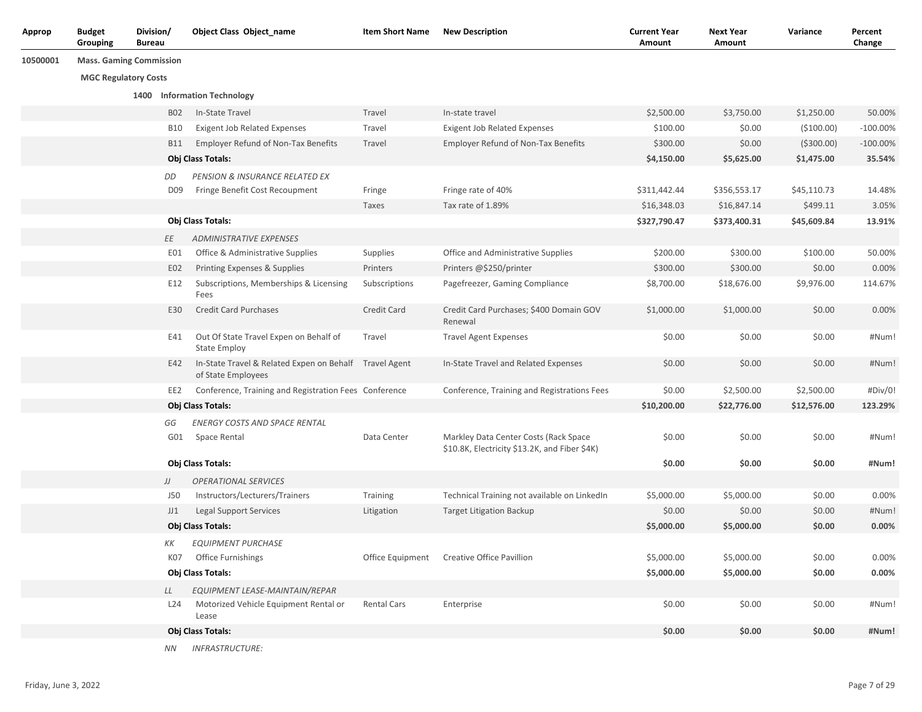| Approp   | <b>Budget</b><br>Grouping      | Division/<br><b>Bureau</b> |                 | <b>Object Class Object_name</b>                                              | <b>Item Short Name</b> | <b>New Description</b>                                                                 | <b>Current Year</b><br>Amount | <b>Next Year</b><br>Amount | Variance    | Percent<br>Change |
|----------|--------------------------------|----------------------------|-----------------|------------------------------------------------------------------------------|------------------------|----------------------------------------------------------------------------------------|-------------------------------|----------------------------|-------------|-------------------|
| 10500001 | <b>Mass. Gaming Commission</b> |                            |                 |                                                                              |                        |                                                                                        |                               |                            |             |                   |
|          | <b>MGC Regulatory Costs</b>    |                            |                 |                                                                              |                        |                                                                                        |                               |                            |             |                   |
|          |                                |                            |                 | 1400 Information Technology                                                  |                        |                                                                                        |                               |                            |             |                   |
|          |                                |                            | <b>B02</b>      | In-State Travel                                                              | Travel                 | In-state travel                                                                        | \$2,500.00                    | \$3,750.00                 | \$1,250.00  | 50.00%            |
|          |                                |                            | <b>B10</b>      | <b>Exigent Job Related Expenses</b>                                          | Travel                 | <b>Exigent Job Related Expenses</b>                                                    | \$100.00                      | \$0.00                     | ( \$100.00) | $-100.00%$        |
|          |                                |                            | B11             | <b>Employer Refund of Non-Tax Benefits</b>                                   | Travel                 | <b>Employer Refund of Non-Tax Benefits</b>                                             | \$300.00                      | \$0.00                     | ( \$300.00) | $-100.00\%$       |
|          |                                |                            |                 | <b>Obj Class Totals:</b>                                                     |                        |                                                                                        | \$4,150.00                    | \$5,625.00                 | \$1,475.00  | 35.54%            |
|          |                                |                            | DD              | PENSION & INSURANCE RELATED EX                                               |                        |                                                                                        |                               |                            |             |                   |
|          |                                |                            | D <sub>09</sub> | Fringe Benefit Cost Recoupment                                               | Fringe                 | Fringe rate of 40%                                                                     | \$311,442.44                  | \$356,553.17               | \$45,110.73 | 14.48%            |
|          |                                |                            |                 |                                                                              | Taxes                  | Tax rate of 1.89%                                                                      | \$16,348.03                   | \$16,847.14                | \$499.11    | 3.05%             |
|          |                                |                            |                 | Obj Class Totals:                                                            |                        |                                                                                        | \$327,790.47                  | \$373,400.31               | \$45,609.84 | 13.91%            |
|          |                                |                            | EE              | <b>ADMINISTRATIVE EXPENSES</b>                                               |                        |                                                                                        |                               |                            |             |                   |
|          |                                |                            | E01             | Office & Administrative Supplies                                             | Supplies               | Office and Administrative Supplies                                                     | \$200.00                      | \$300.00                   | \$100.00    | 50.00%            |
|          |                                |                            | E02             | Printing Expenses & Supplies                                                 | Printers               | Printers @\$250/printer                                                                | \$300.00                      | \$300.00                   | \$0.00      | 0.00%             |
|          |                                |                            | E12             | Subscriptions, Memberships & Licensing<br>Fees                               | Subscriptions          | Pagefreezer, Gaming Compliance                                                         | \$8,700.00                    | \$18,676.00                | \$9,976.00  | 114.67%           |
|          |                                |                            | E30             | <b>Credit Card Purchases</b>                                                 | Credit Card            | Credit Card Purchases; \$400 Domain GOV<br>Renewal                                     | \$1,000.00                    | \$1,000.00                 | \$0.00      | 0.00%             |
|          |                                |                            | E41             | Out Of State Travel Expen on Behalf of<br><b>State Employ</b>                | Travel                 | <b>Travel Agent Expenses</b>                                                           | \$0.00                        | \$0.00                     | \$0.00      | #Num!             |
|          |                                |                            | E42             | In-State Travel & Related Expen on Behalf Travel Agent<br>of State Employees |                        | In-State Travel and Related Expenses                                                   | \$0.00                        | \$0.00                     | \$0.00      | #Num!             |
|          |                                |                            |                 | EE2 Conference, Training and Registration Fees Conference                    |                        | Conference, Training and Registrations Fees                                            | \$0.00                        | \$2,500.00                 | \$2,500.00  | #Div/0!           |
|          |                                |                            |                 | Obj Class Totals:                                                            |                        |                                                                                        | \$10,200.00                   | \$22,776.00                | \$12,576.00 | 123.29%           |
|          |                                |                            | GG              | <b>ENERGY COSTS AND SPACE RENTAL</b>                                         |                        |                                                                                        |                               |                            |             |                   |
|          |                                |                            | G01             | Space Rental                                                                 | Data Center            | Markley Data Center Costs (Rack Space<br>\$10.8K, Electricity \$13.2K, and Fiber \$4K) | \$0.00                        | \$0.00                     | \$0.00      | #Num!             |
|          |                                |                            |                 | Obj Class Totals:                                                            |                        |                                                                                        | \$0.00                        | \$0.00                     | \$0.00      | #Num!             |
|          |                                |                            | JJ              | <b>OPERATIONAL SERVICES</b>                                                  |                        |                                                                                        |                               |                            |             |                   |
|          |                                |                            | J50             | Instructors/Lecturers/Trainers                                               | Training               | Technical Training not available on LinkedIn                                           | \$5,000.00                    | \$5,000.00                 | \$0.00      | 0.00%             |
|          |                                |                            | JJ1             | <b>Legal Support Services</b>                                                | Litigation             | <b>Target Litigation Backup</b>                                                        | \$0.00                        | \$0.00                     | \$0.00      | #Num!             |
|          |                                |                            |                 | Obj Class Totals:                                                            |                        |                                                                                        | \$5,000.00                    | \$5,000.00                 | \$0.00      | 0.00%             |
|          |                                |                            | KК              | <b>EQUIPMENT PURCHASE</b>                                                    |                        |                                                                                        |                               |                            |             |                   |
|          |                                |                            | K07             | <b>Office Furnishings</b>                                                    |                        | Office Equipment Creative Office Pavillion                                             | \$5,000.00                    | \$5,000.00                 | \$0.00      | 0.00%             |
|          |                                |                            |                 | Obj Class Totals:                                                            |                        |                                                                                        | \$5,000.00                    | \$5,000.00                 | \$0.00      | 0.00%             |
|          |                                |                            | LL              | EQUIPMENT LEASE-MAINTAIN/REPAR                                               |                        |                                                                                        |                               |                            |             |                   |
|          |                                |                            | L24             | Motorized Vehicle Equipment Rental or<br>Lease                               | <b>Rental Cars</b>     | Enterprise                                                                             | \$0.00                        | \$0.00                     | \$0.00      | #Num!             |
|          |                                |                            |                 | Obj Class Totals:                                                            |                        |                                                                                        | \$0.00                        | \$0.00                     | \$0.00      | #Num!             |
|          |                                |                            | NN              | <b>INFRASTRUCTURE:</b>                                                       |                        |                                                                                        |                               |                            |             |                   |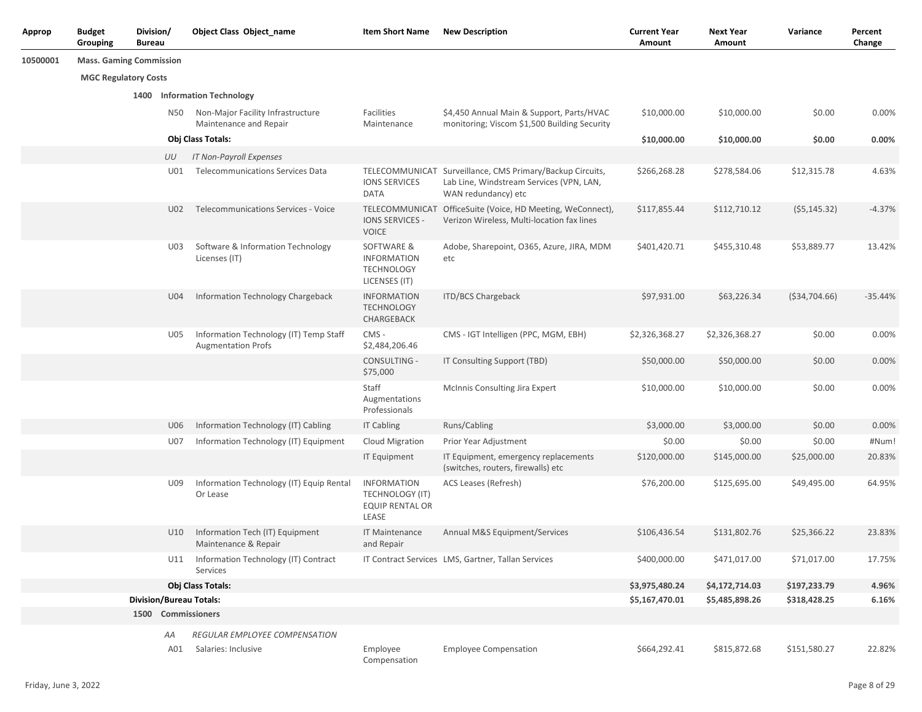| <b>Approp</b> | <b>Budget</b><br>Grouping      | Division/<br><b>Bureau</b> |           | <b>Object Class Object_name</b>                                     | <b>Item Short Name</b>                                                          | <b>New Description</b>                                                                                                       | <b>Current Year</b><br>Amount | <b>Next Year</b><br>Amount | Variance        | Percent<br>Change |
|---------------|--------------------------------|----------------------------|-----------|---------------------------------------------------------------------|---------------------------------------------------------------------------------|------------------------------------------------------------------------------------------------------------------------------|-------------------------------|----------------------------|-----------------|-------------------|
| 10500001      | <b>Mass. Gaming Commission</b> |                            |           |                                                                     |                                                                                 |                                                                                                                              |                               |                            |                 |                   |
|               | <b>MGC Regulatory Costs</b>    |                            |           |                                                                     |                                                                                 |                                                                                                                              |                               |                            |                 |                   |
|               |                                |                            |           | 1400 Information Technology                                         |                                                                                 |                                                                                                                              |                               |                            |                 |                   |
|               |                                |                            | N50       | Non-Major Facility Infrastructure<br>Maintenance and Repair         | Facilities<br>Maintenance                                                       | \$4,450 Annual Main & Support, Parts/HVAC<br>monitoring; Viscom \$1,500 Building Security                                    | \$10,000.00                   | \$10,000.00                | \$0.00          | 0.00%             |
|               |                                |                            |           | <b>Obj Class Totals:</b>                                            |                                                                                 |                                                                                                                              | \$10,000.00                   | \$10,000.00                | \$0.00          | 0.00%             |
|               |                                |                            | UU        | <b>IT Non-Payroll Expenses</b>                                      |                                                                                 |                                                                                                                              |                               |                            |                 |                   |
|               |                                |                            | U01       | <b>Telecommunications Services Data</b>                             | <b>IONS SERVICES</b><br><b>DATA</b>                                             | TELECOMMUNICAT Surveillance, CMS Primary/Backup Circuits,<br>Lab Line, Windstream Services (VPN, LAN,<br>WAN redundancy) etc | \$266,268.28                  | \$278,584.06               | \$12,315.78     | 4.63%             |
|               |                                |                            | U02       | <b>Telecommunications Services - Voice</b>                          | <b>IONS SERVICES -</b><br><b>VOICE</b>                                          | TELECOMMUNICAT OfficeSuite (Voice, HD Meeting, WeConnect),<br>Verizon Wireless, Multi-location fax lines                     | \$117,855.44                  | \$112,710.12               | (55, 145.32)    | $-4.37%$          |
|               |                                |                            | U03       | Software & Information Technology<br>Licenses (IT)                  | SOFTWARE &<br><b>INFORMATION</b><br><b>TECHNOLOGY</b><br>LICENSES (IT)          | Adobe, Sharepoint, O365, Azure, JIRA, MDM<br>etc                                                                             | \$401,420.71                  | \$455,310.48               | \$53,889.77     | 13.42%            |
|               |                                |                            | U04       | Information Technology Chargeback                                   | <b>INFORMATION</b><br><b>TECHNOLOGY</b><br>CHARGEBACK                           | <b>ITD/BCS Chargeback</b>                                                                                                    | \$97,931.00                   | \$63,226.34                | ( \$34, 704.66) | $-35.44%$         |
|               |                                |                            | U05       | Information Technology (IT) Temp Staff<br><b>Augmentation Profs</b> | CMS-<br>\$2,484,206.46                                                          | CMS - IGT Intelligen (PPC, MGM, EBH)                                                                                         | \$2,326,368.27                | \$2,326,368.27             | \$0.00          | 0.00%             |
|               |                                |                            |           |                                                                     | CONSULTING -<br>\$75,000                                                        | IT Consulting Support (TBD)                                                                                                  | \$50,000.00                   | \$50,000.00                | \$0.00          | 0.00%             |
|               |                                |                            |           |                                                                     | Staff<br>Augmentations<br>Professionals                                         | <b>McInnis Consulting Jira Expert</b>                                                                                        | \$10,000.00                   | \$10,000.00                | \$0.00          | 0.00%             |
|               |                                |                            | U06       | Information Technology (IT) Cabling                                 | <b>IT Cabling</b>                                                               | Runs/Cabling                                                                                                                 | \$3,000.00                    | \$3,000.00                 | \$0.00          | 0.00%             |
|               |                                |                            | U07       | Information Technology (IT) Equipment                               | <b>Cloud Migration</b>                                                          | Prior Year Adjustment                                                                                                        | \$0.00                        | \$0.00                     | \$0.00          | #Num!             |
|               |                                |                            |           |                                                                     | <b>IT Equipment</b>                                                             | IT Equipment, emergency replacements<br>(switches, routers, firewalls) etc                                                   | \$120,000.00                  | \$145,000.00               | \$25,000.00     | 20.83%            |
|               |                                |                            | U09       | Information Technology (IT) Equip Rental<br>Or Lease                | <b>INFORMATION</b><br><b>TECHNOLOGY (IT)</b><br><b>EQUIP RENTAL OR</b><br>LEASE | ACS Leases (Refresh)                                                                                                         | \$76,200.00                   | \$125,695.00               | \$49,495.00     | 64.95%            |
|               |                                |                            | U10       | Information Tech (IT) Equipment<br>Maintenance & Repair             | <b>IT Maintenance</b><br>and Repair                                             | Annual M&S Equipment/Services                                                                                                | \$106,436.54                  | \$131,802.76               | \$25,366.22     | 23.83%            |
|               |                                |                            |           | U11 Information Technology (IT) Contract<br>Services                |                                                                                 | IT Contract Services LMS, Gartner, Tallan Services                                                                           | \$400,000.00                  | \$471,017.00               | \$71,017.00     | 17.75%            |
|               |                                |                            |           | Obj Class Totals:                                                   |                                                                                 |                                                                                                                              | \$3,975,480.24                | \$4,172,714.03             | \$197,233.79    | 4.96%             |
|               |                                |                            |           | <b>Division/Bureau Totals:</b>                                      |                                                                                 |                                                                                                                              | \$5,167,470.01                | \$5,485,898.26             | \$318,428.25    | 6.16%             |
|               |                                |                            |           | 1500 Commissioners                                                  |                                                                                 |                                                                                                                              |                               |                            |                 |                   |
|               |                                |                            | AA<br>A01 | REGULAR EMPLOYEE COMPENSATION<br>Salaries: Inclusive                | Employee<br>Compensation                                                        | <b>Employee Compensation</b>                                                                                                 | \$664,292.41                  | \$815,872.68               | \$151,580.27    | 22.82%            |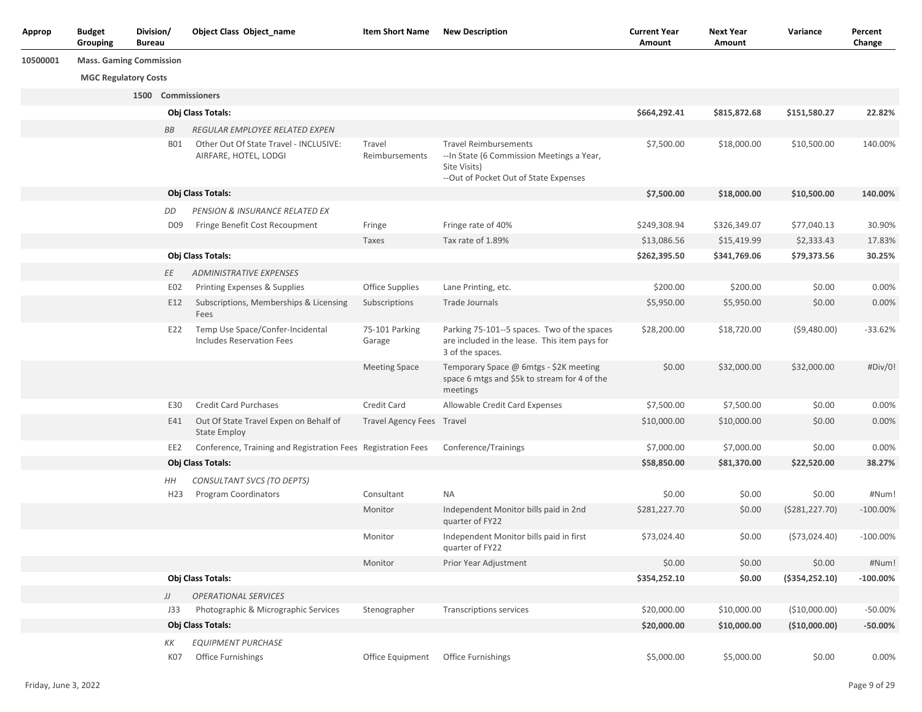| Approp   | <b>Budget</b><br>Grouping      | Division/<br><b>Bureau</b> |                 | <b>Object Class Object name</b>                                 | <b>Item Short Name</b>                | <b>New Description</b>                                                                                                             | <b>Current Year</b><br>Amount | <b>Next Year</b><br>Amount | Variance         | Percent<br>Change |
|----------|--------------------------------|----------------------------|-----------------|-----------------------------------------------------------------|---------------------------------------|------------------------------------------------------------------------------------------------------------------------------------|-------------------------------|----------------------------|------------------|-------------------|
| 10500001 | <b>Mass. Gaming Commission</b> |                            |                 |                                                                 |                                       |                                                                                                                                    |                               |                            |                  |                   |
|          | <b>MGC Regulatory Costs</b>    |                            |                 |                                                                 |                                       |                                                                                                                                    |                               |                            |                  |                   |
|          |                                |                            |                 | 1500 Commissioners                                              |                                       |                                                                                                                                    |                               |                            |                  |                   |
|          |                                |                            |                 | Obj Class Totals:                                               |                                       |                                                                                                                                    | \$664,292.41                  | \$815,872.68               | \$151,580.27     | 22.82%            |
|          |                                |                            | BB              | REGULAR EMPLOYEE RELATED EXPEN                                  |                                       |                                                                                                                                    |                               |                            |                  |                   |
|          |                                |                            | <b>B01</b>      | Other Out Of State Travel - INCLUSIVE:<br>AIRFARE, HOTEL, LODGI | Travel<br>Reimbursements              | <b>Travel Reimbursements</b><br>--In State (6 Commission Meetings a Year,<br>Site Visits)<br>--Out of Pocket Out of State Expenses | \$7,500.00                    | \$18,000.00                | \$10,500.00      | 140.00%           |
|          |                                |                            |                 | Obj Class Totals:                                               |                                       |                                                                                                                                    | \$7,500.00                    | \$18,000.00                | \$10,500.00      | 140.00%           |
|          |                                |                            | DD              | PENSION & INSURANCE RELATED EX                                  |                                       |                                                                                                                                    |                               |                            |                  |                   |
|          |                                |                            | D <sub>09</sub> | Fringe Benefit Cost Recoupment                                  | Fringe                                | Fringe rate of 40%                                                                                                                 | \$249,308.94                  | \$326,349.07               | \$77,040.13      | 30.90%            |
|          |                                |                            |                 |                                                                 | Taxes                                 | Tax rate of 1.89%                                                                                                                  | \$13,086.56                   | \$15,419.99                | \$2,333.43       | 17.83%            |
|          |                                |                            |                 | Obj Class Totals:                                               |                                       |                                                                                                                                    | \$262,395.50                  | \$341,769.06               | \$79,373.56      | 30.25%            |
|          |                                |                            | ΕE              | <b>ADMINISTRATIVE EXPENSES</b>                                  |                                       |                                                                                                                                    |                               |                            |                  |                   |
|          |                                |                            | E02             | Printing Expenses & Supplies                                    | <b>Office Supplies</b>                | Lane Printing, etc.                                                                                                                | \$200.00                      | \$200.00                   | \$0.00           | 0.00%             |
|          |                                |                            | E12             | Subscriptions, Memberships & Licensing<br>Fees                  | Subscriptions                         | Trade Journals                                                                                                                     | \$5,950.00                    | \$5,950.00                 | \$0.00           | 0.00%             |
|          |                                |                            | E22             | Temp Use Space/Confer-Incidental<br>Includes Reservation Fees   | 75-101 Parking<br>Garage              | Parking 75-101--5 spaces. Two of the spaces<br>are included in the lease. This item pays for<br>3 of the spaces.                   | \$28,200.00                   | \$18,720.00                | (59,480.00)      | $-33.62%$         |
|          |                                |                            |                 |                                                                 | <b>Meeting Space</b>                  | Temporary Space @ 6mtgs - \$2K meeting<br>space 6 mtgs and \$5k to stream for 4 of the<br>meetings                                 | \$0.00                        | \$32,000.00                | \$32,000.00      | #Div/0!           |
|          |                                |                            | E30             | <b>Credit Card Purchases</b>                                    | Credit Card                           | Allowable Credit Card Expenses                                                                                                     | \$7,500.00                    | \$7,500.00                 | \$0.00           | 0.00%             |
|          |                                |                            | E41             | Out Of State Travel Expen on Behalf of<br><b>State Employ</b>   | Travel Agency Fees Travel             |                                                                                                                                    | \$10,000.00                   | \$10,000.00                | \$0.00           | 0.00%             |
|          |                                |                            | EE2             | Conference, Training and Registration Fees Registration Fees    |                                       | Conference/Trainings                                                                                                               | \$7,000.00                    | \$7,000.00                 | \$0.00           | 0.00%             |
|          |                                |                            |                 | Obj Class Totals:                                               |                                       |                                                                                                                                    | \$58,850.00                   | \$81,370.00                | \$22,520.00      | 38.27%            |
|          |                                |                            | HН              | CONSULTANT SVCS (TO DEPTS)                                      |                                       |                                                                                                                                    |                               |                            |                  |                   |
|          |                                |                            | H <sub>23</sub> | Program Coordinators                                            | Consultant                            | NA                                                                                                                                 | \$0.00                        | \$0.00                     | \$0.00           | #Num!             |
|          |                                |                            |                 |                                                                 | Monitor                               | Independent Monitor bills paid in 2nd<br>quarter of FY22                                                                           | \$281,227.70                  | \$0.00                     | (5281, 227.70)   | $-100.00%$        |
|          |                                |                            |                 |                                                                 | Monitor                               | Independent Monitor bills paid in first<br>quarter of FY22                                                                         | \$73,024.40                   | \$0.00                     | (573, 024.40)    | $-100.00%$        |
|          |                                |                            |                 |                                                                 | Monitor                               | Prior Year Adjustment                                                                                                              | \$0.00                        | \$0.00                     | \$0.00           | #Num!             |
|          |                                |                            |                 | Obj Class Totals:                                               |                                       |                                                                                                                                    | \$354,252.10                  | \$0.00                     | ( \$354, 252.10) | $-100.00%$        |
|          |                                |                            | JJ              | <b>OPERATIONAL SERVICES</b>                                     |                                       |                                                                                                                                    |                               |                            |                  |                   |
|          |                                |                            | J33             | Photographic & Micrographic Services                            | Stenographer                          | <b>Transcriptions services</b>                                                                                                     | \$20,000.00                   | \$10,000.00                | (\$10,000.00)    | $-50.00%$         |
|          |                                |                            |                 | Obj Class Totals:                                               |                                       |                                                                                                                                    | \$20,000.00                   | \$10,000.00                | (\$10,000.00)    | $-50.00%$         |
|          |                                |                            | ΚK<br>K07       | <b>EQUIPMENT PURCHASE</b><br><b>Office Furnishings</b>          | Office Equipment   Office Furnishings |                                                                                                                                    | \$5,000.00                    | \$5,000.00                 | \$0.00           | 0.00%             |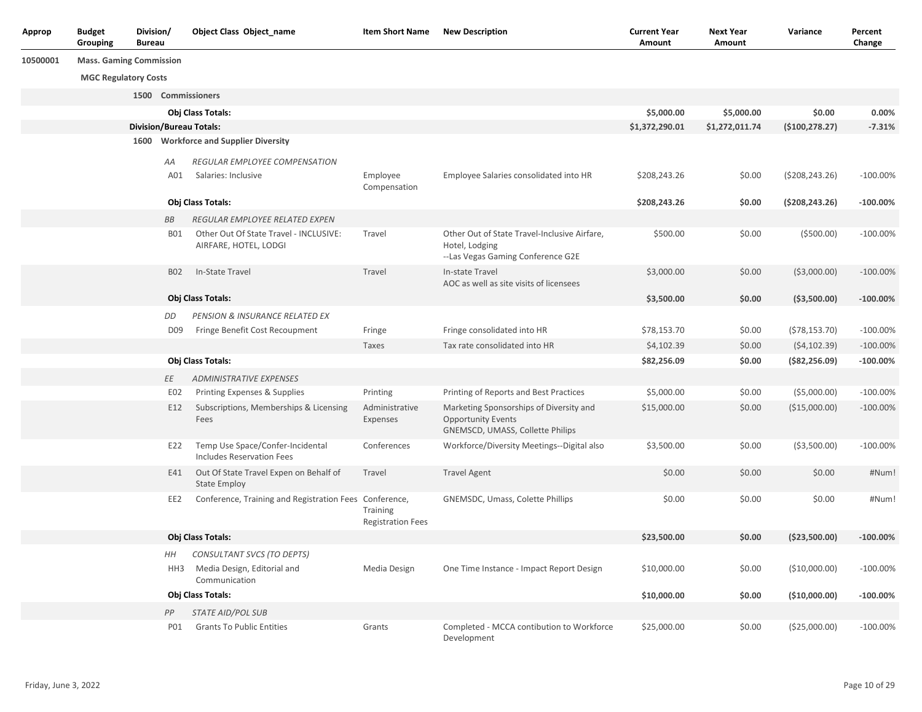| Approp   | <b>Budget</b><br>Grouping      | Division/<br><b>Bureau</b> |                 | <b>Object Class Object_name</b>                                      | <b>Item Short Name</b>                      | <b>New Description</b>                                                                                   | <b>Current Year</b><br>Amount | <b>Next Year</b><br>Amount | Variance         | Percent<br>Change |
|----------|--------------------------------|----------------------------|-----------------|----------------------------------------------------------------------|---------------------------------------------|----------------------------------------------------------------------------------------------------------|-------------------------------|----------------------------|------------------|-------------------|
| 10500001 | <b>Mass. Gaming Commission</b> |                            |                 |                                                                      |                                             |                                                                                                          |                               |                            |                  |                   |
|          | <b>MGC Regulatory Costs</b>    |                            |                 |                                                                      |                                             |                                                                                                          |                               |                            |                  |                   |
|          |                                |                            |                 | 1500 Commissioners                                                   |                                             |                                                                                                          |                               |                            |                  |                   |
|          |                                |                            |                 | Obj Class Totals:                                                    |                                             |                                                                                                          | \$5,000.00                    | \$5,000.00                 | \$0.00           | 0.00%             |
|          |                                |                            |                 | <b>Division/Bureau Totals:</b>                                       |                                             |                                                                                                          | \$1,372,290.01                | \$1,272,011.74             | ( \$100, 278.27) | $-7.31%$          |
|          |                                | 1600                       |                 | <b>Workforce and Supplier Diversity</b>                              |                                             |                                                                                                          |                               |                            |                  |                   |
|          |                                |                            | АA              | <b>REGULAR EMPLOYEE COMPENSATION</b>                                 |                                             |                                                                                                          |                               |                            |                  |                   |
|          |                                |                            | A01             | Salaries: Inclusive                                                  | Employee<br>Compensation                    | Employee Salaries consolidated into HR                                                                   | \$208,243.26                  | \$0.00                     | ( \$208, 243.26) | $-100.00\%$       |
|          |                                |                            |                 | Obj Class Totals:                                                    |                                             |                                                                                                          | \$208,243.26                  | \$0.00                     | (5208, 243.26)   | $-100.00\%$       |
|          |                                |                            | ВB              | REGULAR EMPLOYEE RELATED EXPEN                                       |                                             |                                                                                                          |                               |                            |                  |                   |
|          |                                |                            | B01             | Other Out Of State Travel - INCLUSIVE:<br>AIRFARE, HOTEL, LODGI      | Travel                                      | Other Out of State Travel-Inclusive Airfare,<br>Hotel, Lodging<br>--Las Vegas Gaming Conference G2E      | \$500.00                      | \$0.00                     | ( \$500.00)      | $-100.00\%$       |
|          |                                |                            | <b>B02</b>      | In-State Travel                                                      | Travel                                      | In-state Travel<br>AOC as well as site visits of licensees                                               | \$3,000.00                    | \$0.00                     | ( \$3,000.00)    | $-100.00\%$       |
|          |                                |                            |                 | Obj Class Totals:                                                    |                                             |                                                                                                          | \$3,500.00                    | \$0.00                     | ( \$3,500.00)    | $-100.00\%$       |
|          |                                |                            | DD              | PENSION & INSURANCE RELATED EX                                       |                                             |                                                                                                          |                               |                            |                  |                   |
|          |                                |                            | D <sub>09</sub> | Fringe Benefit Cost Recoupment                                       | Fringe                                      | Fringe consolidated into HR                                                                              | \$78,153.70                   | \$0.00                     | (578, 153.70)    | $-100.00%$        |
|          |                                |                            |                 |                                                                      | Taxes                                       | Tax rate consolidated into HR                                                                            | \$4,102.39                    | \$0.00                     | (54, 102.39)     | $-100.00\%$       |
|          |                                |                            |                 | Obj Class Totals:                                                    |                                             |                                                                                                          | \$82,256.09                   | \$0.00                     | ( \$82, 256.09)  | $-100.00\%$       |
|          |                                |                            | ΕE              | <b>ADMINISTRATIVE EXPENSES</b>                                       |                                             |                                                                                                          |                               |                            |                  |                   |
|          |                                |                            | E02             | Printing Expenses & Supplies                                         | Printing                                    | Printing of Reports and Best Practices                                                                   | \$5,000.00                    | \$0.00                     | ( \$5,000.00)    | $-100.00\%$       |
|          |                                |                            | E12             | Subscriptions, Memberships & Licensing<br>Fees                       | Administrative<br>Expenses                  | Marketing Sponsorships of Diversity and<br><b>Opportunity Events</b><br>GNEMSCD, UMASS, Collette Philips | \$15,000.00                   | \$0.00                     | (\$15,000.00)    | $-100.00\%$       |
|          |                                |                            | E22             | Temp Use Space/Confer-Incidental<br><b>Includes Reservation Fees</b> | Conferences                                 | Workforce/Diversity Meetings--Digital also                                                               | \$3,500.00                    | \$0.00                     | ( \$3,500.00)    | $-100.00%$        |
|          |                                |                            | E41             | Out Of State Travel Expen on Behalf of<br><b>State Employ</b>        | Travel                                      | <b>Travel Agent</b>                                                                                      | \$0.00                        | \$0.00                     | \$0.00           | #Num!             |
|          |                                |                            | EE2             | Conference, Training and Registration Fees Conference,               | <b>Training</b><br><b>Registration Fees</b> | GNEMSDC, Umass, Colette Phillips                                                                         | \$0.00                        | \$0.00                     | \$0.00           | #Num!             |
|          |                                |                            |                 | Obj Class Totals:                                                    |                                             |                                                                                                          | \$23,500.00                   | \$0.00                     | ( \$23,500.00)   | $-100.00%$        |
|          |                                |                            | HН              | CONSULTANT SVCS (TO DEPTS)                                           |                                             |                                                                                                          |                               |                            |                  |                   |
|          |                                |                            | HH3             | Media Design, Editorial and<br>Communication                         | Media Design                                | One Time Instance - Impact Report Design                                                                 | \$10,000.00                   | \$0.00                     | (\$10,000.00)    | $-100.00\%$       |
|          |                                |                            |                 | Obj Class Totals:                                                    |                                             |                                                                                                          | \$10,000.00                   | \$0.00                     | (\$10,000.00)    | $-100.00\%$       |
|          |                                |                            | PP              | <b>STATE AID/POL SUB</b>                                             |                                             |                                                                                                          |                               |                            |                  |                   |
|          |                                |                            | <b>P01</b>      | <b>Grants To Public Entities</b>                                     | Grants                                      | Completed - MCCA contibution to Workforce<br>Development                                                 | \$25,000.00                   | \$0.00                     | (\$25,000.00)    | $-100.00\%$       |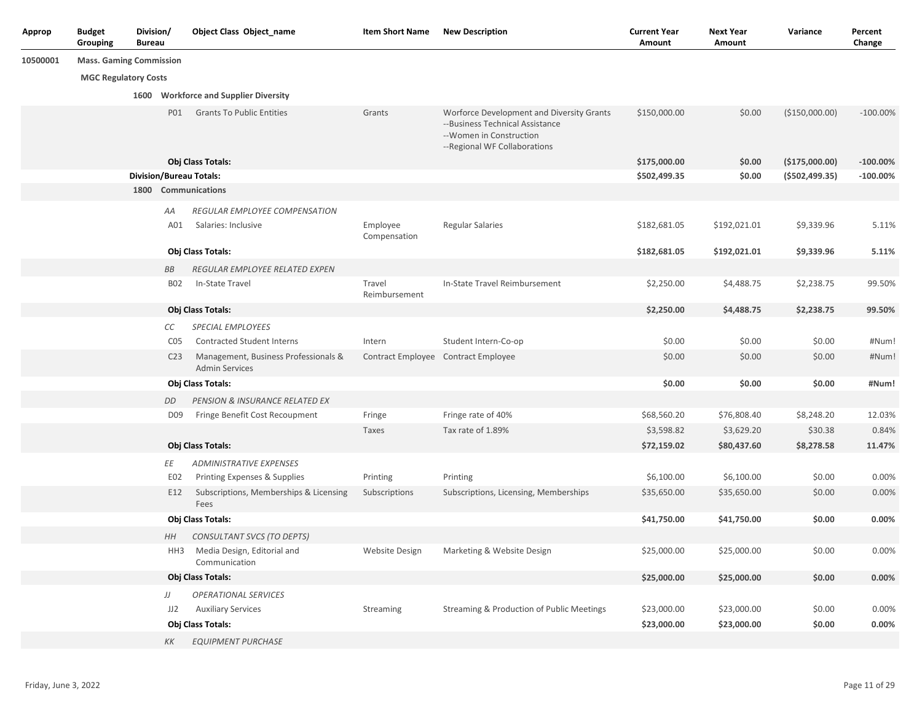| Approp   | <b>Budget</b><br>Grouping      | Division/<br><b>Bureau</b> |                 | <b>Object Class Object_name</b>                               | <b>Item Short Name</b>   | <b>New Description</b>                                                                                                                  | <b>Current Year</b><br>Amount | <b>Next Year</b><br>Amount | Variance         | Percent<br>Change |
|----------|--------------------------------|----------------------------|-----------------|---------------------------------------------------------------|--------------------------|-----------------------------------------------------------------------------------------------------------------------------------------|-------------------------------|----------------------------|------------------|-------------------|
| 10500001 | <b>Mass. Gaming Commission</b> |                            |                 |                                                               |                          |                                                                                                                                         |                               |                            |                  |                   |
|          | <b>MGC Regulatory Costs</b>    |                            |                 |                                                               |                          |                                                                                                                                         |                               |                            |                  |                   |
|          |                                |                            |                 | 1600 Workforce and Supplier Diversity                         |                          |                                                                                                                                         |                               |                            |                  |                   |
|          |                                |                            | P01             | <b>Grants To Public Entities</b>                              | Grants                   | Worforce Development and Diversity Grants<br>--Business Technical Assistance<br>--Women in Construction<br>--Regional WF Collaborations | \$150,000.00                  | \$0.00                     | (\$150,000.00)   | $-100.00\%$       |
|          |                                |                            |                 | Obj Class Totals:                                             |                          |                                                                                                                                         | \$175,000.00                  | \$0.00                     | (\$175,000.00)   | $-100.00\%$       |
|          |                                |                            |                 | <b>Division/Bureau Totals:</b>                                |                          |                                                                                                                                         | \$502,499.35                  | \$0.00                     | ( \$502, 499.35) | $-100.00\%$       |
|          |                                |                            |                 | 1800 Communications                                           |                          |                                                                                                                                         |                               |                            |                  |                   |
|          |                                |                            | АA              | REGULAR EMPLOYEE COMPENSATION                                 |                          |                                                                                                                                         |                               |                            |                  |                   |
|          |                                |                            | A01             | Salaries: Inclusive                                           | Employee<br>Compensation | <b>Regular Salaries</b>                                                                                                                 | \$182,681.05                  | \$192,021.01               | \$9,339.96       | 5.11%             |
|          |                                |                            |                 | Obj Class Totals:                                             |                          |                                                                                                                                         | \$182,681.05                  | \$192,021.01               | \$9,339.96       | 5.11%             |
|          |                                |                            | ВB              | REGULAR EMPLOYEE RELATED EXPEN                                |                          |                                                                                                                                         |                               |                            |                  |                   |
|          |                                |                            | <b>B02</b>      | In-State Travel                                               | Travel<br>Reimbursement  | In-State Travel Reimbursement                                                                                                           | \$2,250.00                    | \$4,488.75                 | \$2,238.75       | 99.50%            |
|          |                                |                            |                 | Obj Class Totals:                                             |                          |                                                                                                                                         | \$2,250.00                    | \$4,488.75                 | \$2,238.75       | 99.50%            |
|          |                                |                            | СC              | <b>SPECIAL EMPLOYEES</b>                                      |                          |                                                                                                                                         |                               |                            |                  |                   |
|          |                                |                            | C <sub>05</sub> | <b>Contracted Student Interns</b>                             | Intern                   | Student Intern-Co-op                                                                                                                    | \$0.00                        | \$0.00                     | \$0.00           | #Num!             |
|          |                                |                            | C <sub>23</sub> | Management, Business Professionals &<br><b>Admin Services</b> |                          | Contract Employee Contract Employee                                                                                                     | \$0.00                        | \$0.00                     | \$0.00           | #Num!             |
|          |                                |                            |                 | Obj Class Totals:                                             |                          |                                                                                                                                         | \$0.00                        | \$0.00                     | \$0.00           | #Num!             |
|          |                                |                            | DD              | PENSION & INSURANCE RELATED EX                                |                          |                                                                                                                                         |                               |                            |                  |                   |
|          |                                |                            | D <sub>09</sub> | Fringe Benefit Cost Recoupment                                | Fringe                   | Fringe rate of 40%                                                                                                                      | \$68,560.20                   | \$76,808.40                | \$8,248.20       | 12.03%            |
|          |                                |                            |                 |                                                               | Taxes                    | Tax rate of 1.89%                                                                                                                       | \$3,598.82                    | \$3,629.20                 | \$30.38          | 0.84%             |
|          |                                |                            |                 | Obj Class Totals:                                             |                          |                                                                                                                                         | \$72,159.02                   | \$80,437.60                | \$8,278.58       | 11.47%            |
|          |                                |                            | ΕE              | <b>ADMINISTRATIVE EXPENSES</b>                                |                          |                                                                                                                                         |                               |                            |                  |                   |
|          |                                |                            | E02             | Printing Expenses & Supplies                                  | Printing                 | Printing                                                                                                                                | \$6,100.00                    | \$6,100.00                 | \$0.00           | 0.00%             |
|          |                                |                            | E12             | Subscriptions, Memberships & Licensing<br>Fees                | Subscriptions            | Subscriptions, Licensing, Memberships                                                                                                   | \$35,650.00                   | \$35,650.00                | \$0.00           | 0.00%             |
|          |                                |                            |                 | Obj Class Totals:                                             |                          |                                                                                                                                         | \$41,750.00                   | \$41,750.00                | \$0.00           | 0.00%             |
|          |                                |                            | HH              | CONSULTANT SVCS (TO DEPTS)                                    |                          |                                                                                                                                         |                               |                            |                  |                   |
|          |                                |                            | HH3             | Media Design, Editorial and<br>Communication                  | Website Design           | Marketing & Website Design                                                                                                              | \$25,000.00                   | \$25,000.00                | \$0.00           | 0.00%             |
|          |                                |                            |                 | Obj Class Totals:                                             |                          |                                                                                                                                         | \$25,000.00                   | \$25,000.00                | \$0.00           | 0.00%             |
|          |                                |                            | IJ              | <b>OPERATIONAL SERVICES</b>                                   |                          |                                                                                                                                         |                               |                            |                  |                   |
|          |                                |                            | JJ2             | <b>Auxiliary Services</b>                                     | Streaming                | Streaming & Production of Public Meetings                                                                                               | \$23,000.00                   | \$23,000.00                | \$0.00           | 0.00%             |
|          |                                |                            |                 | Obj Class Totals:                                             |                          |                                                                                                                                         | \$23,000.00                   | \$23,000.00                | \$0.00           | 0.00%             |
|          |                                |                            | КK              | <b>EQUIPMENT PURCHASE</b>                                     |                          |                                                                                                                                         |                               |                            |                  |                   |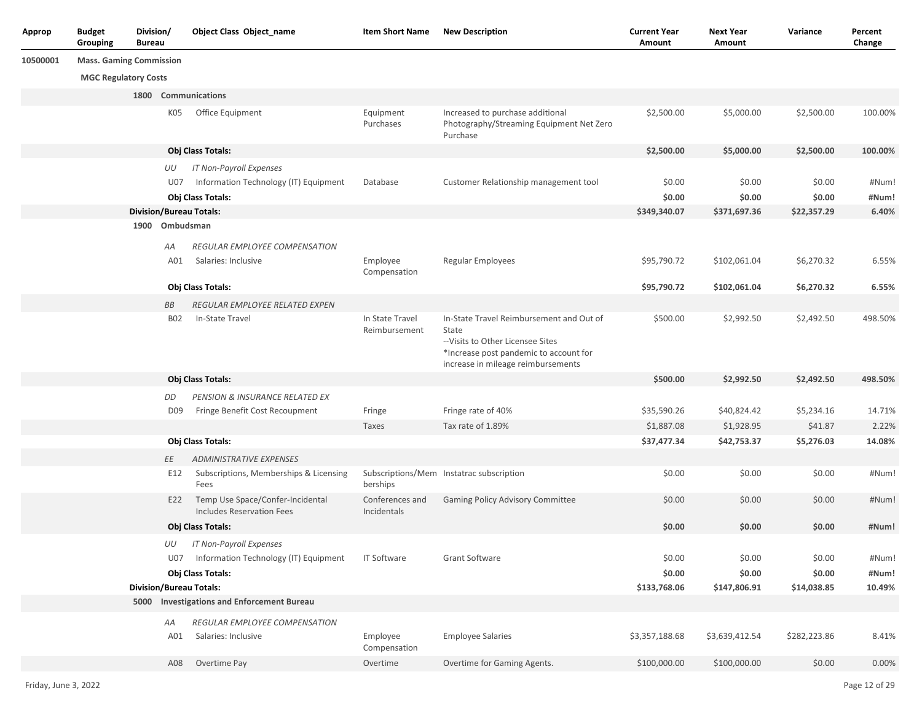| Approp   | <b>Budget</b><br>Grouping      | Division/<br><b>Bureau</b> | <b>Object Class Object_name</b>                                             | <b>Item Short Name</b>           | <b>New Description</b>                                                                                                                                                 | <b>Current Year</b><br>Amount | <b>Next Year</b><br>Amount | Variance     | Percent<br>Change |
|----------|--------------------------------|----------------------------|-----------------------------------------------------------------------------|----------------------------------|------------------------------------------------------------------------------------------------------------------------------------------------------------------------|-------------------------------|----------------------------|--------------|-------------------|
| 10500001 | <b>Mass. Gaming Commission</b> |                            |                                                                             |                                  |                                                                                                                                                                        |                               |                            |              |                   |
|          | <b>MGC Regulatory Costs</b>    |                            |                                                                             |                                  |                                                                                                                                                                        |                               |                            |              |                   |
|          |                                |                            | 1800 Communications                                                         |                                  |                                                                                                                                                                        |                               |                            |              |                   |
|          |                                |                            | K05<br>Office Equipment                                                     | Equipment<br>Purchases           | Increased to purchase additional<br>Photography/Streaming Equipment Net Zero<br>Purchase                                                                               | \$2,500.00                    | \$5,000.00                 | \$2,500.00   | 100.00%           |
|          |                                |                            | Obj Class Totals:                                                           |                                  |                                                                                                                                                                        | \$2,500.00                    | \$5,000.00                 | \$2,500.00   | 100.00%           |
|          |                                | UU                         | IT Non-Payroll Expenses                                                     |                                  |                                                                                                                                                                        |                               |                            |              |                   |
|          |                                |                            | Information Technology (IT) Equipment<br>U07                                | Database                         | Customer Relationship management tool                                                                                                                                  | \$0.00                        | \$0.00                     | \$0.00       | #Num!             |
|          |                                |                            | Obj Class Totals:                                                           |                                  |                                                                                                                                                                        | \$0.00                        | \$0.00                     | \$0.00       | #Num!             |
|          |                                |                            | <b>Division/Bureau Totals:</b>                                              |                                  |                                                                                                                                                                        | \$349,340.07                  | \$371,697.36               | \$22,357.29  | 6.40%             |
|          |                                |                            | 1900 Ombudsman                                                              |                                  |                                                                                                                                                                        |                               |                            |              |                   |
|          |                                | АA                         | REGULAR EMPLOYEE COMPENSATION                                               |                                  |                                                                                                                                                                        |                               |                            |              |                   |
|          |                                |                            | A01<br>Salaries: Inclusive                                                  | Employee<br>Compensation         | <b>Regular Employees</b>                                                                                                                                               | \$95,790.72                   | \$102,061.04               | \$6,270.32   | 6.55%             |
|          |                                |                            | Obj Class Totals:                                                           |                                  |                                                                                                                                                                        | \$95,790.72                   | \$102,061.04               | \$6,270.32   | 6.55%             |
|          |                                | BB                         | REGULAR EMPLOYEE RELATED EXPEN                                              |                                  |                                                                                                                                                                        |                               |                            |              |                   |
|          |                                |                            | In-State Travel<br><b>B02</b>                                               | In State Travel<br>Reimbursement | In-State Travel Reimbursement and Out of<br>State<br>-- Visits to Other Licensee Sites<br>*Increase post pandemic to account for<br>increase in mileage reimbursements | \$500.00                      | \$2,992.50                 | \$2,492.50   | 498.50%           |
|          |                                |                            | Obj Class Totals:                                                           |                                  |                                                                                                                                                                        | \$500.00                      | \$2,992.50                 | \$2,492.50   | 498.50%           |
|          |                                | DD                         | PENSION & INSURANCE RELATED EX                                              |                                  |                                                                                                                                                                        |                               |                            |              |                   |
|          |                                |                            | Fringe Benefit Cost Recoupment<br>D <sub>09</sub>                           | Fringe                           | Fringe rate of 40%                                                                                                                                                     | \$35,590.26                   | \$40,824.42                | \$5,234.16   | 14.71%            |
|          |                                |                            |                                                                             | Taxes                            | Tax rate of 1.89%                                                                                                                                                      | \$1,887.08                    | \$1,928.95                 | \$41.87      | 2.22%             |
|          |                                |                            | Obj Class Totals:                                                           |                                  |                                                                                                                                                                        | \$37,477.34                   | \$42,753.37                | \$5,276.03   | 14.08%            |
|          |                                | ΕE                         | <b>ADMINISTRATIVE EXPENSES</b>                                              |                                  |                                                                                                                                                                        |                               |                            |              |                   |
|          |                                |                            | E12<br>Subscriptions, Memberships & Licensing<br>Fees                       | berships                         | Subscriptions/Mem Instatrac subscription                                                                                                                               | \$0.00                        | \$0.00                     | \$0.00       | #Num!             |
|          |                                |                            | Temp Use Space/Confer-Incidental<br>E22<br><b>Includes Reservation Fees</b> | Conferences and<br>Incidentals   | Gaming Policy Advisory Committee                                                                                                                                       | \$0.00                        | \$0.00                     | \$0.00       | #Num!             |
|          |                                |                            | Obj Class Totals:                                                           |                                  |                                                                                                                                                                        | \$0.00                        | \$0.00                     | \$0.00       | #Num!             |
|          |                                |                            | UU<br><b>IT Non-Payroll Expenses</b>                                        |                                  |                                                                                                                                                                        |                               |                            |              |                   |
|          |                                |                            | U07 Information Technology (IT) Equipment                                   | <b>IT Software</b>               | <b>Grant Software</b>                                                                                                                                                  | \$0.00                        | \$0.00                     | \$0.00       | #Num!             |
|          |                                |                            | Obj Class Totals:                                                           |                                  |                                                                                                                                                                        | \$0.00                        | \$0.00                     | \$0.00       | #Num!             |
|          |                                |                            | <b>Division/Bureau Totals:</b>                                              |                                  |                                                                                                                                                                        | \$133,768.06                  | \$147,806.91               | \$14,038.85  | 10.49%            |
|          |                                |                            | 5000 Investigations and Enforcement Bureau                                  |                                  |                                                                                                                                                                        |                               |                            |              |                   |
|          |                                | AA                         | REGULAR EMPLOYEE COMPENSATION                                               |                                  |                                                                                                                                                                        |                               |                            |              |                   |
|          |                                |                            | A01<br>Salaries: Inclusive                                                  | Employee<br>Compensation         | <b>Employee Salaries</b>                                                                                                                                               | \$3,357,188.68                | \$3,639,412.54             | \$282,223.86 | 8.41%             |
|          |                                |                            | Overtime Pay<br>A08                                                         | Overtime                         | Overtime for Gaming Agents.                                                                                                                                            | \$100,000.00                  | \$100,000.00               | \$0.00       | 0.00%             |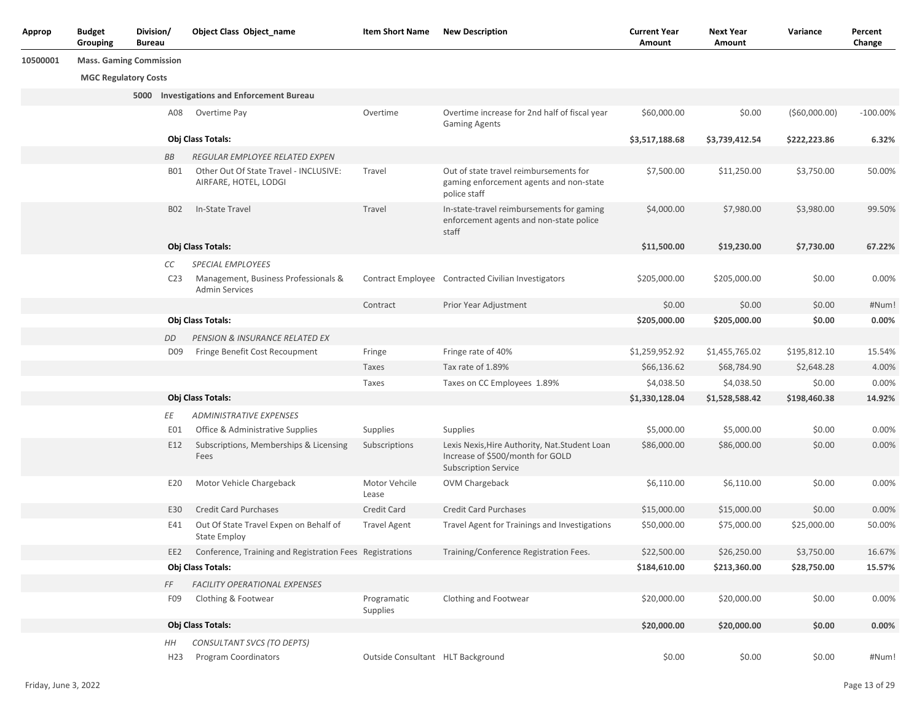| Approp   | <b>Budget</b><br>Grouping      | Division/<br><b>Bureau</b> |                 | <b>Object Class Object_name</b>                                 | <b>Item Short Name</b>            | <b>New Description</b>                                                                                            | <b>Current Year</b><br>Amount | <b>Next Year</b><br>Amount | Variance       | Percent<br>Change |
|----------|--------------------------------|----------------------------|-----------------|-----------------------------------------------------------------|-----------------------------------|-------------------------------------------------------------------------------------------------------------------|-------------------------------|----------------------------|----------------|-------------------|
| 10500001 | <b>Mass. Gaming Commission</b> |                            |                 |                                                                 |                                   |                                                                                                                   |                               |                            |                |                   |
|          | <b>MGC Regulatory Costs</b>    |                            |                 |                                                                 |                                   |                                                                                                                   |                               |                            |                |                   |
|          |                                |                            |                 | 5000 Investigations and Enforcement Bureau                      |                                   |                                                                                                                   |                               |                            |                |                   |
|          |                                |                            | A08             | Overtime Pay                                                    | Overtime                          | Overtime increase for 2nd half of fiscal year<br><b>Gaming Agents</b>                                             | \$60,000.00                   | \$0.00                     | ( \$60,000.00) | $-100.00%$        |
|          |                                |                            |                 | Obj Class Totals:                                               |                                   |                                                                                                                   | \$3,517,188.68                | \$3,739,412.54             | \$222,223.86   | 6.32%             |
|          |                                |                            | BB              | REGULAR EMPLOYEE RELATED EXPEN                                  |                                   |                                                                                                                   |                               |                            |                |                   |
|          |                                |                            | <b>B01</b>      | Other Out Of State Travel - INCLUSIVE:<br>AIRFARE, HOTEL, LODGI | Travel                            | Out of state travel reimbursements for<br>gaming enforcement agents and non-state<br>police staff                 | \$7,500.00                    | \$11,250.00                | \$3,750.00     | 50.00%            |
|          |                                |                            | <b>B02</b>      | In-State Travel                                                 | Travel                            | In-state-travel reimbursements for gaming<br>enforcement agents and non-state police<br>staff                     | \$4,000.00                    | \$7,980.00                 | \$3,980.00     | 99.50%            |
|          |                                |                            |                 | Obj Class Totals:                                               |                                   |                                                                                                                   | \$11,500.00                   | \$19,230.00                | \$7,730.00     | 67.22%            |
|          |                                |                            | СC              | <b>SPECIAL EMPLOYEES</b>                                        |                                   |                                                                                                                   |                               |                            |                |                   |
|          |                                |                            | C <sub>23</sub> | Management, Business Professionals &<br><b>Admin Services</b>   |                                   | Contract Employee Contracted Civilian Investigators                                                               | \$205,000.00                  | \$205,000.00               | \$0.00         | 0.00%             |
|          |                                |                            |                 |                                                                 | Contract                          | Prior Year Adjustment                                                                                             | \$0.00                        | \$0.00                     | \$0.00         | #Num!             |
|          |                                |                            |                 | Obj Class Totals:                                               |                                   |                                                                                                                   | \$205,000.00                  | \$205,000.00               | \$0.00         | 0.00%             |
|          |                                |                            | DD              | PENSION & INSURANCE RELATED EX                                  |                                   |                                                                                                                   |                               |                            |                |                   |
|          |                                |                            | D <sub>09</sub> | Fringe Benefit Cost Recoupment                                  | Fringe                            | Fringe rate of 40%                                                                                                | \$1,259,952.92                | \$1,455,765.02             | \$195,812.10   | 15.54%            |
|          |                                |                            |                 |                                                                 | Taxes                             | Tax rate of 1.89%                                                                                                 | \$66,136.62                   | \$68,784.90                | \$2,648.28     | 4.00%             |
|          |                                |                            |                 |                                                                 | Taxes                             | Taxes on CC Employees 1.89%                                                                                       | \$4,038.50                    | \$4,038.50                 | \$0.00         | 0.00%             |
|          |                                |                            |                 | Obj Class Totals:                                               |                                   |                                                                                                                   | \$1,330,128.04                | \$1,528,588.42             | \$198,460.38   | 14.92%            |
|          |                                |                            | ЕE              | <b>ADMINISTRATIVE EXPENSES</b>                                  |                                   |                                                                                                                   |                               |                            |                |                   |
|          |                                |                            | E01             | Office & Administrative Supplies                                | Supplies                          | Supplies                                                                                                          | \$5,000.00                    | \$5,000.00                 | \$0.00         | 0.00%             |
|          |                                |                            | E12             | Subscriptions, Memberships & Licensing<br>Fees                  | Subscriptions                     | Lexis Nexis, Hire Authority, Nat. Student Loan<br>Increase of \$500/month for GOLD<br><b>Subscription Service</b> | \$86,000.00                   | \$86,000.00                | \$0.00         | 0.00%             |
|          |                                |                            | E20             | Motor Vehicle Chargeback                                        | Motor Vehcile<br>Lease            | OVM Chargeback                                                                                                    | \$6,110.00                    | \$6,110.00                 | \$0.00         | 0.00%             |
|          |                                |                            | E30             | <b>Credit Card Purchases</b>                                    | Credit Card                       | <b>Credit Card Purchases</b>                                                                                      | \$15,000.00                   | \$15,000.00                | \$0.00         | 0.00%             |
|          |                                |                            | E41             | Out Of State Travel Expen on Behalf of<br><b>State Employ</b>   | <b>Travel Agent</b>               | Travel Agent for Trainings and Investigations                                                                     | \$50,000.00                   | \$75,000.00                | \$25,000.00    | 50.00%            |
|          |                                |                            | EE2             | Conference, Training and Registration Fees Registrations        |                                   | Training/Conference Registration Fees.                                                                            | \$22,500.00                   | \$26,250.00                | \$3,750.00     | 16.67%            |
|          |                                |                            |                 | Obj Class Totals:                                               |                                   |                                                                                                                   | \$184,610.00                  | \$213,360.00               | \$28,750.00    | 15.57%            |
|          |                                |                            | FF              | FACILITY OPERATIONAL EXPENSES                                   |                                   |                                                                                                                   |                               |                            |                |                   |
|          |                                |                            | F09             | Clothing & Footwear                                             | Programatic<br>Supplies           | Clothing and Footwear                                                                                             | \$20,000.00                   | \$20,000.00                | \$0.00         | 0.00%             |
|          |                                |                            |                 | Obj Class Totals:                                               |                                   |                                                                                                                   | \$20,000.00                   | \$20,000.00                | \$0.00         | 0.00%             |
|          |                                |                            | HН              | CONSULTANT SVCS (TO DEPTS)                                      |                                   |                                                                                                                   |                               |                            |                |                   |
|          |                                |                            | H <sub>23</sub> | <b>Program Coordinators</b>                                     | Outside Consultant HLT Background |                                                                                                                   | \$0.00                        | \$0.00                     | \$0.00         | #Num!             |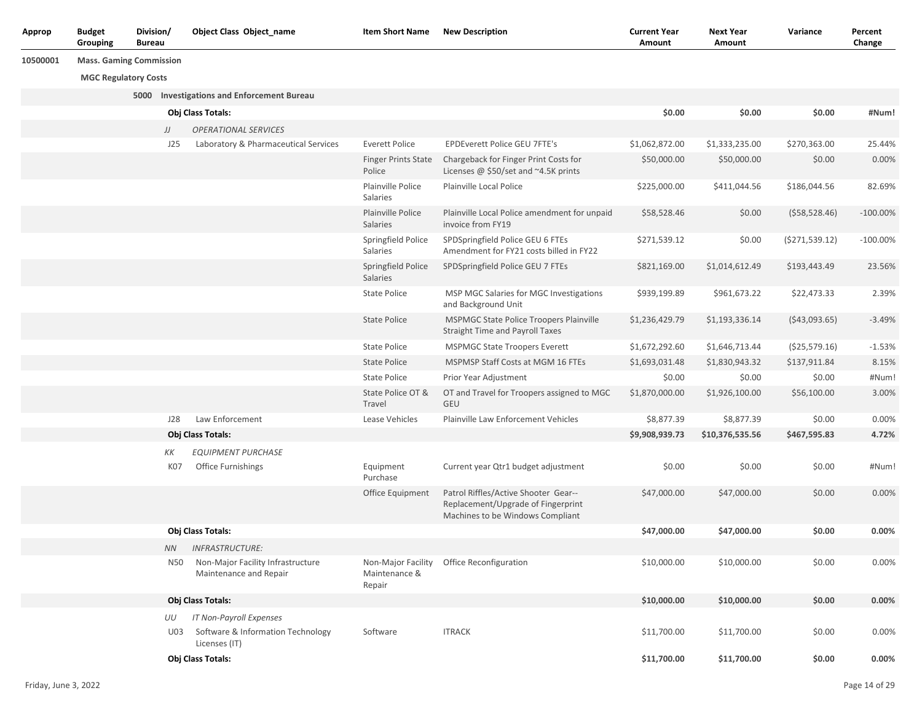| Approp   | <b>Budget</b><br>Grouping   | Division/<br><b>Bureau</b>     | <b>Object Class Object_name</b>                             | <b>Item Short Name</b>               | <b>New Description</b>                                                                                         | <b>Current Year</b><br>Amount | <b>Next Year</b><br>Amount | Variance       | Percent<br>Change |
|----------|-----------------------------|--------------------------------|-------------------------------------------------------------|--------------------------------------|----------------------------------------------------------------------------------------------------------------|-------------------------------|----------------------------|----------------|-------------------|
| 10500001 |                             | <b>Mass. Gaming Commission</b> |                                                             |                                      |                                                                                                                |                               |                            |                |                   |
|          | <b>MGC Regulatory Costs</b> |                                |                                                             |                                      |                                                                                                                |                               |                            |                |                   |
|          |                             |                                | 5000 Investigations and Enforcement Bureau                  |                                      |                                                                                                                |                               |                            |                |                   |
|          |                             |                                | Obj Class Totals:                                           |                                      |                                                                                                                | \$0.00                        | \$0.00                     | \$0.00         | #Num!             |
|          |                             | IJ                             | <b>OPERATIONAL SERVICES</b>                                 |                                      |                                                                                                                |                               |                            |                |                   |
|          |                             | J25                            | Laboratory & Pharmaceutical Services                        | <b>Everett Police</b>                | <b>EPDEverett Police GEU 7FTE's</b>                                                                            | \$1,062,872.00                | \$1,333,235.00             | \$270,363.00   | 25.44%            |
|          |                             |                                |                                                             | <b>Finger Prints State</b><br>Police | Chargeback for Finger Print Costs for<br>Licenses @ \$50/set and ~4.5K prints                                  | \$50,000.00                   | \$50,000.00                | \$0.00         | 0.00%             |
|          |                             |                                |                                                             | Plainville Police<br>Salaries        | Plainville Local Police                                                                                        | \$225,000.00                  | \$411,044.56               | \$186,044.56   | 82.69%            |
|          |                             |                                |                                                             | Plainville Police<br>Salaries        | Plainville Local Police amendment for unpaid<br>invoice from FY19                                              | \$58,528.46                   | \$0.00                     | (558, 528.46)  | $-100.00\%$       |
|          |                             |                                |                                                             | Springfield Police<br>Salaries       | SPDSpringfield Police GEU 6 FTEs<br>Amendment for FY21 costs billed in FY22                                    | \$271,539.12                  | \$0.00                     | (5271, 539.12) | $-100.00%$        |
|          |                             |                                |                                                             | Springfield Police<br>Salaries       | SPDSpringfield Police GEU 7 FTEs                                                                               | \$821,169.00                  | \$1,014,612.49             | \$193,443.49   | 23.56%            |
|          |                             |                                |                                                             | <b>State Police</b>                  | MSP MGC Salaries for MGC Investigations<br>and Background Unit                                                 | \$939,199.89                  | \$961,673.22               | \$22,473.33    | 2.39%             |
|          |                             |                                |                                                             | <b>State Police</b>                  | MSPMGC State Police Troopers Plainville<br><b>Straight Time and Payroll Taxes</b>                              | \$1,236,429.79                | \$1,193,336.14             | ( \$43,093.65) | $-3.49%$          |
|          |                             |                                |                                                             | <b>State Police</b>                  | <b>MSPMGC State Troopers Everett</b>                                                                           | \$1,672,292.60                | \$1,646,713.44             | ( \$25,579.16) | $-1.53%$          |
|          |                             |                                |                                                             | <b>State Police</b>                  | <b>MSPMSP Staff Costs at MGM 16 FTEs</b>                                                                       | \$1,693,031.48                | \$1,830,943.32             | \$137,911.84   | 8.15%             |
|          |                             |                                |                                                             | State Police                         | Prior Year Adjustment                                                                                          | \$0.00                        | \$0.00                     | \$0.00         | #Num!             |
|          |                             |                                |                                                             | State Police OT &<br>Travel          | OT and Travel for Troopers assigned to MGC<br>GEU                                                              | \$1,870,000.00                | \$1,926,100.00             | \$56,100.00    | 3.00%             |
|          |                             | J28                            | Law Enforcement                                             | Lease Vehicles                       | Plainville Law Enforcement Vehicles                                                                            | \$8,877.39                    | \$8,877.39                 | \$0.00         | 0.00%             |
|          |                             |                                | Obj Class Totals:                                           |                                      |                                                                                                                | \$9,908,939.73                | \$10,376,535.56            | \$467,595.83   | 4.72%             |
|          |                             | ΚK                             | <b>EQUIPMENT PURCHASE</b>                                   |                                      |                                                                                                                |                               |                            |                |                   |
|          |                             | K07                            | <b>Office Furnishings</b>                                   | Equipment<br>Purchase                | Current year Qtr1 budget adjustment                                                                            | \$0.00                        | \$0.00                     | \$0.00         | #Num!             |
|          |                             |                                |                                                             | Office Equipment                     | Patrol Riffles/Active Shooter Gear--<br>Replacement/Upgrade of Fingerprint<br>Machines to be Windows Compliant | \$47,000.00                   | \$47,000.00                | \$0.00         | 0.00%             |
|          |                             |                                | Obj Class Totals:                                           |                                      |                                                                                                                | \$47,000.00                   | \$47,000.00                | \$0.00         | 0.00%             |
|          |                             | NN -                           | <b>INFRASTRUCTURE:</b>                                      |                                      |                                                                                                                |                               |                            |                |                   |
|          |                             | N50                            | Non-Major Facility Infrastructure<br>Maintenance and Repair | Maintenance &<br>Repair              | Non-Major Facility Office Reconfiguration                                                                      | \$10,000.00                   | \$10,000.00                | \$0.00         | 0.00%             |
|          |                             |                                | Obj Class Totals:                                           |                                      |                                                                                                                | \$10,000.00                   | \$10,000.00                | \$0.00         | $0.00\%$          |
|          |                             | UU                             | IT Non-Payroll Expenses                                     |                                      |                                                                                                                |                               |                            |                |                   |
|          |                             | U03                            | Software & Information Technology<br>Licenses (IT)          | Software                             | <b>ITRACK</b>                                                                                                  | \$11,700.00                   | \$11,700.00                | \$0.00         | 0.00%             |
|          |                             |                                | Obj Class Totals:                                           |                                      |                                                                                                                | \$11,700.00                   | \$11,700.00                | \$0.00         | 0.00%             |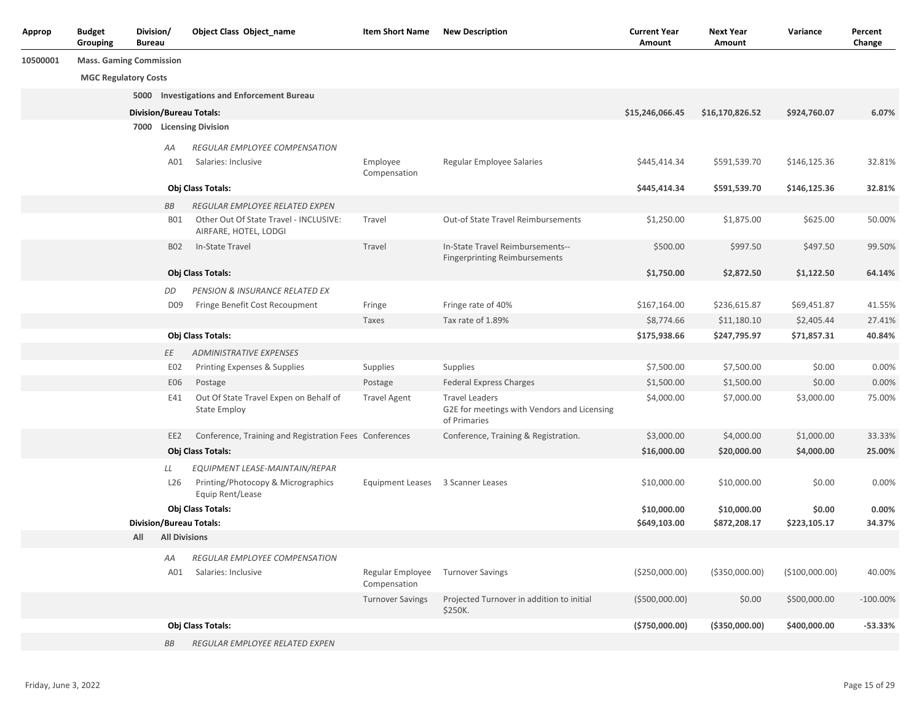| Approp   | <b>Budget</b><br>Grouping      | Division/<br><b>Bureau</b> |                      | <b>Object Class Object_name</b>                                 | <b>Item Short Name</b>            | <b>New Description</b>                                                               | <b>Current Year</b><br>Amount | <b>Next Year</b><br>Amount | Variance        | Percent<br>Change |
|----------|--------------------------------|----------------------------|----------------------|-----------------------------------------------------------------|-----------------------------------|--------------------------------------------------------------------------------------|-------------------------------|----------------------------|-----------------|-------------------|
| 10500001 | <b>Mass. Gaming Commission</b> |                            |                      |                                                                 |                                   |                                                                                      |                               |                            |                 |                   |
|          | <b>MGC Regulatory Costs</b>    |                            |                      |                                                                 |                                   |                                                                                      |                               |                            |                 |                   |
|          |                                |                            |                      | 5000 Investigations and Enforcement Bureau                      |                                   |                                                                                      |                               |                            |                 |                   |
|          |                                |                            |                      | <b>Division/Bureau Totals:</b>                                  |                                   |                                                                                      | \$15,246,066.45               | \$16,170,826.52            | \$924,760.07    | 6.07%             |
|          |                                |                            |                      | 7000 Licensing Division                                         |                                   |                                                                                      |                               |                            |                 |                   |
|          |                                |                            | АA                   | REGULAR EMPLOYEE COMPENSATION                                   |                                   |                                                                                      |                               |                            |                 |                   |
|          |                                |                            | A01                  | Salaries: Inclusive                                             | Employee<br>Compensation          | Regular Employee Salaries                                                            | \$445,414.34                  | \$591,539.70               | \$146,125.36    | 32.81%            |
|          |                                |                            |                      | Obj Class Totals:                                               |                                   |                                                                                      | \$445,414.34                  | \$591,539.70               | \$146,125.36    | 32.81%            |
|          |                                |                            | BB                   | REGULAR EMPLOYEE RELATED EXPEN                                  |                                   |                                                                                      |                               |                            |                 |                   |
|          |                                |                            | B01                  | Other Out Of State Travel - INCLUSIVE:<br>AIRFARE, HOTEL, LODGI | Travel                            | <b>Out-of State Travel Reimbursements</b>                                            | \$1,250.00                    | \$1,875.00                 | \$625.00        | 50.00%            |
|          |                                |                            | B02                  | In-State Travel                                                 | Travel                            | In-State Travel Reimbursements--<br><b>Fingerprinting Reimbursements</b>             | \$500.00                      | \$997.50                   | \$497.50        | 99.50%            |
|          |                                |                            |                      | Obj Class Totals:                                               |                                   |                                                                                      | \$1,750.00                    | \$2,872.50                 | \$1,122.50      | 64.14%            |
|          |                                |                            | DD                   | PENSION & INSURANCE RELATED EX                                  |                                   |                                                                                      |                               |                            |                 |                   |
|          |                                |                            | D <sub>09</sub>      | Fringe Benefit Cost Recoupment                                  | Fringe                            | Fringe rate of 40%                                                                   | \$167,164.00                  | \$236,615.87               | \$69,451.87     | 41.55%            |
|          |                                |                            |                      |                                                                 | Taxes                             | Tax rate of 1.89%                                                                    | \$8,774.66                    | \$11,180.10                | \$2,405.44      | 27.41%            |
|          |                                |                            |                      | Obj Class Totals:                                               |                                   |                                                                                      | \$175,938.66                  | \$247,795.97               | \$71,857.31     | 40.84%            |
|          |                                |                            | ΕE                   | <b>ADMINISTRATIVE EXPENSES</b>                                  |                                   |                                                                                      |                               |                            |                 |                   |
|          |                                |                            | E02                  | Printing Expenses & Supplies                                    | Supplies                          | Supplies                                                                             | \$7,500.00                    | \$7,500.00                 | \$0.00          | 0.00%             |
|          |                                |                            | E06                  | Postage                                                         | Postage                           | <b>Federal Express Charges</b>                                                       | \$1,500.00                    | \$1,500.00                 | \$0.00          | 0.00%             |
|          |                                |                            | E41                  | Out Of State Travel Expen on Behalf of<br><b>State Employ</b>   | <b>Travel Agent</b>               | <b>Travel Leaders</b><br>G2E for meetings with Vendors and Licensing<br>of Primaries | \$4,000.00                    | \$7,000.00                 | \$3,000.00      | 75.00%            |
|          |                                |                            | EE2                  | Conference, Training and Registration Fees Conferences          |                                   | Conference, Training & Registration.                                                 | \$3,000.00                    | \$4,000.00                 | \$1,000.00      | 33.33%            |
|          |                                |                            |                      | Obj Class Totals:                                               |                                   |                                                                                      | \$16,000.00                   | \$20,000.00                | \$4,000.00      | 25.00%            |
|          |                                |                            | LL                   | EQUIPMENT LEASE-MAINTAIN/REPAR                                  |                                   |                                                                                      |                               |                            |                 |                   |
|          |                                |                            | L26                  | Printing/Photocopy & Micrographics<br>Equip Rent/Lease          | Equipment Leases 3 Scanner Leases |                                                                                      | \$10,000.00                   | \$10,000.00                | \$0.00          | 0.00%             |
|          |                                |                            |                      | Obj Class Totals:                                               |                                   |                                                                                      | \$10,000.00                   | \$10,000.00                | \$0.00          | 0.00%             |
|          |                                |                            |                      | <b>Division/Bureau Totals:</b>                                  |                                   |                                                                                      | \$649,103.00                  | \$872,208.17               | \$223,105.17    | 34.37%            |
|          |                                | All                        | <b>All Divisions</b> |                                                                 |                                   |                                                                                      |                               |                            |                 |                   |
|          |                                |                            | AA                   | REGULAR EMPLOYEE COMPENSATION                                   |                                   |                                                                                      |                               |                            |                 |                   |
|          |                                |                            | A01                  | Salaries: Inclusive                                             | Regular Employee<br>Compensation  | <b>Turnover Savings</b>                                                              | ( \$250,000.00)               | ( \$350,000.00)            | ( \$100,000.00) | 40.00%            |
|          |                                |                            |                      |                                                                 | <b>Turnover Savings</b>           | Projected Turnover in addition to initial<br>\$250K.                                 | ( \$500,000.00)               | \$0.00                     | \$500,000.00    | $-100.00\%$       |
|          |                                |                            |                      | Obj Class Totals:                                               |                                   |                                                                                      | ( \$750,000.00)               | ( \$350,000.00)            | \$400,000.00    | $-53.33%$         |
|          |                                |                            | BB                   | REGULAR EMPLOYEE RELATED EXPEN                                  |                                   |                                                                                      |                               |                            |                 |                   |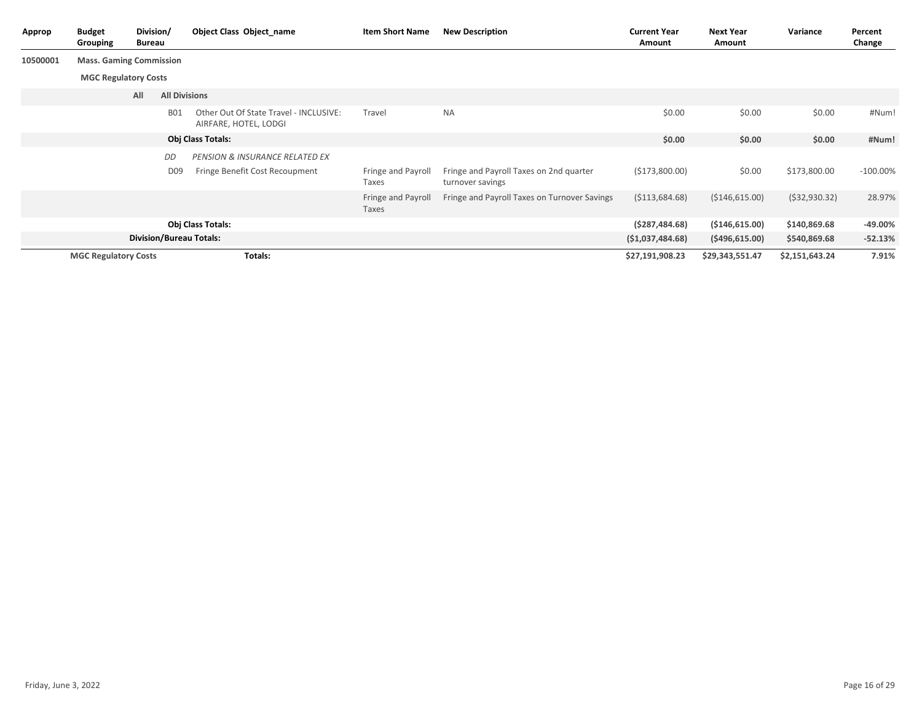| Approp   | <b>Budget</b><br>Grouping      | Division/<br>Bureau                                                                                  |                      | Object Class Object name                                        | <b>Item Short Name</b>                                      | <b>New Description</b>                       | <b>Current Year</b><br>Amount | <b>Next Year</b><br>Amount | Variance       | Percent<br>Change |
|----------|--------------------------------|------------------------------------------------------------------------------------------------------|----------------------|-----------------------------------------------------------------|-------------------------------------------------------------|----------------------------------------------|-------------------------------|----------------------------|----------------|-------------------|
| 10500001 | <b>Mass. Gaming Commission</b> |                                                                                                      |                      |                                                                 |                                                             |                                              |                               |                            |                |                   |
|          | <b>MGC Regulatory Costs</b>    |                                                                                                      |                      |                                                                 |                                                             |                                              |                               |                            |                |                   |
|          |                                | All                                                                                                  | <b>All Divisions</b> |                                                                 |                                                             |                                              |                               |                            |                |                   |
|          |                                |                                                                                                      | <b>B01</b>           | Other Out Of State Travel - INCLUSIVE:<br>AIRFARE, HOTEL, LODGI | Travel                                                      | <b>NA</b>                                    | \$0.00                        | \$0.00                     | \$0.00         | #Num!             |
|          |                                |                                                                                                      |                      | Obj Class Totals:                                               |                                                             |                                              | \$0.00                        | \$0.00                     | \$0.00         | #Num!             |
|          |                                | DD<br><b>PENSION &amp; INSURANCE RELATED EX</b><br>Fringe Benefit Cost Recoupment<br>D <sub>09</sub> |                      | Fringe and Payroll<br>Taxes                                     | Fringe and Payroll Taxes on 2nd quarter<br>turnover savings | ( \$173,800.00)                              | \$0.00                        | \$173,800.00               | $-100.00\%$    |                   |
|          |                                |                                                                                                      |                      |                                                                 | Fringe and Payroll<br>Taxes                                 | Fringe and Payroll Taxes on Turnover Savings | ( \$113,684.68)               | ( \$146, 615.00)           | (532, 930.32)  | 28.97%            |
|          |                                |                                                                                                      |                      | Obj Class Totals:                                               |                                                             |                                              | (5287, 484.68)                | ( \$146, 615.00)           | \$140,869.68   | $-49.00%$         |
|          |                                |                                                                                                      |                      | <b>Division/Bureau Totals:</b>                                  |                                                             |                                              | (51,037,484.68)               | (5496, 615.00)             | \$540,869.68   | $-52.13%$         |
|          | <b>MGC Regulatory Costs</b>    |                                                                                                      |                      | Totals:                                                         |                                                             |                                              | \$27,191,908.23               | \$29,343,551.47            | \$2,151,643.24 | 7.91%             |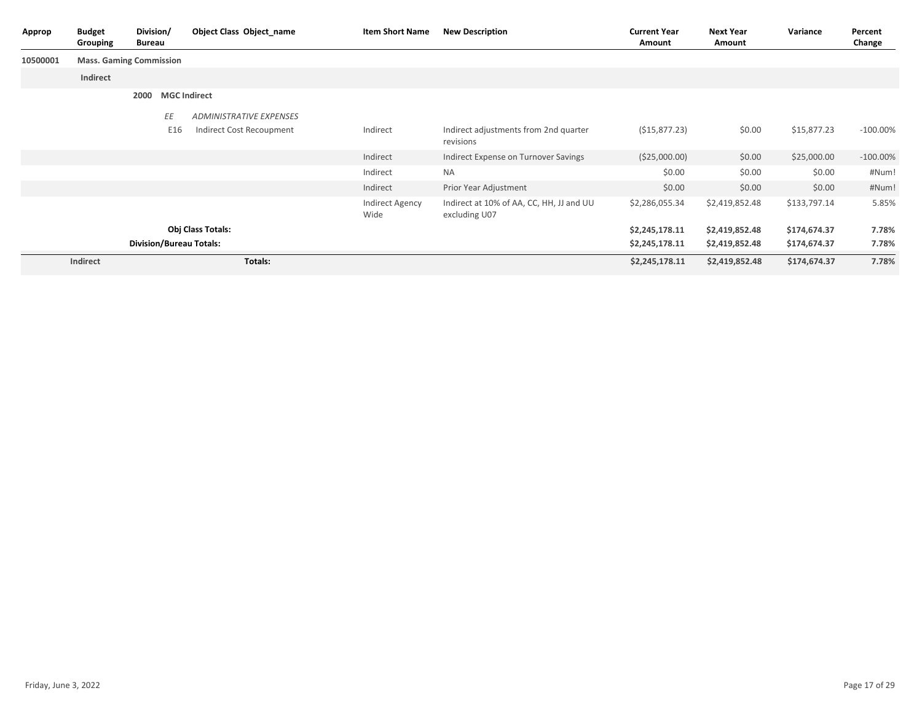| Approp   | <b>Budget</b><br>Grouping | Division/<br>Bureau            | Object Class Object name | <b>Item Short Name</b>         | <b>New Description</b>                                    | <b>Current Year</b><br>Amount | <b>Next Year</b><br>Amount | Variance     | Percent<br>Change |
|----------|---------------------------|--------------------------------|--------------------------|--------------------------------|-----------------------------------------------------------|-------------------------------|----------------------------|--------------|-------------------|
| 10500001 |                           | <b>Mass. Gaming Commission</b> |                          |                                |                                                           |                               |                            |              |                   |
|          | Indirect                  |                                |                          |                                |                                                           |                               |                            |              |                   |
|          |                           | 2000                           | <b>MGC Indirect</b>      |                                |                                                           |                               |                            |              |                   |
|          |                           | ΕE                             | ADMINISTRATIVE EXPENSES  |                                |                                                           |                               |                            |              |                   |
|          |                           | E16                            | Indirect Cost Recoupment | Indirect                       | Indirect adjustments from 2nd quarter<br>revisions        | ( \$15,877.23)                | \$0.00                     | \$15,877.23  | $-100.00\%$       |
|          |                           |                                |                          | Indirect                       | Indirect Expense on Turnover Savings                      | ( \$25,000.00)                | \$0.00                     | \$25,000.00  | $-100.00\%$       |
|          |                           |                                |                          | Indirect                       | <b>NA</b>                                                 | \$0.00                        | \$0.00                     | \$0.00       | #Num!             |
|          |                           |                                |                          | Indirect                       | Prior Year Adjustment                                     | \$0.00                        | \$0.00                     | \$0.00       | #Num!             |
|          |                           |                                |                          | <b>Indirect Agency</b><br>Wide | Indirect at 10% of AA, CC, HH, JJ and UU<br>excluding U07 | \$2,286,055.34                | \$2,419,852.48             | \$133,797.14 | 5.85%             |
|          |                           |                                | Obj Class Totals:        |                                |                                                           | \$2,245,178.11                | \$2,419,852.48             | \$174,674.37 | 7.78%             |
|          |                           | <b>Division/Bureau Totals:</b> |                          |                                |                                                           | \$2,245,178.11                | \$2,419,852.48             | \$174,674.37 | 7.78%             |
|          | Indirect                  |                                | Totals:                  |                                |                                                           | \$2,245,178.11                | \$2,419,852.48             | \$174,674.37 | 7.78%             |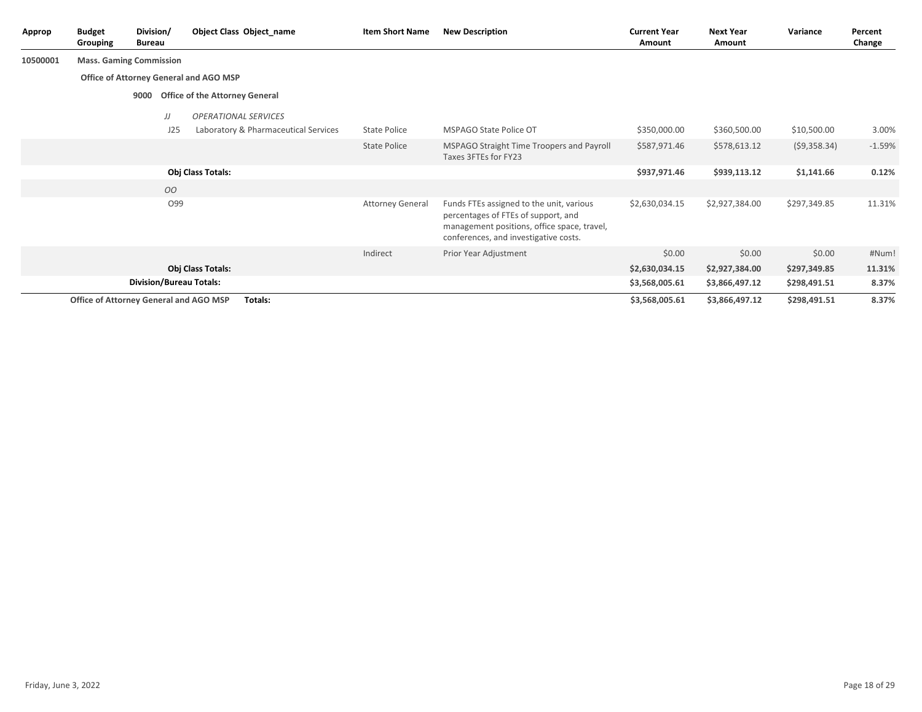| Approp   | <b>Budget</b><br>Grouping              | Division/<br><b>Bureau</b> |     | Object Class Object name               | <b>Item Short Name</b>                                                                                                                                                  | <b>New Description</b>                                            | <b>Current Year</b><br>Amount | <b>Next Year</b><br>Amount | Variance     | Percent<br>Change |
|----------|----------------------------------------|----------------------------|-----|----------------------------------------|-------------------------------------------------------------------------------------------------------------------------------------------------------------------------|-------------------------------------------------------------------|-------------------------------|----------------------------|--------------|-------------------|
| 10500001 | <b>Mass. Gaming Commission</b>         |                            |     |                                        |                                                                                                                                                                         |                                                                   |                               |                            |              |                   |
|          |                                        |                            |     | Office of Attorney General and AGO MSP |                                                                                                                                                                         |                                                                   |                               |                            |              |                   |
|          |                                        | 9000                       |     | <b>Office of the Attorney General</b>  |                                                                                                                                                                         |                                                                   |                               |                            |              |                   |
|          |                                        |                            | JJ  | <b>OPERATIONAL SERVICES</b>            |                                                                                                                                                                         |                                                                   |                               |                            |              |                   |
|          |                                        |                            | J25 | Laboratory & Pharmaceutical Services   | <b>State Police</b>                                                                                                                                                     | <b>MSPAGO State Police OT</b>                                     | \$350,000.00                  | \$360,500.00               | \$10,500.00  | 3.00%             |
|          |                                        |                            |     |                                        | <b>State Police</b>                                                                                                                                                     | MSPAGO Straight Time Troopers and Payroll<br>Taxes 3FTEs for FY23 | \$587,971.46                  | \$578,613.12               | (59,358.34)  | $-1.59%$          |
|          |                                        |                            |     | Obj Class Totals:                      |                                                                                                                                                                         |                                                                   | \$937,971.46                  | \$939,113.12               | \$1,141.66   | 0.12%             |
|          |                                        |                            | 00  |                                        |                                                                                                                                                                         |                                                                   |                               |                            |              |                   |
|          | O99                                    |                            |     | <b>Attorney General</b>                | Funds FTEs assigned to the unit, various<br>percentages of FTEs of support, and<br>management positions, office space, travel,<br>conferences, and investigative costs. | \$2,630,034.15                                                    | \$2,927,384.00                | \$297,349.85               | 11.31%       |                   |
|          |                                        |                            |     |                                        | Indirect                                                                                                                                                                | Prior Year Adjustment                                             | \$0.00                        | \$0.00                     | \$0.00       | #Num!             |
|          |                                        |                            |     | <b>Obj Class Totals:</b>               |                                                                                                                                                                         |                                                                   | \$2,630,034.15                | \$2,927,384.00             | \$297,349.85 | 11.31%            |
|          |                                        |                            |     | <b>Division/Bureau Totals:</b>         |                                                                                                                                                                         |                                                                   | \$3,568,005.61                | \$3,866,497.12             | \$298,491.51 | 8.37%             |
|          | Office of Attorney General and AGO MSP |                            |     | Totals:                                |                                                                                                                                                                         |                                                                   | \$3,568,005.61                | \$3,866,497.12             | \$298,491.51 | 8.37%             |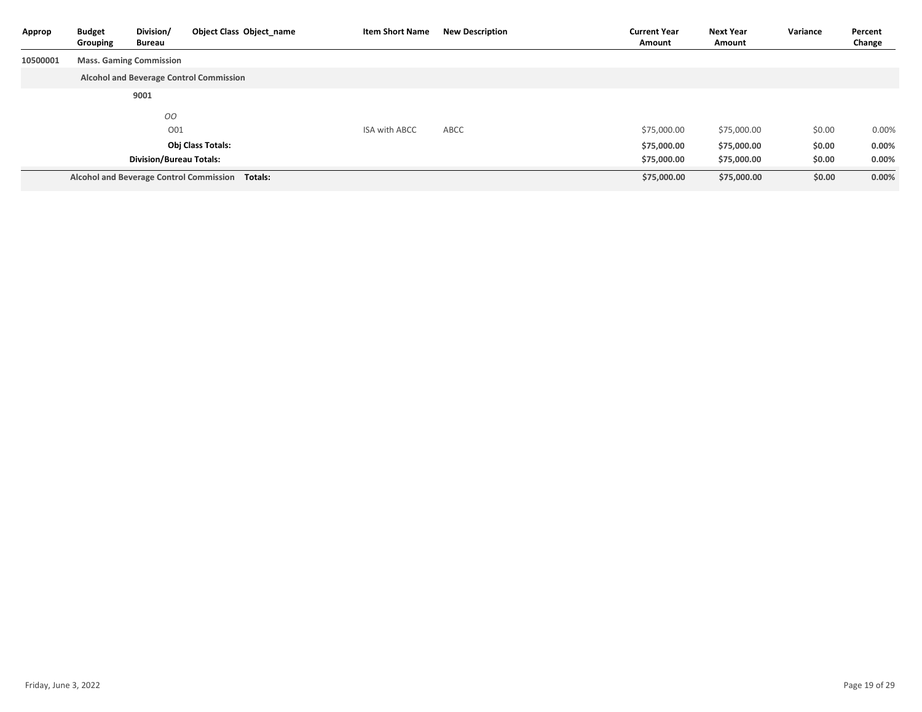| Approp   | <b>Budget</b><br>Grouping | Division/<br>Bureau            | Object Class Object name                        | <b>Item Short Name</b> | <b>New Description</b> | <b>Current Year</b><br>Amount | <b>Next Year</b><br>Amount | Variance | Percent<br>Change |
|----------|---------------------------|--------------------------------|-------------------------------------------------|------------------------|------------------------|-------------------------------|----------------------------|----------|-------------------|
| 10500001 |                           | <b>Mass. Gaming Commission</b> |                                                 |                        |                        |                               |                            |          |                   |
|          |                           |                                | <b>Alcohol and Beverage Control Commission</b>  |                        |                        |                               |                            |          |                   |
|          |                           | 9001                           |                                                 |                        |                        |                               |                            |          |                   |
|          |                           | 00                             |                                                 |                        |                        |                               |                            |          |                   |
|          |                           | O01                            |                                                 | <b>ISA with ABCC</b>   | ABCC                   | \$75,000.00                   | \$75,000.00                | \$0.00   | $0.00\%$          |
|          |                           |                                | <b>Obj Class Totals:</b>                        |                        |                        | \$75,000.00                   | \$75,000.00                | \$0.00   | $0.00\%$          |
|          |                           | <b>Division/Bureau Totals:</b> |                                                 |                        |                        | \$75,000.00                   | \$75,000.00                | \$0.00   | $0.00\%$          |
|          |                           |                                | Alcohol and Beverage Control Commission Totals: |                        |                        | \$75,000.00                   | \$75,000.00                | \$0.00   | 0.00%             |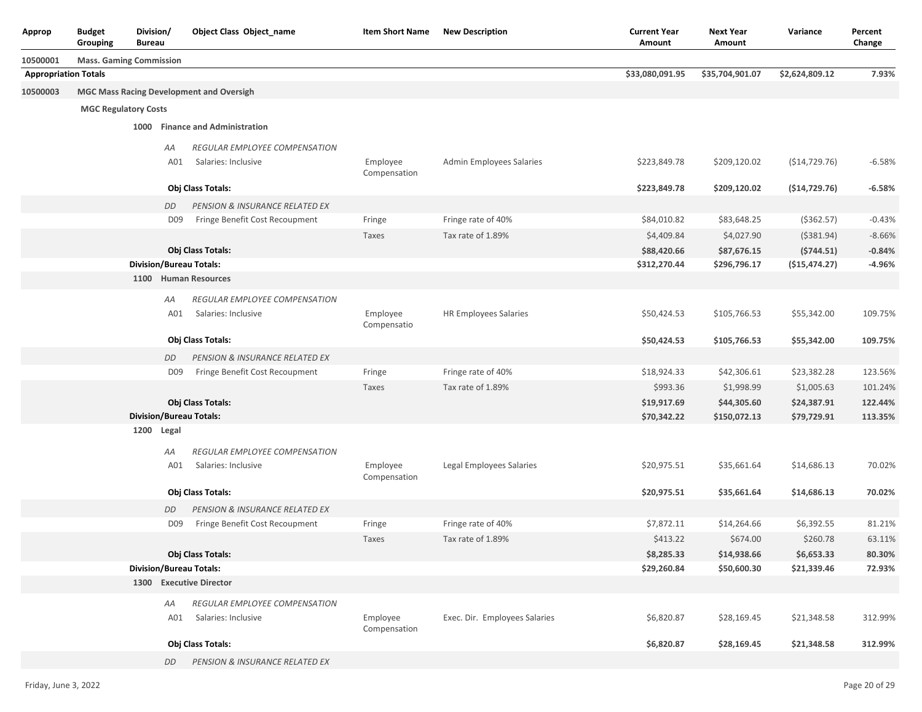| Approp                      | <b>Budget</b><br>Grouping   | Division/<br><b>Bureau</b>     |                                                             | <b>Object Class Object_name</b>                 | <b>Item Short Name</b>   | <b>New Description</b>        | <b>Current Year</b><br>Amount | <b>Next Year</b><br>Amount | Variance        | Percent<br>Change |
|-----------------------------|-----------------------------|--------------------------------|-------------------------------------------------------------|-------------------------------------------------|--------------------------|-------------------------------|-------------------------------|----------------------------|-----------------|-------------------|
| 10500001                    |                             | <b>Mass. Gaming Commission</b> |                                                             |                                                 |                          |                               |                               |                            |                 |                   |
| <b>Appropriation Totals</b> |                             |                                |                                                             |                                                 |                          |                               | \$33,080,091.95               | \$35,704,901.07            | \$2,624,809.12  | 7.93%             |
| 10500003                    |                             |                                |                                                             | <b>MGC Mass Racing Development and Oversigh</b> |                          |                               |                               |                            |                 |                   |
|                             | <b>MGC Regulatory Costs</b> |                                |                                                             |                                                 |                          |                               |                               |                            |                 |                   |
|                             |                             | 1000                           |                                                             | <b>Finance and Administration</b>               |                          |                               |                               |                            |                 |                   |
|                             |                             |                                |                                                             |                                                 |                          |                               |                               |                            |                 |                   |
|                             |                             |                                | АA                                                          | REGULAR EMPLOYEE COMPENSATION                   |                          |                               |                               |                            |                 |                   |
|                             |                             |                                | A01                                                         | Salaries: Inclusive                             | Employee<br>Compensation | Admin Employees Salaries      | \$223,849.78                  | \$209,120.02               | ( \$14, 729.76) | $-6.58%$          |
|                             |                             |                                |                                                             | Obj Class Totals:                               |                          |                               | \$223,849.78                  | \$209,120.02               | (\$14,729.76)   | $-6.58%$          |
|                             |                             |                                | DD                                                          | PENSION & INSURANCE RELATED EX                  |                          |                               |                               |                            |                 |                   |
|                             |                             |                                | D <sub>09</sub>                                             | Fringe Benefit Cost Recoupment                  | Fringe                   | Fringe rate of 40%            | \$84,010.82                   | \$83,648.25                | ( \$362.57)     | $-0.43%$          |
|                             |                             |                                |                                                             |                                                 | Taxes                    | Tax rate of 1.89%             | \$4,409.84                    | \$4,027.90                 | ( \$381.94)     | $-8.66%$          |
|                             |                             |                                |                                                             | Obj Class Totals:                               |                          |                               | \$88,420.66                   | \$87,676.15                | (5744.51)       | $-0.84%$          |
|                             |                             |                                |                                                             | <b>Division/Bureau Totals:</b>                  |                          |                               | \$312,270.44                  | \$296,796.17               | (\$15,474.27)   | $-4.96%$          |
|                             |                             |                                | 1100 Human Resources<br>REGULAR EMPLOYEE COMPENSATION<br>АA |                                                 |                          |                               |                               |                            |                 |                   |
|                             |                             |                                |                                                             |                                                 |                          |                               |                               |                            |                 |                   |
|                             |                             |                                | A01                                                         | Salaries: Inclusive                             | Employee                 | <b>HR Employees Salaries</b>  | \$50,424.53                   | \$105,766.53               | \$55,342.00     | 109.75%           |
|                             |                             |                                |                                                             |                                                 | Compensatio              |                               |                               |                            |                 |                   |
|                             |                             |                                |                                                             | Obj Class Totals:                               |                          |                               | \$50,424.53                   | \$105,766.53               | \$55,342.00     | 109.75%           |
|                             |                             |                                | DD                                                          | PENSION & INSURANCE RELATED EX                  |                          |                               |                               |                            |                 |                   |
|                             |                             |                                | D <sub>09</sub>                                             | Fringe Benefit Cost Recoupment                  | Fringe                   | Fringe rate of 40%            | \$18,924.33                   | \$42,306.61                | \$23,382.28     | 123.56%           |
|                             |                             |                                |                                                             |                                                 | Taxes                    | Tax rate of 1.89%             | \$993.36                      | \$1,998.99                 | \$1,005.63      | 101.24%           |
|                             |                             |                                |                                                             | Obj Class Totals:                               |                          |                               | \$19,917.69                   | \$44,305.60                | \$24,387.91     | 122.44%           |
|                             |                             |                                |                                                             | <b>Division/Bureau Totals:</b>                  |                          |                               | \$70,342.22                   | \$150,072.13               | \$79,729.91     | 113.35%           |
|                             |                             | 1200 Legal                     |                                                             |                                                 |                          |                               |                               |                            |                 |                   |
|                             |                             |                                | АA                                                          | REGULAR EMPLOYEE COMPENSATION                   |                          |                               |                               |                            |                 |                   |
|                             |                             |                                | A01                                                         | Salaries: Inclusive                             | Employee<br>Compensation | Legal Employees Salaries      | \$20,975.51                   | \$35,661.64                | \$14,686.13     | 70.02%            |
|                             |                             |                                |                                                             | Obj Class Totals:                               |                          |                               | \$20,975.51                   | \$35,661.64                | \$14,686.13     | 70.02%            |
|                             |                             |                                | DD                                                          | PENSION & INSURANCE RELATED EX                  |                          |                               |                               |                            |                 |                   |
|                             |                             |                                | D <sub>09</sub>                                             | Fringe Benefit Cost Recoupment                  | Fringe                   | Fringe rate of 40%            | \$7,872.11                    | \$14,264.66                | \$6,392.55      | 81.21%            |
|                             |                             |                                |                                                             |                                                 | Taxes                    | Tax rate of 1.89%             | \$413.22                      | \$674.00                   | \$260.78        | 63.11%            |
|                             |                             |                                |                                                             | Obj Class Totals:                               |                          |                               | \$8,285.33                    | \$14,938.66                | \$6,653.33      | 80.30%            |
|                             |                             |                                |                                                             | <b>Division/Bureau Totals:</b>                  |                          |                               | \$29,260.84                   | \$50,600.30                | \$21,339.46     | 72.93%            |
|                             |                             |                                |                                                             | 1300 Executive Director                         |                          |                               |                               |                            |                 |                   |
|                             |                             |                                | AA                                                          | REGULAR EMPLOYEE COMPENSATION                   |                          |                               |                               |                            |                 |                   |
|                             |                             |                                | A01                                                         | Salaries: Inclusive                             | Employee                 | Exec. Dir. Employees Salaries | \$6,820.87                    | \$28,169.45                | \$21,348.58     | 312.99%           |
|                             |                             |                                |                                                             |                                                 | Compensation             |                               |                               |                            |                 |                   |
|                             |                             |                                |                                                             | Obj Class Totals:                               |                          |                               | \$6,820.87                    | \$28,169.45                | \$21,348.58     | 312.99%           |
|                             |                             |                                | DD                                                          | PENSION & INSURANCE RELATED EX                  |                          |                               |                               |                            |                 |                   |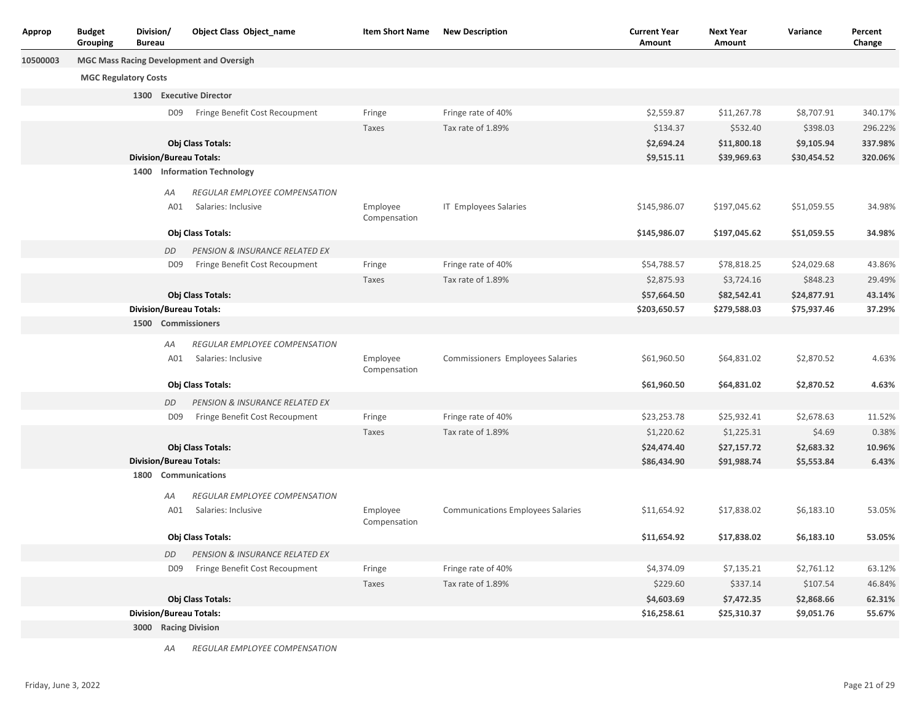| Approp   | <b>Budget</b><br>Grouping | Division/<br><b>Bureau</b>                                                     |                 | <b>Object Class Object_name</b>      | <b>Item Short Name</b>   | <b>New Description</b>                   | <b>Current Year</b><br>Amount | <b>Next Year</b><br>Amount | Variance    | Percent<br>Change |
|----------|---------------------------|--------------------------------------------------------------------------------|-----------------|--------------------------------------|--------------------------|------------------------------------------|-------------------------------|----------------------------|-------------|-------------------|
| 10500003 |                           | <b>MGC Mass Racing Development and Oversigh</b><br><b>MGC Regulatory Costs</b> |                 |                                      |                          |                                          |                               |                            |             |                   |
|          |                           |                                                                                |                 |                                      |                          |                                          |                               |                            |             |                   |
|          |                           |                                                                                |                 | 1300 Executive Director              |                          |                                          |                               |                            |             |                   |
|          |                           |                                                                                | D <sub>09</sub> | Fringe Benefit Cost Recoupment       | Fringe                   | Fringe rate of 40%                       | \$2,559.87                    | \$11,267.78                | \$8,707.91  | 340.17%           |
|          |                           |                                                                                |                 |                                      | Taxes                    | Tax rate of 1.89%                        | \$134.37                      | \$532.40                   | \$398.03    | 296.22%           |
|          |                           |                                                                                |                 | Obj Class Totals:                    |                          |                                          | \$2,694.24                    | \$11,800.18                | \$9,105.94  | 337.98%           |
|          |                           |                                                                                |                 | <b>Division/Bureau Totals:</b>       |                          |                                          | \$9,515.11                    | \$39,969.63                | \$30,454.52 | 320.06%           |
|          |                           |                                                                                |                 | 1400 Information Technology          |                          |                                          |                               |                            |             |                   |
|          |                           |                                                                                | АA              | <b>REGULAR EMPLOYEE COMPENSATION</b> |                          |                                          |                               |                            |             |                   |
|          |                           |                                                                                | A01             | Salaries: Inclusive                  | Employee<br>Compensation | IT Employees Salaries                    | \$145,986.07                  | \$197,045.62               | \$51,059.55 | 34.98%            |
|          |                           |                                                                                |                 | Obj Class Totals:                    |                          |                                          | \$145,986.07                  | \$197,045.62               | \$51,059.55 | 34.98%            |
|          |                           | PENSION & INSURANCE RELATED EX<br>DD                                           |                 |                                      |                          |                                          |                               |                            |             |                   |
|          |                           |                                                                                | D09             | Fringe Benefit Cost Recoupment       | Fringe                   | Fringe rate of 40%                       | \$54,788.57                   | \$78,818.25                | \$24,029.68 | 43.86%            |
|          |                           |                                                                                |                 |                                      | Taxes                    | Tax rate of 1.89%                        | \$2,875.93                    | \$3,724.16                 | \$848.23    | 29.49%            |
|          |                           |                                                                                |                 | Obj Class Totals:                    |                          |                                          | \$57,664.50                   | \$82,542.41                | \$24,877.91 | 43.14%            |
|          |                           | <b>Division/Bureau Totals:</b><br>1500 Commissioners                           |                 |                                      |                          | \$203,650.57                             | \$279,588.03                  | \$75,937.46                | 37.29%      |                   |
|          |                           |                                                                                |                 |                                      |                          |                                          |                               |                            |             |                   |
|          |                           |                                                                                | AA              | REGULAR EMPLOYEE COMPENSATION        |                          |                                          |                               |                            |             |                   |
|          |                           |                                                                                | A01             | Salaries: Inclusive                  | Employee<br>Compensation | Commissioners Employees Salaries         | \$61,960.50                   | \$64,831.02                | \$2,870.52  | 4.63%             |
|          |                           |                                                                                |                 | Obj Class Totals:                    |                          |                                          | \$61,960.50                   | \$64,831.02                | \$2,870.52  | 4.63%             |
|          |                           |                                                                                | DD              | PENSION & INSURANCE RELATED EX       |                          |                                          |                               |                            |             |                   |
|          |                           |                                                                                | D <sub>09</sub> | Fringe Benefit Cost Recoupment       | Fringe                   | Fringe rate of 40%                       | \$23,253.78                   | \$25,932.41                | \$2,678.63  | 11.52%            |
|          |                           |                                                                                |                 |                                      | Taxes                    | Tax rate of 1.89%                        | \$1,220.62                    | \$1,225.31                 | \$4.69      | 0.38%             |
|          |                           |                                                                                |                 | Obj Class Totals:                    |                          |                                          | \$24,474.40                   | \$27,157.72                | \$2,683.32  | 10.96%            |
|          |                           |                                                                                |                 | <b>Division/Bureau Totals:</b>       |                          |                                          | \$86,434.90                   | \$91,988.74                | \$5,553.84  | 6.43%             |
|          |                           | 1800                                                                           |                 | <b>Communications</b>                |                          |                                          |                               |                            |             |                   |
|          |                           |                                                                                | АA              | REGULAR EMPLOYEE COMPENSATION        |                          |                                          |                               |                            |             |                   |
|          |                           |                                                                                | A01             | Salaries: Inclusive                  | Employee<br>Compensation | <b>Communications Employees Salaries</b> | \$11,654.92                   | \$17,838.02                | \$6,183.10  | 53.05%            |
|          |                           |                                                                                |                 | Obj Class Totals:                    |                          |                                          | \$11,654.92                   | \$17,838.02                | \$6,183.10  | 53.05%            |
|          |                           |                                                                                | DD              | PENSION & INSURANCE RELATED EX       |                          |                                          |                               |                            |             |                   |
|          |                           |                                                                                | D09             | Fringe Benefit Cost Recoupment       | Fringe                   | Fringe rate of 40%                       | \$4,374.09                    | \$7,135.21                 | \$2,761.12  | 63.12%            |
|          |                           |                                                                                |                 |                                      | Taxes                    | Tax rate of 1.89%                        | \$229.60                      | \$337.14                   | \$107.54    | 46.84%            |
|          |                           |                                                                                |                 | Obj Class Totals:                    |                          |                                          | \$4,603.69                    | \$7,472.35                 | \$2,868.66  | 62.31%            |
|          |                           |                                                                                |                 | <b>Division/Bureau Totals:</b>       |                          |                                          | \$16,258.61                   | \$25,310.37                | \$9,051.76  | 55.67%            |
|          |                           |                                                                                |                 | 3000 Racing Division                 |                          |                                          |                               |                            |             |                   |
|          |                           |                                                                                |                 |                                      |                          |                                          |                               |                            |             |                   |

*AA REGULAR EMPLOYEE COMPENSATION*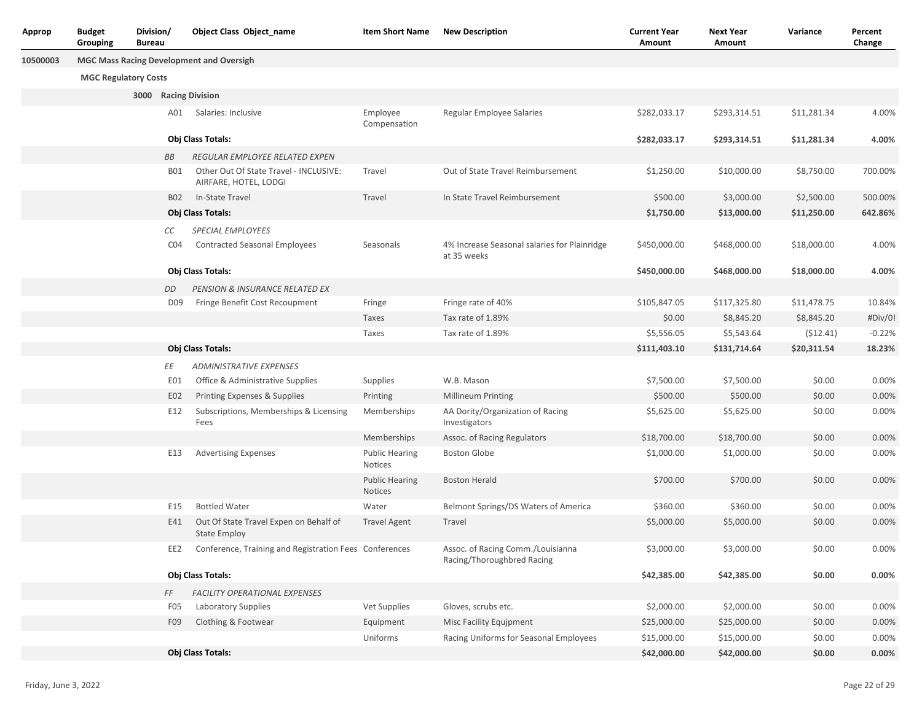| Approp   | <b>Budget</b><br>Grouping   | Division/<br><b>Bureau</b> |                 | Object Class Object name                                        | <b>Item Short Name</b>           | <b>New Description</b>                                          | <b>Current Year</b><br>Amount | <b>Next Year</b><br>Amount | Variance    | Percent<br>Change |
|----------|-----------------------------|----------------------------|-----------------|-----------------------------------------------------------------|----------------------------------|-----------------------------------------------------------------|-------------------------------|----------------------------|-------------|-------------------|
| 10500003 |                             |                            |                 | <b>MGC Mass Racing Development and Oversigh</b>                 |                                  |                                                                 |                               |                            |             |                   |
|          | <b>MGC Regulatory Costs</b> |                            |                 |                                                                 |                                  |                                                                 |                               |                            |             |                   |
|          |                             |                            |                 | 3000 Racing Division                                            |                                  |                                                                 |                               |                            |             |                   |
|          |                             |                            | A01             | Salaries: Inclusive                                             | Employee<br>Compensation         | Regular Employee Salaries                                       | \$282,033.17                  | \$293,314.51               | \$11,281.34 | 4.00%             |
|          |                             |                            |                 | Obj Class Totals:                                               |                                  |                                                                 | \$282,033.17                  | \$293,314.51               | \$11,281.34 | 4.00%             |
|          |                             |                            | BB              | REGULAR EMPLOYEE RELATED EXPEN                                  |                                  |                                                                 |                               |                            |             |                   |
|          |                             |                            | <b>B01</b>      | Other Out Of State Travel - INCLUSIVE:<br>AIRFARE, HOTEL, LODGI | Travel                           | Out of State Travel Reimbursement                               | \$1,250.00                    | \$10,000.00                | \$8,750.00  | 700.00%           |
|          |                             |                            | <b>B02</b>      | In-State Travel                                                 | Travel                           | In State Travel Reimbursement                                   | \$500.00                      | \$3,000.00                 | \$2,500.00  | 500.00%           |
|          |                             |                            |                 | Obj Class Totals:                                               |                                  |                                                                 | \$1,750.00                    | \$13,000.00                | \$11,250.00 | 642.86%           |
|          |                             |                            | СC              | SPECIAL EMPLOYEES                                               |                                  |                                                                 |                               |                            |             |                   |
|          |                             |                            | CO <sub>4</sub> | <b>Contracted Seasonal Employees</b>                            | Seasonals                        | 4% Increase Seasonal salaries for Plainridge<br>at 35 weeks     | \$450,000.00                  | \$468,000.00               | \$18,000.00 | 4.00%             |
|          |                             |                            |                 | Obj Class Totals:                                               |                                  |                                                                 | \$450,000.00                  | \$468,000.00               | \$18,000.00 | 4.00%             |
|          |                             |                            | DD              | PENSION & INSURANCE RELATED EX                                  |                                  |                                                                 |                               |                            |             |                   |
|          |                             |                            | D <sub>09</sub> | Fringe Benefit Cost Recoupment                                  | Fringe                           | Fringe rate of 40%                                              | \$105,847.05                  | \$117,325.80               | \$11,478.75 | 10.84%            |
|          |                             |                            |                 |                                                                 | Taxes                            | Tax rate of 1.89%                                               | \$0.00                        | \$8,845.20                 | \$8,845.20  | #Div/0!           |
|          |                             |                            |                 |                                                                 | Taxes                            | Tax rate of 1.89%                                               | \$5,556.05                    | \$5,543.64                 | (512.41)    | $-0.22%$          |
|          |                             |                            |                 | Obj Class Totals:                                               |                                  |                                                                 | \$111,403.10                  | \$131,714.64               | \$20,311.54 | 18.23%            |
|          |                             |                            | ΕE              | <b>ADMINISTRATIVE EXPENSES</b>                                  |                                  |                                                                 |                               |                            |             |                   |
|          |                             |                            | EO1             | Office & Administrative Supplies                                | Supplies                         | W.B. Mason                                                      | \$7,500.00                    | \$7,500.00                 | \$0.00      | 0.00%             |
|          |                             |                            | E02             | Printing Expenses & Supplies                                    | Printing                         | <b>Millineum Printing</b>                                       | \$500.00                      | \$500.00                   | \$0.00      | 0.00%             |
|          |                             |                            | E12             | Subscriptions, Memberships & Licensing<br>Fees                  | Memberships                      | AA Dority/Organization of Racing<br>Investigators               | \$5,625.00                    | \$5,625.00                 | \$0.00      | 0.00%             |
|          |                             |                            |                 |                                                                 | Memberships                      | Assoc. of Racing Regulators                                     | \$18,700.00                   | \$18,700.00                | \$0.00      | 0.00%             |
|          |                             |                            | E13             | <b>Advertising Expenses</b>                                     | <b>Public Hearing</b><br>Notices | <b>Boston Globe</b>                                             | \$1,000.00                    | \$1,000.00                 | \$0.00      | 0.00%             |
|          |                             |                            |                 |                                                                 | <b>Public Hearing</b><br>Notices | <b>Boston Herald</b>                                            | \$700.00                      | \$700.00                   | \$0.00      | 0.00%             |
|          |                             |                            | E15             | <b>Bottled Water</b>                                            | Water                            | Belmont Springs/DS Waters of America                            | \$360.00                      | \$360.00                   | \$0.00      | 0.00%             |
|          |                             |                            | E41             | Out Of State Travel Expen on Behalf of<br><b>State Employ</b>   | <b>Travel Agent</b>              | Travel                                                          | \$5,000.00                    | \$5,000.00                 | \$0.00      | 0.00%             |
|          |                             |                            | EE2             | Conference, Training and Registration Fees Conferences          |                                  | Assoc. of Racing Comm./Louisianna<br>Racing/Thoroughbred Racing | \$3,000.00                    | \$3,000.00                 | \$0.00      | 0.00%             |
|          |                             |                            |                 | Obj Class Totals:                                               |                                  |                                                                 | \$42,385.00                   | \$42,385.00                | \$0.00      | 0.00%             |
|          |                             |                            | FF              | FACILITY OPERATIONAL EXPENSES                                   |                                  |                                                                 |                               |                            |             |                   |
|          |                             |                            | F <sub>05</sub> | Laboratory Supplies                                             | Vet Supplies                     | Gloves, scrubs etc.                                             | \$2,000.00                    | \$2,000.00                 | \$0.00      | 0.00%             |
|          |                             |                            | F09             | Clothing & Footwear                                             | Equipment                        | Misc Facility Equjpment                                         | \$25,000.00                   | \$25,000.00                | \$0.00      | 0.00%             |
|          |                             |                            |                 |                                                                 | Uniforms                         | Racing Uniforms for Seasonal Employees                          | \$15,000.00                   | \$15,000.00                | \$0.00      | 0.00%             |
|          |                             |                            |                 | Obj Class Totals:                                               |                                  |                                                                 | \$42,000.00                   | \$42,000.00                | \$0.00      | 0.00%             |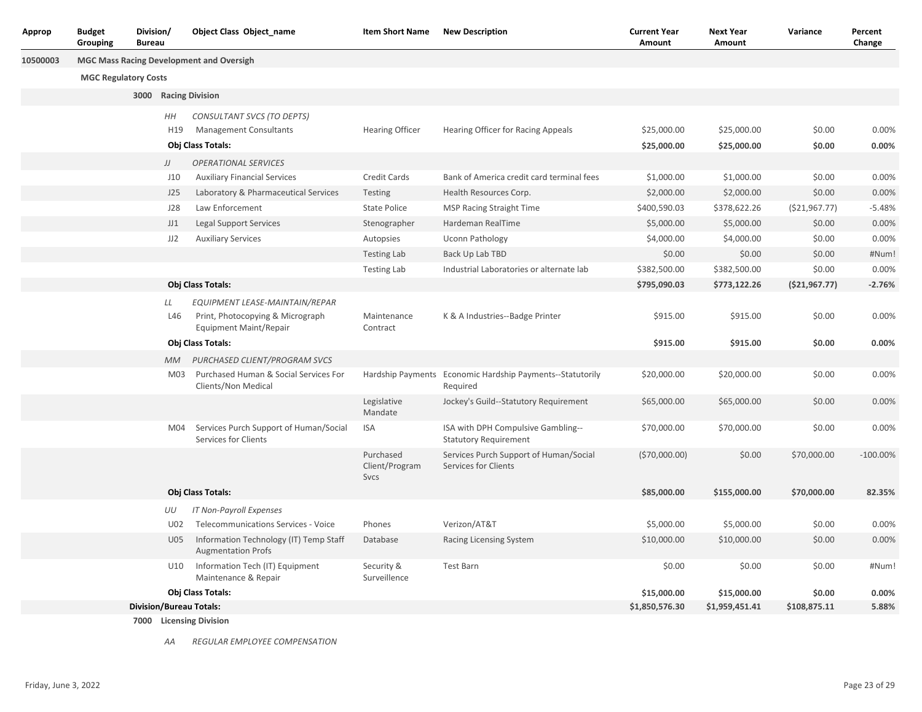| Approp   | <b>Budget</b><br>Grouping   | Division/<br><b>Bureau</b> |                       | Object Class Object name                                            | <b>Item Short Name</b>              | <b>New Description</b>                                                | <b>Current Year</b><br>Amount | <b>Next Year</b><br>Amount | Variance        | Percent<br>Change |
|----------|-----------------------------|----------------------------|-----------------------|---------------------------------------------------------------------|-------------------------------------|-----------------------------------------------------------------------|-------------------------------|----------------------------|-----------------|-------------------|
| 10500003 |                             |                            |                       | <b>MGC Mass Racing Development and Oversigh</b>                     |                                     |                                                                       |                               |                            |                 |                   |
|          | <b>MGC Regulatory Costs</b> |                            |                       |                                                                     |                                     |                                                                       |                               |                            |                 |                   |
|          |                             |                            |                       | 3000 Racing Division                                                |                                     |                                                                       |                               |                            |                 |                   |
|          |                             |                            |                       |                                                                     |                                     |                                                                       |                               |                            |                 |                   |
|          |                             |                            | ΗH<br>H <sub>19</sub> | CONSULTANT SVCS (TO DEPTS)<br><b>Management Consultants</b>         | <b>Hearing Officer</b>              | Hearing Officer for Racing Appeals                                    | \$25,000.00                   | \$25,000.00                | \$0.00          | 0.00%             |
|          |                             |                            |                       | Obj Class Totals:                                                   |                                     |                                                                       | \$25,000.00                   | \$25,000.00                | \$0.00          | 0.00%             |
|          |                             |                            | JJ                    | <b>OPERATIONAL SERVICES</b>                                         |                                     |                                                                       |                               |                            |                 |                   |
|          |                             |                            | J10                   | <b>Auxiliary Financial Services</b>                                 | Credit Cards                        | Bank of America credit card terminal fees                             | \$1,000.00                    | \$1,000.00                 | \$0.00          | 0.00%             |
|          |                             |                            | J25                   | Laboratory & Pharmaceutical Services                                | Testing                             | Health Resources Corp.                                                | \$2,000.00                    | \$2,000.00                 | \$0.00          | 0.00%             |
|          |                             |                            | J28                   | Law Enforcement                                                     | <b>State Police</b>                 | <b>MSP Racing Straight Time</b>                                       | \$400,590.03                  | \$378,622.26               | ( \$21, 967.77) | $-5.48%$          |
|          |                             |                            | JJ1                   | <b>Legal Support Services</b>                                       | Stenographer                        | Hardeman RealTime                                                     | \$5,000.00                    | \$5,000.00                 | \$0.00          | 0.00%             |
|          |                             |                            | JJ2                   | <b>Auxiliary Services</b>                                           | Autopsies                           | <b>Uconn Pathology</b>                                                | \$4,000.00                    | \$4,000.00                 | \$0.00          | 0.00%             |
|          |                             |                            |                       |                                                                     | <b>Testing Lab</b>                  | Back Up Lab TBD                                                       | \$0.00                        | \$0.00                     | \$0.00          | #Num!             |
|          |                             |                            |                       |                                                                     | <b>Testing Lab</b>                  | Industrial Laboratories or alternate lab                              | \$382,500.00                  | \$382,500.00               | \$0.00          | 0.00%             |
|          |                             |                            |                       | Obj Class Totals:                                                   |                                     |                                                                       | \$795,090.03                  | \$773,122.26               | ( \$21, 967.77) | $-2.76%$          |
|          |                             |                            | LL                    | EQUIPMENT LEASE-MAINTAIN/REPAR                                      |                                     |                                                                       |                               |                            |                 |                   |
|          |                             |                            | L46                   | Print, Photocopying & Micrograph<br>Equipment Maint/Repair          | Maintenance<br>Contract             | K & A Industries--Badge Printer                                       | \$915.00                      | \$915.00                   | \$0.00          | 0.00%             |
|          |                             |                            |                       | Obj Class Totals:                                                   |                                     |                                                                       | \$915.00                      | \$915.00                   | \$0.00          | 0.00%             |
|          |                             |                            | МM                    | PURCHASED CLIENT/PROGRAM SVCS                                       |                                     |                                                                       |                               |                            |                 |                   |
|          |                             |                            | M03                   | Purchased Human & Social Services For<br>Clients/Non Medical        |                                     | Hardship Payments Economic Hardship Payments--Statutorily<br>Required | \$20,000.00                   | \$20,000.00                | \$0.00          | 0.00%             |
|          |                             |                            |                       |                                                                     | Legislative<br>Mandate              | Jockey's Guild--Statutory Requirement                                 | \$65,000.00                   | \$65,000.00                | \$0.00          | 0.00%             |
|          |                             |                            | M04                   | Services Purch Support of Human/Social<br>Services for Clients      | <b>ISA</b>                          | ISA with DPH Compulsive Gambling--<br><b>Statutory Requirement</b>    | \$70,000.00                   | \$70,000.00                | \$0.00          | 0.00%             |
|          |                             |                            |                       |                                                                     | Purchased<br>Client/Program<br>Svcs | Services Purch Support of Human/Social<br>Services for Clients        | (570,000.00)                  | \$0.00                     | \$70,000.00     | $-100.00\%$       |
|          |                             |                            |                       | Obj Class Totals:                                                   |                                     |                                                                       | \$85,000.00                   | \$155,000.00               | \$70,000.00     | 82.35%            |
|          |                             |                            | UU                    | IT Non-Payroll Expenses                                             |                                     |                                                                       |                               |                            |                 |                   |
|          |                             |                            | U02                   | Telecommunications Services - Voice                                 | Phones                              | Verizon/AT&T                                                          | \$5,000.00                    | \$5,000.00                 | \$0.00          | 0.00%             |
|          |                             |                            | U05                   | Information Technology (IT) Temp Staff<br><b>Augmentation Profs</b> | Database                            | Racing Licensing System                                               | \$10,000.00                   | \$10,000.00                | \$0.00          | 0.00%             |
|          |                             |                            | U10                   | Information Tech (IT) Equipment<br>Maintenance & Repair             | Security &<br>Surveillence          | Test Barn                                                             | \$0.00                        | \$0.00                     | \$0.00          | #Num!             |
|          |                             |                            |                       | Obj Class Totals:                                                   |                                     |                                                                       | \$15,000.00                   | \$15,000.00                | \$0.00          | 0.00%             |
|          |                             |                            |                       | <b>Division/Bureau Totals:</b>                                      |                                     |                                                                       | \$1,850,576.30                | \$1,959,451.41             | \$108,875.11    | 5.88%             |
|          |                             |                            |                       | 7000 Licensing Division                                             |                                     |                                                                       |                               |                            |                 |                   |

*AA REGULAR EMPLOYEE COMPENSATION*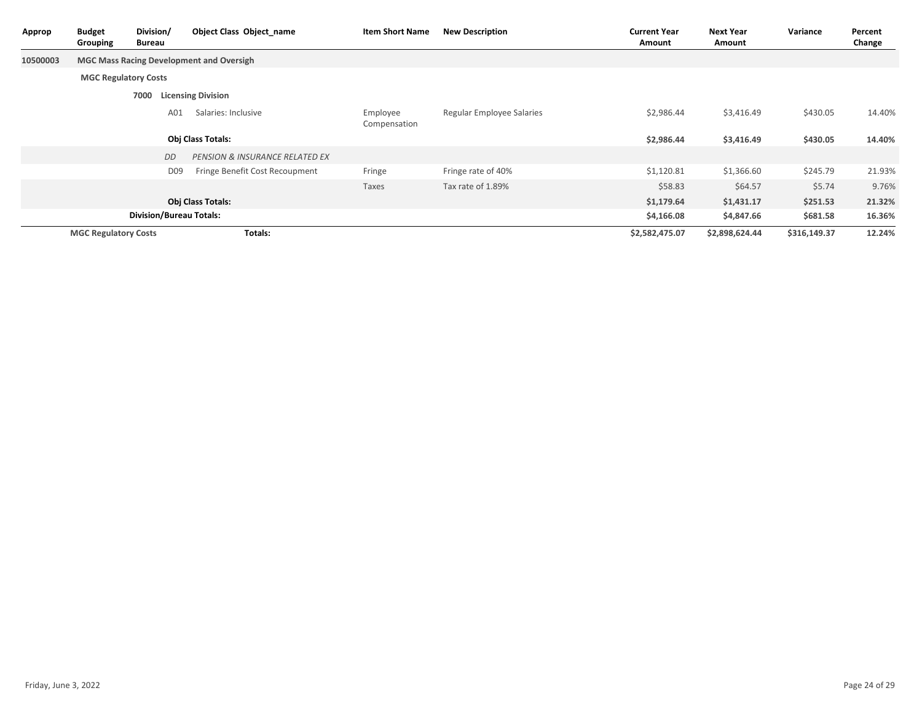| Approp   | <b>Budget</b><br>Grouping   | Division/<br>Bureau            | <b>Object Class Object_name</b>                 | <b>Item Short Name</b>   | <b>New Description</b>    | <b>Current Year</b><br>Amount | <b>Next Year</b><br>Amount | Variance     | Percent<br>Change |
|----------|-----------------------------|--------------------------------|-------------------------------------------------|--------------------------|---------------------------|-------------------------------|----------------------------|--------------|-------------------|
| 10500003 |                             |                                | <b>MGC Mass Racing Development and Oversigh</b> |                          |                           |                               |                            |              |                   |
|          | <b>MGC Regulatory Costs</b> |                                |                                                 |                          |                           |                               |                            |              |                   |
|          |                             | 7000                           | <b>Licensing Division</b>                       |                          |                           |                               |                            |              |                   |
|          |                             | A01                            | Salaries: Inclusive                             | Employee<br>Compensation | Regular Employee Salaries | \$2,986.44                    | \$3,416.49                 | \$430.05     | 14.40%            |
|          |                             |                                | Obj Class Totals:                               |                          |                           | \$2,986.44                    | \$3,416.49                 | \$430.05     | 14.40%            |
|          |                             | DD                             | <b>PENSION &amp; INSURANCE RELATED EX</b>       |                          |                           |                               |                            |              |                   |
|          |                             | D <sub>09</sub>                | Fringe Benefit Cost Recoupment                  | Fringe                   | Fringe rate of 40%        | \$1,120.81                    | \$1,366.60                 | \$245.79     | 21.93%            |
|          |                             |                                |                                                 | Taxes                    | Tax rate of 1.89%         | \$58.83                       | \$64.57                    | \$5.74       | 9.76%             |
|          |                             |                                | <b>Obj Class Totals:</b>                        |                          |                           | \$1,179.64                    | \$1,431.17                 | \$251.53     | 21.32%            |
|          |                             | <b>Division/Bureau Totals:</b> |                                                 |                          |                           | \$4,166.08                    | \$4,847.66                 | \$681.58     | 16.36%            |
|          | <b>MGC Regulatory Costs</b> |                                | Totals:                                         |                          |                           | \$2,582,475.07                | \$2,898,624.44             | \$316,149.37 | 12.24%            |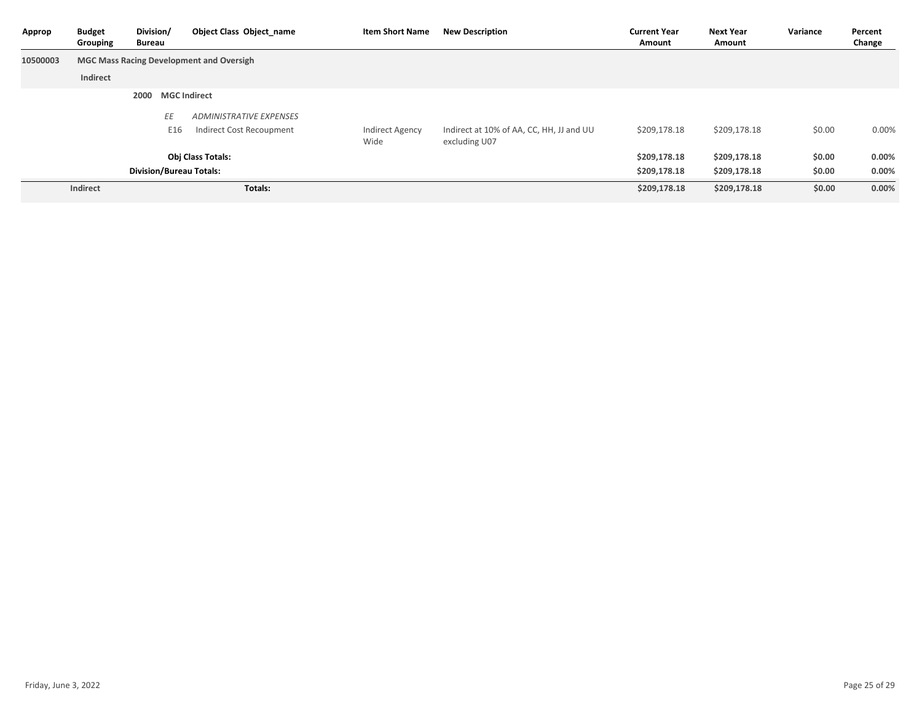| Approp   | <b>Budget</b><br>Grouping      | Division/<br>Bureau |                     | Object Class Object name                        | <b>Item Short Name</b>         | <b>New Description</b>                                    | <b>Current Year</b><br>Amount | <b>Next Year</b><br>Amount | Variance | Percent<br>Change |
|----------|--------------------------------|---------------------|---------------------|-------------------------------------------------|--------------------------------|-----------------------------------------------------------|-------------------------------|----------------------------|----------|-------------------|
| 10500003 |                                |                     |                     | <b>MGC Mass Racing Development and Oversigh</b> |                                |                                                           |                               |                            |          |                   |
|          | Indirect                       |                     |                     |                                                 |                                |                                                           |                               |                            |          |                   |
|          |                                | 2000                | <b>MGC Indirect</b> |                                                 |                                |                                                           |                               |                            |          |                   |
|          |                                |                     | ΕE                  | <b>ADMINISTRATIVE EXPENSES</b>                  |                                |                                                           |                               |                            |          |                   |
|          |                                |                     | E16                 | Indirect Cost Recoupment                        | <b>Indirect Agency</b><br>Wide | Indirect at 10% of AA, CC, HH, JJ and UU<br>excluding U07 | \$209,178.18                  | \$209,178.18               | \$0.00   | 0.00%             |
|          |                                |                     |                     | <b>Obj Class Totals:</b>                        |                                |                                                           | \$209,178.18                  | \$209,178.18               | \$0.00   | $0.00\%$          |
|          | <b>Division/Bureau Totals:</b> |                     |                     |                                                 |                                |                                                           | \$209,178.18                  | \$209,178.18               | \$0.00   | 0.00%             |
|          | Indirect                       |                     |                     | Totals:                                         |                                |                                                           | \$209,178.18                  | \$209,178.18               | \$0.00   | 0.00%             |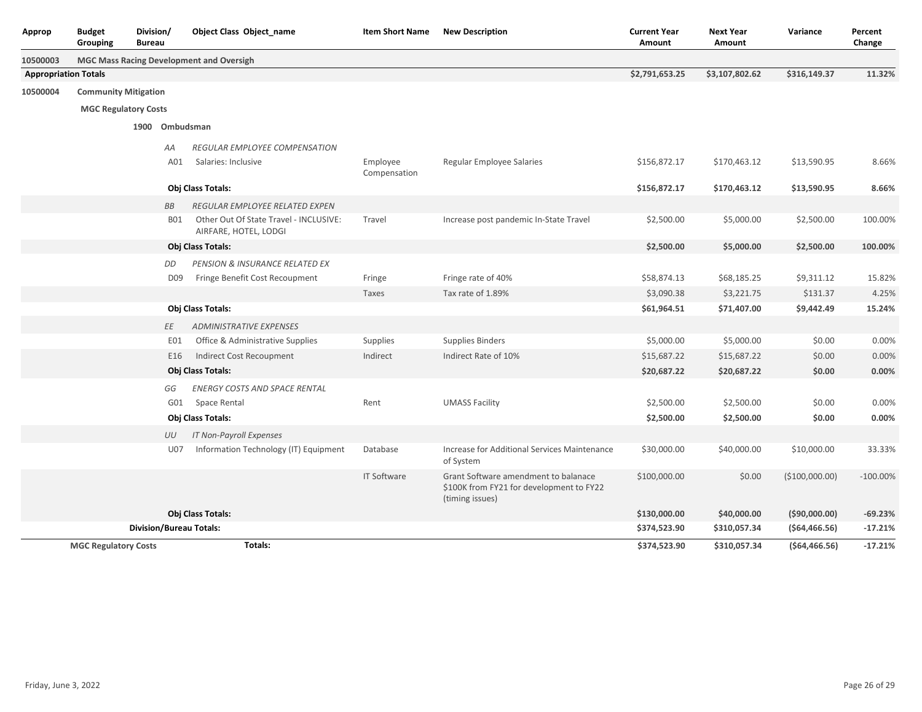| Approp                      | <b>Budget</b><br>Grouping   | Division/<br><b>Bureau</b> |                 | <b>Object Class Object_name</b>                                 | <b>Item Short Name</b> | <b>New Description</b>                                                                              | <b>Current Year</b><br>Amount | <b>Next Year</b><br>Amount | Variance       | Percent<br>Change |
|-----------------------------|-----------------------------|----------------------------|-----------------|-----------------------------------------------------------------|------------------------|-----------------------------------------------------------------------------------------------------|-------------------------------|----------------------------|----------------|-------------------|
| 10500003                    |                             |                            |                 | MGC Mass Racing Development and Oversigh                        |                        |                                                                                                     |                               |                            |                |                   |
| <b>Appropriation Totals</b> |                             |                            |                 |                                                                 |                        |                                                                                                     | \$2,791,653.25                | \$3,107,802.62             | \$316,149.37   | 11.32%            |
| 10500004                    | <b>Community Mitigation</b> |                            |                 |                                                                 |                        |                                                                                                     |                               |                            |                |                   |
|                             | <b>MGC Regulatory Costs</b> |                            |                 |                                                                 |                        |                                                                                                     |                               |                            |                |                   |
|                             |                             |                            | 1900 Ombudsman  |                                                                 |                        |                                                                                                     |                               |                            |                |                   |
|                             |                             |                            |                 |                                                                 |                        |                                                                                                     |                               |                            |                |                   |
|                             |                             |                            | AA<br>A01       | <b>REGULAR EMPLOYEE COMPENSATION</b><br>Salaries: Inclusive     | Employee               |                                                                                                     | \$156,872.17                  | \$170,463.12               | \$13,590.95    | 8.66%             |
|                             |                             |                            |                 |                                                                 | Compensation           | Regular Employee Salaries                                                                           |                               |                            |                |                   |
|                             |                             |                            |                 | Obj Class Totals:                                               |                        |                                                                                                     | \$156,872.17                  | \$170,463.12               | \$13,590.95    | 8.66%             |
|                             |                             |                            | <b>BB</b>       | REGULAR EMPLOYEE RELATED EXPEN                                  |                        |                                                                                                     |                               |                            |                |                   |
|                             |                             |                            | <b>B01</b>      | Other Out Of State Travel - INCLUSIVE:<br>AIRFARE, HOTEL, LODGI | Travel                 | Increase post pandemic In-State Travel                                                              | \$2,500.00                    | \$5,000.00                 | \$2,500.00     | 100.00%           |
|                             |                             |                            |                 | Obj Class Totals:                                               |                        |                                                                                                     | \$2,500.00                    | \$5,000.00                 | \$2,500.00     | 100.00%           |
|                             |                             |                            | DD              | PENSION & INSURANCE RELATED EX                                  |                        |                                                                                                     |                               |                            |                |                   |
|                             |                             |                            | D <sub>09</sub> | Fringe Benefit Cost Recoupment                                  | Fringe                 | Fringe rate of 40%                                                                                  | \$58,874.13                   | \$68,185.25                | \$9,311.12     | 15.82%            |
|                             |                             |                            |                 |                                                                 | Taxes                  | Tax rate of 1.89%                                                                                   | \$3,090.38                    | \$3,221.75                 | \$131.37       | 4.25%             |
|                             |                             |                            |                 | Obj Class Totals:                                               |                        |                                                                                                     | \$61,964.51                   | \$71,407.00                | \$9,442.49     | 15.24%            |
|                             |                             |                            | EE              | <b>ADMINISTRATIVE EXPENSES</b>                                  |                        |                                                                                                     |                               |                            |                |                   |
|                             |                             |                            | E01             | Office & Administrative Supplies                                | Supplies               | <b>Supplies Binders</b>                                                                             | \$5,000.00                    | \$5,000.00                 | \$0.00         | 0.00%             |
|                             |                             |                            | E16             | Indirect Cost Recoupment                                        | Indirect               | Indirect Rate of 10%                                                                                | \$15,687.22                   | \$15,687.22                | \$0.00         | 0.00%             |
|                             |                             |                            |                 | <b>Obj Class Totals:</b>                                        |                        |                                                                                                     | \$20,687.22                   | \$20,687.22                | \$0.00         | 0.00%             |
|                             |                             |                            | GG              | <b>ENERGY COSTS AND SPACE RENTAL</b>                            |                        |                                                                                                     |                               |                            |                |                   |
|                             |                             |                            | G01             | Space Rental                                                    | Rent                   | <b>UMASS Facility</b>                                                                               | \$2,500.00                    | \$2,500.00                 | \$0.00         | 0.00%             |
|                             |                             |                            |                 | Obj Class Totals:                                               |                        |                                                                                                     | \$2,500.00                    | \$2,500.00                 | \$0.00         | 0.00%             |
|                             |                             |                            | UU              | <b>IT Non-Payroll Expenses</b>                                  |                        |                                                                                                     |                               |                            |                |                   |
|                             |                             |                            | U07             | Information Technology (IT) Equipment                           | Database               | Increase for Additional Services Maintenance<br>of System                                           | \$30,000.00                   | \$40,000.00                | \$10,000.00    | 33.33%            |
|                             |                             |                            |                 |                                                                 | <b>IT Software</b>     | Grant Software amendment to balanace<br>\$100K from FY21 for development to FY22<br>(timing issues) | \$100,000.00                  | \$0.00                     | (\$100,000.00) | $-100.00\%$       |
|                             |                             |                            |                 | Obj Class Totals:                                               |                        |                                                                                                     | \$130,000.00                  | \$40,000.00                | ( \$90,000.00) | $-69.23%$         |
|                             |                             |                            |                 | <b>Division/Bureau Totals:</b>                                  |                        |                                                                                                     | \$374,523.90                  | \$310,057.34               | (564, 466.56)  | $-17.21%$         |
|                             | <b>MGC Regulatory Costs</b> |                            |                 | Totals:                                                         |                        |                                                                                                     | \$374,523.90                  | \$310,057.34               | (564, 466.56)  | $-17.21%$         |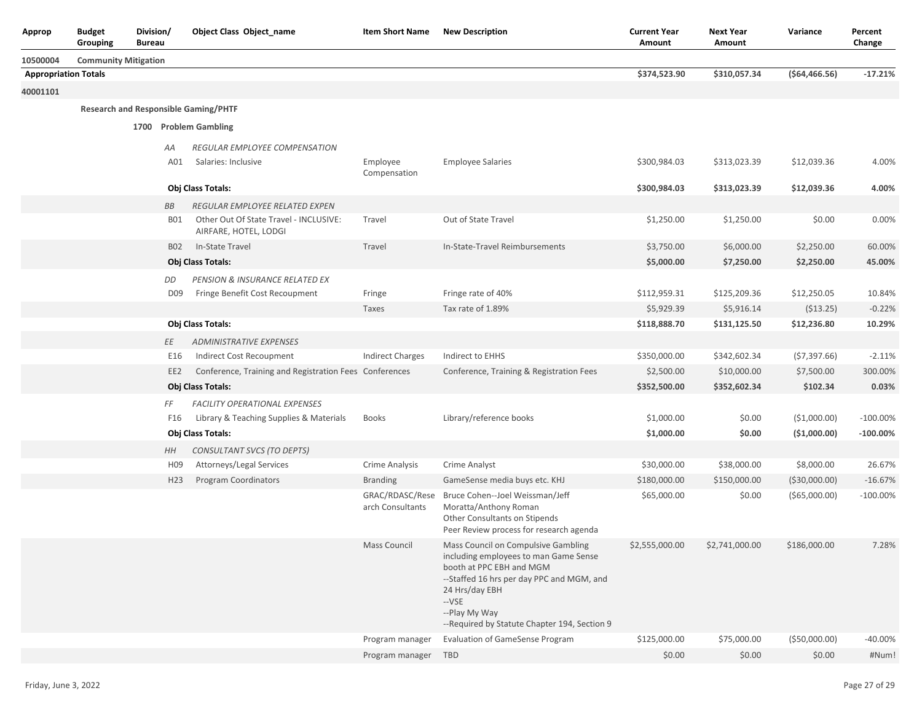| <b>Approp</b>               | <b>Budget</b><br>Division/<br>Grouping<br>Bureau |                                             | <b>Object Class Object name</b>                        | <b>Item Short Name</b>              | <b>New Description</b>                                                                                                                                                                                                                            | <b>Current Year</b><br>Amount | <b>Next Year</b><br>Amount | Variance       | Percent<br>Change |
|-----------------------------|--------------------------------------------------|---------------------------------------------|--------------------------------------------------------|-------------------------------------|---------------------------------------------------------------------------------------------------------------------------------------------------------------------------------------------------------------------------------------------------|-------------------------------|----------------------------|----------------|-------------------|
| 10500004                    | <b>Community Mitigation</b>                      |                                             |                                                        |                                     |                                                                                                                                                                                                                                                   |                               |                            |                |                   |
| <b>Appropriation Totals</b> |                                                  |                                             |                                                        |                                     |                                                                                                                                                                                                                                                   | \$374,523.90                  | \$310,057.34               | ( \$64,466.56) | $-17.21%$         |
| 40001101                    |                                                  |                                             |                                                        |                                     |                                                                                                                                                                                                                                                   |                               |                            |                |                   |
|                             |                                                  | <b>Research and Responsible Gaming/PHTF</b> |                                                        |                                     |                                                                                                                                                                                                                                                   |                               |                            |                |                   |
|                             |                                                  | 1700 Problem Gambling                       |                                                        |                                     |                                                                                                                                                                                                                                                   |                               |                            |                |                   |
|                             |                                                  |                                             |                                                        |                                     |                                                                                                                                                                                                                                                   |                               |                            |                |                   |
|                             |                                                  | AA                                          | <b>REGULAR EMPLOYEE COMPENSATION</b>                   |                                     |                                                                                                                                                                                                                                                   | \$300,984.03                  |                            |                |                   |
|                             |                                                  | A01                                         | Salaries: Inclusive                                    | Employee<br>Compensation            | <b>Employee Salaries</b>                                                                                                                                                                                                                          |                               | \$313,023.39               | \$12,039.36    | 4.00%             |
|                             |                                                  |                                             | Obj Class Totals:                                      |                                     |                                                                                                                                                                                                                                                   | \$300,984.03                  | \$313,023.39               | \$12,039.36    | 4.00%             |
|                             |                                                  | ВB                                          | REGULAR EMPLOYEE RELATED EXPEN                         |                                     |                                                                                                                                                                                                                                                   |                               |                            |                |                   |
|                             |                                                  | B01                                         | Other Out Of State Travel - INCLUSIVE:                 | Travel                              | Out of State Travel                                                                                                                                                                                                                               | \$1,250.00                    | \$1,250.00                 | \$0.00         | 0.00%             |
|                             |                                                  |                                             | AIRFARE, HOTEL, LODGI                                  |                                     |                                                                                                                                                                                                                                                   |                               |                            |                |                   |
|                             |                                                  | <b>B02</b>                                  | In-State Travel                                        | Travel                              | In-State-Travel Reimbursements                                                                                                                                                                                                                    | \$3,750.00                    | \$6,000.00                 | \$2,250.00     | 60.00%            |
|                             |                                                  |                                             | Obj Class Totals:                                      |                                     |                                                                                                                                                                                                                                                   | \$5,000.00                    | \$7,250.00                 | \$2,250.00     | 45.00%            |
|                             |                                                  | DD                                          | PENSION & INSURANCE RELATED EX                         |                                     |                                                                                                                                                                                                                                                   |                               |                            |                |                   |
|                             |                                                  | D <sub>09</sub>                             | Fringe Benefit Cost Recoupment                         | Fringe                              | Fringe rate of 40%                                                                                                                                                                                                                                | \$112,959.31                  | \$125,209.36               | \$12,250.05    | 10.84%            |
|                             |                                                  |                                             |                                                        | Taxes                               | Tax rate of 1.89%                                                                                                                                                                                                                                 | \$5,929.39                    | \$5,916.14                 | ( \$13.25)     | $-0.22%$          |
|                             |                                                  |                                             | Obj Class Totals:                                      |                                     |                                                                                                                                                                                                                                                   | \$118,888.70                  | \$131,125.50               | \$12,236.80    | 10.29%            |
|                             |                                                  | ΕE                                          | <b>ADMINISTRATIVE EXPENSES</b>                         |                                     |                                                                                                                                                                                                                                                   |                               |                            |                |                   |
|                             |                                                  | E16                                         | Indirect Cost Recoupment                               | <b>Indirect Charges</b>             | Indirect to EHHS                                                                                                                                                                                                                                  | \$350,000.00                  | \$342,602.34               | (57, 397.66)   | $-2.11%$          |
|                             |                                                  | EE <sub>2</sub>                             | Conference, Training and Registration Fees Conferences |                                     | Conference, Training & Registration Fees                                                                                                                                                                                                          | \$2,500.00                    | \$10,000.00                | \$7,500.00     | 300.00%           |
|                             |                                                  |                                             | Obj Class Totals:                                      |                                     |                                                                                                                                                                                                                                                   | \$352,500.00                  | \$352,602.34               | \$102.34       | 0.03%             |
|                             |                                                  | FF                                          | <b>FACILITY OPERATIONAL EXPENSES</b>                   |                                     |                                                                                                                                                                                                                                                   |                               |                            |                |                   |
|                             |                                                  | F16                                         | Library & Teaching Supplies & Materials                | <b>Books</b>                        | Library/reference books                                                                                                                                                                                                                           | \$1,000.00                    | \$0.00                     | (\$1,000.00)   | $-100.00\%$       |
|                             |                                                  |                                             | Obj Class Totals:                                      |                                     |                                                                                                                                                                                                                                                   | \$1,000.00                    | \$0.00                     | (\$1,000.00)   | $-100.00\%$       |
|                             |                                                  | HН                                          | CONSULTANT SVCS (TO DEPTS)                             |                                     |                                                                                                                                                                                                                                                   |                               |                            |                |                   |
|                             |                                                  | H <sub>09</sub>                             | Attorneys/Legal Services                               | Crime Analysis                      | Crime Analyst                                                                                                                                                                                                                                     | \$30,000.00                   | \$38,000.00                | \$8,000.00     | 26.67%            |
|                             |                                                  | H <sub>23</sub>                             | Program Coordinators                                   | <b>Branding</b>                     | GameSense media buys etc. KHJ                                                                                                                                                                                                                     | \$180,000.00                  | \$150,000.00               | ( \$30,000.00) | $-16.67%$         |
|                             |                                                  |                                             |                                                        | GRAC/RDASC/Rese<br>arch Consultants | Bruce Cohen--Joel Weissman/Jeff<br>Moratta/Anthony Roman<br>Other Consultants on Stipends<br>Peer Review process for research agenda                                                                                                              | \$65,000.00                   | \$0.00                     | ( \$65,000.00) | $-100.00\%$       |
|                             |                                                  |                                             |                                                        | Mass Council                        | Mass Council on Compulsive Gambling<br>including employees to man Game Sense<br>booth at PPC EBH and MGM<br>--Staffed 16 hrs per day PPC and MGM, and<br>24 Hrs/day EBH<br>--VSE<br>--Play My Way<br>--Required by Statute Chapter 194, Section 9 | \$2,555,000.00                | \$2,741,000.00             | \$186,000.00   | 7.28%             |
|                             |                                                  |                                             |                                                        | Program manager                     | <b>Evaluation of GameSense Program</b>                                                                                                                                                                                                            | \$125,000.00                  | \$75,000.00                | ( \$50,000.00) | $-40.00%$         |
|                             |                                                  |                                             |                                                        | Program manager TBD                 |                                                                                                                                                                                                                                                   | \$0.00                        | \$0.00                     | \$0.00         | #Num!             |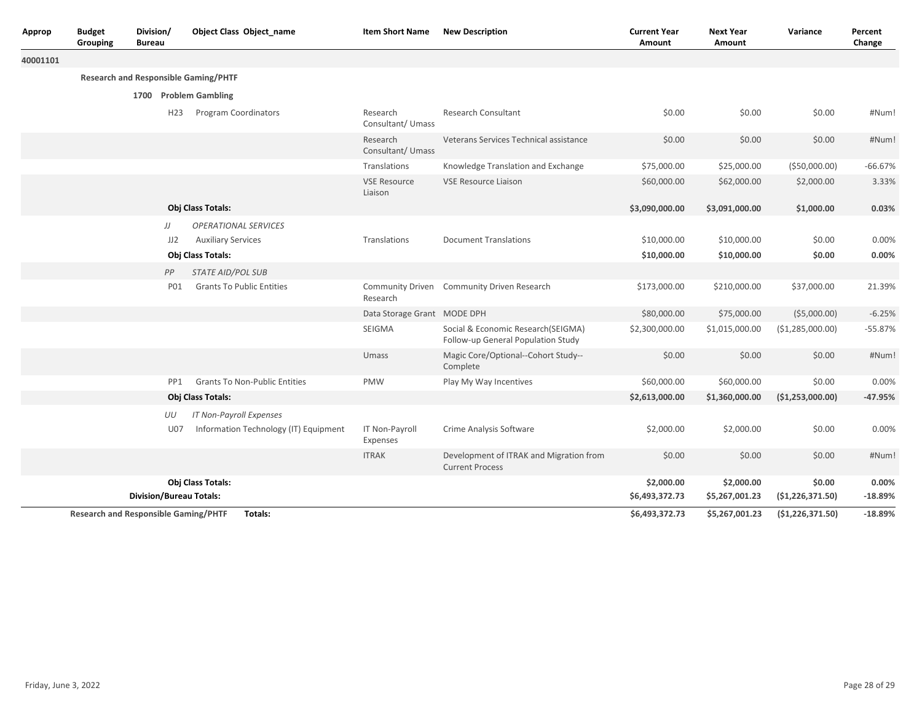| Approp                                                 | <b>Budget</b><br>Grouping | Division/<br>Bureau            |                 | <b>Object Class Object name</b>             | <b>Item Short Name</b>         | <b>New Description</b>                                                   |                              | <b>Next Year</b><br>Amount   | Variance                    | Percent<br>Change  |
|--------------------------------------------------------|---------------------------|--------------------------------|-----------------|---------------------------------------------|--------------------------------|--------------------------------------------------------------------------|------------------------------|------------------------------|-----------------------------|--------------------|
| 40001101                                               |                           |                                |                 |                                             |                                |                                                                          |                              |                              |                             |                    |
|                                                        |                           |                                |                 | <b>Research and Responsible Gaming/PHTF</b> |                                |                                                                          |                              |                              |                             |                    |
|                                                        |                           |                                |                 | 1700 Problem Gambling                       |                                |                                                                          |                              |                              |                             |                    |
|                                                        |                           |                                | H <sub>23</sub> | Program Coordinators                        | Research<br>Consultant/ Umass  | <b>Research Consultant</b>                                               | \$0.00                       | \$0.00                       | \$0.00                      | #Num!              |
|                                                        |                           |                                |                 |                                             | Research<br>Consultant/ Umass  | Veterans Services Technical assistance                                   | \$0.00                       | \$0.00                       | \$0.00                      | #Num!              |
|                                                        |                           |                                |                 |                                             | Translations                   | Knowledge Translation and Exchange                                       | \$75,000.00                  | \$25,000.00                  | ( \$50,000.00)              | $-66.67%$          |
|                                                        |                           |                                |                 |                                             | <b>VSE Resource</b><br>Liaison | <b>VSE Resource Liaison</b>                                              | \$60,000.00                  | \$62,000.00                  | \$2,000.00                  | 3.33%              |
|                                                        |                           | Obj Class Totals:              |                 |                                             |                                | \$3,090,000.00                                                           | \$3,091,000.00               | \$1,000.00                   | 0.03%                       |                    |
|                                                        |                           |                                | JJ              | <b>OPERATIONAL SERVICES</b>                 |                                |                                                                          |                              |                              |                             |                    |
|                                                        |                           |                                | JJ2             | <b>Auxiliary Services</b>                   | Translations                   | <b>Document Translations</b>                                             | \$10,000.00                  | \$10,000.00                  | \$0.00                      | 0.00%              |
|                                                        |                           | Obj Class Totals:              |                 |                                             |                                | \$10,000.00                                                              | \$10,000.00                  | \$0.00                       | 0.00%                       |                    |
|                                                        |                           | <b>STATE AID/POL SUB</b><br>PP |                 |                                             |                                |                                                                          |                              |                              |                             |                    |
|                                                        |                           |                                | <b>PO1</b>      | <b>Grants To Public Entities</b>            | Research                       | Community Driven Community Driven Research                               | \$173,000.00                 | \$210,000.00                 | \$37,000.00                 | 21.39%             |
|                                                        |                           |                                |                 |                                             | Data Storage Grant MODE DPH    |                                                                          | \$80,000.00                  | \$75,000.00                  | (55,000.00)                 | $-6.25%$           |
|                                                        |                           |                                |                 |                                             | SEIGMA                         | Social & Economic Research(SEIGMA)<br>Follow-up General Population Study | \$2,300,000.00               | \$1,015,000.00               | ( \$1,285,000.00)           | $-55.87%$          |
|                                                        |                           |                                |                 |                                             | Umass                          | Magic Core/Optional--Cohort Study--<br>Complete                          | \$0.00                       | \$0.00                       | \$0.00                      | #Num!              |
|                                                        |                           |                                | PP1             | <b>Grants To Non-Public Entities</b>        | PMW                            | Play My Way Incentives                                                   | \$60,000.00                  | \$60,000.00                  | \$0.00                      | 0.00%              |
|                                                        |                           |                                |                 | Obj Class Totals:                           |                                |                                                                          | \$2,613,000.00               | \$1,360,000.00               | (\$1,253,000.00)            | -47.95%            |
|                                                        |                           |                                | UU              | IT Non-Payroll Expenses                     |                                |                                                                          |                              |                              |                             |                    |
|                                                        |                           |                                | <b>U07</b>      | Information Technology (IT) Equipment       | IT Non-Payroll<br>Expenses     | Crime Analysis Software                                                  | \$2,000.00                   | \$2,000.00                   | \$0.00                      | 0.00%              |
|                                                        |                           |                                |                 |                                             | <b>ITRAK</b>                   | Development of ITRAK and Migration from<br><b>Current Process</b>        | \$0.00                       | \$0.00                       | \$0.00                      | #Num!              |
|                                                        |                           | <b>Division/Bureau Totals:</b> |                 | Obj Class Totals:                           |                                |                                                                          | \$2,000.00<br>\$6,493,372.73 | \$2,000.00<br>\$5,267,001.23 | \$0.00<br>(51, 226, 371.50) | 0.00%<br>$-18.89%$ |
| Totals:<br><b>Research and Responsible Gaming/PHTF</b> |                           |                                |                 |                                             |                                | \$6,493,372.73                                                           | \$5,267,001.23               | (51, 226, 371.50)            | $-18.89%$                   |                    |